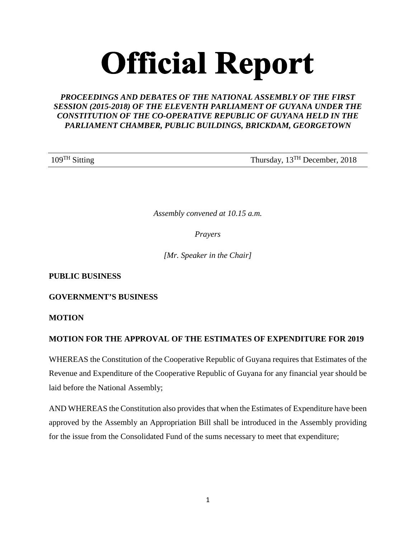# **Official Report**

# *PROCEEDINGS AND DEBATES OF THE NATIONAL ASSEMBLY OF THE FIRST SESSION (2015-2018) OF THE ELEVENTH PARLIAMENT OF GUYANA UNDER THE CONSTITUTION OF THE CO-OPERATIVE REPUBLIC OF GUYANA HELD IN THE PARLIAMENT CHAMBER, PUBLIC BUILDINGS, BRICKDAM, GEORGETOWN*

109<sup>TH</sup> Sitting Thursday, 13<sup>TH</sup> December, 2018

*Assembly convened at 10.15 a.m.*

*Prayers*

*[Mr. Speaker in the Chair]*

**PUBLIC BUSINESS** 

**GOVERNMENT'S BUSINESS** 

**MOTION**

# **MOTION FOR THE APPROVAL OF THE ESTIMATES OF EXPENDITURE FOR 2019**

WHEREAS the Constitution of the Cooperative Republic of Guyana requires that Estimates of the Revenue and Expenditure of the Cooperative Republic of Guyana for any financial year should be laid before the National Assembly;

AND WHEREAS the Constitution also provides that when the Estimates of Expenditure have been approved by the Assembly an Appropriation Bill shall be introduced in the Assembly providing for the issue from the Consolidated Fund of the sums necessary to meet that expenditure;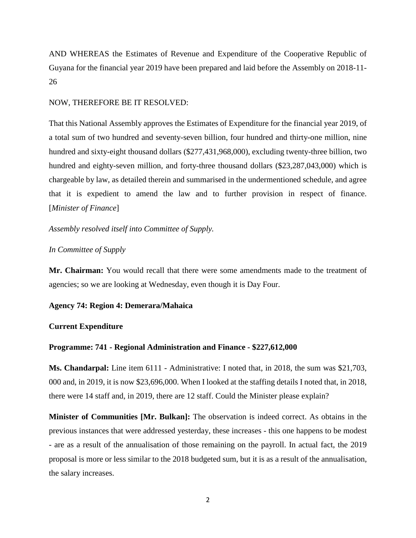AND WHEREAS the Estimates of Revenue and Expenditure of the Cooperative Republic of Guyana for the financial year 2019 have been prepared and laid before the Assembly on 2018-11- 26

## NOW, THEREFORE BE IT RESOLVED:

That this National Assembly approves the Estimates of Expenditure for the financial year 2019, of a total sum of two hundred and seventy-seven billion, four hundred and thirty-one million, nine hundred and sixty-eight thousand dollars (\$277,431,968,000), excluding twenty-three billion, two hundred and eighty-seven million, and forty-three thousand dollars (\$23,287,043,000) which is chargeable by law, as detailed therein and summarised in the undermentioned schedule, and agree that it is expedient to amend the law and to further provision in respect of finance. [*Minister of Finance*]

*Assembly resolved itself into Committee of Supply.* 

## *In Committee of Supply*

**Mr. Chairman:** You would recall that there were some amendments made to the treatment of agencies; so we are looking at Wednesday, even though it is Day Four.

## **Agency 74: Region 4: Demerara/Mahaica**

# **Current Expenditure**

## **Programme: 741 - Regional Administration and Finance - \$227,612,000**

**Ms. Chandarpal:** Line item 6111 - Administrative: I noted that, in 2018, the sum was \$21,703, 000 and, in 2019, it is now \$23,696,000. When I looked at the staffing details I noted that, in 2018, there were 14 staff and, in 2019, there are 12 staff. Could the Minister please explain?

**Minister of Communities [Mr. Bulkan]:** The observation is indeed correct. As obtains in the previous instances that were addressed yesterday, these increases - this one happens to be modest - are as a result of the annualisation of those remaining on the payroll. In actual fact, the 2019 proposal is more or less similar to the 2018 budgeted sum, but it is as a result of the annualisation, the salary increases.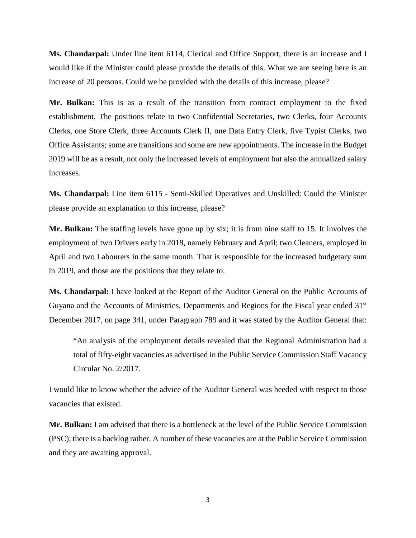**Ms. Chandarpal:** Under line item 6114, Clerical and Office Support, there is an increase and I would like if the Minister could please provide the details of this. What we are seeing here is an increase of 20 persons. Could we be provided with the details of this increase, please?

**Mr. Bulkan:** This is as a result of the transition from contract employment to the fixed establishment. The positions relate to two Confidential Secretaries, two Clerks, four Accounts Clerks, one Store Clerk, three Accounts Clerk II, one Data Entry Clerk, five Typist Clerks, two Office Assistants; some are transitions and some are new appointments. The increase in the Budget 2019 will be as a result, not only the increased levels of employment but also the annualized salary increases.

**Ms. Chandarpal:** Line item 6115 - Semi-Skilled Operatives and Unskilled: Could the Minister please provide an explanation to this increase, please?

**Mr. Bulkan:** The staffing levels have gone up by six; it is from nine staff to 15. It involves the employment of two Drivers early in 2018, namely February and April; two Cleaners, employed in April and two Labourers in the same month. That is responsible for the increased budgetary sum in 2019, and those are the positions that they relate to.

**Ms. Chandarpal:** I have looked at the Report of the Auditor General on the Public Accounts of Guyana and the Accounts of Ministries, Departments and Regions for the Fiscal year ended 31<sup>st</sup> December 2017, on page 341, under Paragraph 789 and it was stated by the Auditor General that:

"An analysis of the employment details revealed that the Regional Administration had a total of fifty-eight vacancies as advertised in the Public Service Commission Staff Vacancy Circular No. 2/2017.

I would like to know whether the advice of the Auditor General was heeded with respect to those vacancies that existed.

**Mr. Bulkan:** I am advised that there is a bottleneck at the level of the Public Service Commission (PSC); there is a backlog rather. A number of these vacancies are at the Public Service Commission and they are awaiting approval.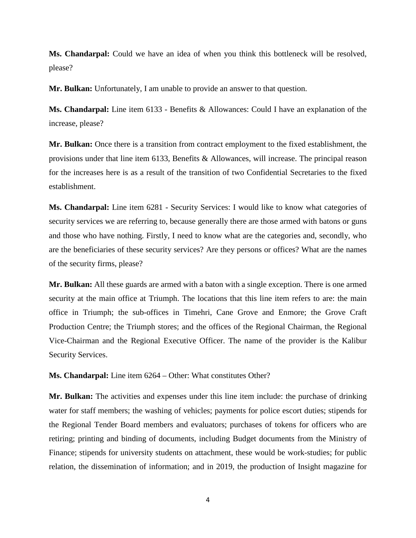**Ms. Chandarpal:** Could we have an idea of when you think this bottleneck will be resolved, please?

**Mr. Bulkan:** Unfortunately, I am unable to provide an answer to that question.

**Ms. Chandarpal:** Line item 6133 - Benefits & Allowances: Could I have an explanation of the increase, please?

**Mr. Bulkan:** Once there is a transition from contract employment to the fixed establishment, the provisions under that line item 6133, Benefits & Allowances, will increase. The principal reason for the increases here is as a result of the transition of two Confidential Secretaries to the fixed establishment.

**Ms. Chandarpal:** Line item 6281 - Security Services: I would like to know what categories of security services we are referring to, because generally there are those armed with batons or guns and those who have nothing. Firstly, I need to know what are the categories and, secondly, who are the beneficiaries of these security services? Are they persons or offices? What are the names of the security firms, please?

**Mr. Bulkan:** All these guards are armed with a baton with a single exception. There is one armed security at the main office at Triumph. The locations that this line item refers to are: the main office in Triumph; the sub-offices in Timehri, Cane Grove and Enmore; the Grove Craft Production Centre; the Triumph stores; and the offices of the Regional Chairman, the Regional Vice-Chairman and the Regional Executive Officer. The name of the provider is the Kalibur Security Services.

**Ms. Chandarpal:** Line item 6264 – Other: What constitutes Other?

**Mr. Bulkan:** The activities and expenses under this line item include: the purchase of drinking water for staff members; the washing of vehicles; payments for police escort duties; stipends for the Regional Tender Board members and evaluators; purchases of tokens for officers who are retiring; printing and binding of documents, including Budget documents from the Ministry of Finance; stipends for university students on attachment, these would be work-studies; for public relation, the dissemination of information; and in 2019, the production of Insight magazine for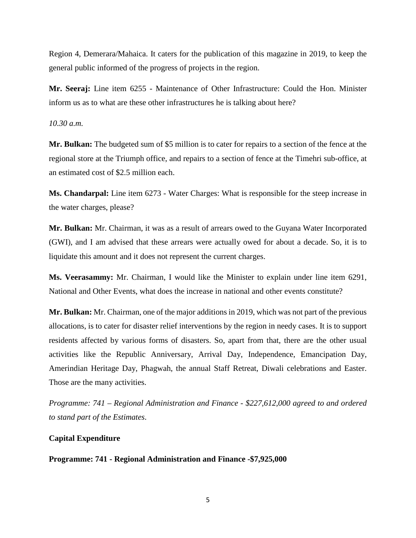Region 4, Demerara/Mahaica. It caters for the publication of this magazine in 2019, to keep the general public informed of the progress of projects in the region.

**Mr. Seeraj:** Line item 6255 - Maintenance of Other Infrastructure: Could the Hon. Minister inform us as to what are these other infrastructures he is talking about here?

*10.30 a.m.* 

**Mr. Bulkan:** The budgeted sum of \$5 million is to cater for repairs to a section of the fence at the regional store at the Triumph office, and repairs to a section of fence at the Timehri sub-office, at an estimated cost of \$2.5 million each.

**Ms. Chandarpal:** Line item 6273 - Water Charges: What is responsible for the steep increase in the water charges, please?

**Mr. Bulkan:** Mr. Chairman, it was as a result of arrears owed to the Guyana Water Incorporated (GWI), and I am advised that these arrears were actually owed for about a decade. So, it is to liquidate this amount and it does not represent the current charges.

**Ms. Veerasammy:** Mr. Chairman, I would like the Minister to explain under line item 6291, National and Other Events, what does the increase in national and other events constitute?

**Mr. Bulkan:** Mr. Chairman, one of the major additions in 2019, which was not part of the previous allocations, is to cater for disaster relief interventions by the region in needy cases. It is to support residents affected by various forms of disasters. So, apart from that, there are the other usual activities like the Republic Anniversary, Arrival Day, Independence, Emancipation Day, Amerindian Heritage Day, Phagwah, the annual Staff Retreat, Diwali celebrations and Easter. Those are the many activities.

*Programme: 741 – Regional Administration and Finance - \$227,612,000 agreed to and ordered to stand part of the Estimates*.

## **Capital Expenditure**

**Programme: 741 - Regional Administration and Finance -\$7,925,000**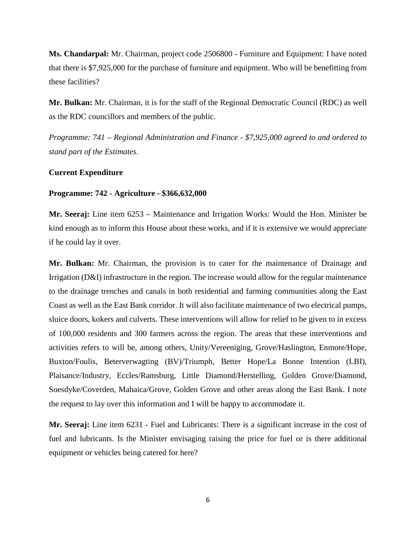**Ms. Chandarpal:** Mr. Chairman, project code 2506800 - Furniture and Equipment: I have noted that there is \$7,925,000 for the purchase of furniture and equipment. Who will be benefitting from these facilities?

**Mr. Bulkan:** Mr. Chairman, it is for the staff of the Regional Democratic Council (RDC) as well as the RDC councillors and members of the public.

*Programme: 741 – Regional Administration and Finance - \$7,925,000 agreed to and ordered to stand part of the Estimates*.

## **Current Expenditure**

#### **Programme: 742 - Agriculture - \$366,632,000**

**Mr. Seeraj:** Line item 6253 – Maintenance and Irrigation Works: Would the Hon. Minister be kind enough as to inform this House about these works, and if it is extensive we would appreciate if he could lay it over.

**Mr. Bulkan:** Mr. Chairman, the provision is to cater for the maintenance of Drainage and Irrigation (D&I) infrastructure in the region. The increase would allow for the regular maintenance to the drainage trenches and canals in both residential and farming communities along the East Coast as well as the East Bank corridor. It will also facilitate maintenance of two electrical pumps, sluice doors, kokers and culverts. These interventions will allow for relief to be given to in excess of 100,000 residents and 300 farmers across the region. The areas that these interventions and activities refers to will be, among others, Unity/Vereeniging, Grove/Haslington, Enmore/Hope, Buxton/Foulis, Beterverwagting (BV)/Triumph, Better Hope/La Bonne Intention (LBI), Plaisance/Industry, Eccles/Ramsburg, Little Diamond/Herstelling, Golden Grove/Diamond, Soesdyke/Coverden, Mahaica/Grove, Golden Grove and other areas along the East Bank. I note the request to lay over this information and I will be happy to accommodate it.

**Mr. Seeraj:** Line item 6231 - Fuel and Lubricants: There is a significant increase in the cost of fuel and lubricants. Is the Minister envisaging raising the price for fuel or is there additional equipment or vehicles being catered for here?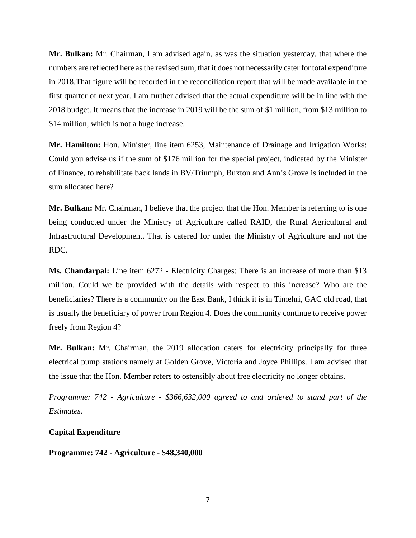**Mr. Bulkan:** Mr. Chairman, I am advised again, as was the situation yesterday, that where the numbers are reflected here as the revised sum, that it does not necessarily cater for total expenditure in 2018.That figure will be recorded in the reconciliation report that will be made available in the first quarter of next year. I am further advised that the actual expenditure will be in line with the 2018 budget. It means that the increase in 2019 will be the sum of \$1 million, from \$13 million to \$14 million, which is not a huge increase.

**Mr. Hamilton:** Hon. Minister, line item 6253, Maintenance of Drainage and Irrigation Works: Could you advise us if the sum of \$176 million for the special project, indicated by the Minister of Finance, to rehabilitate back lands in BV/Triumph, Buxton and Ann's Grove is included in the sum allocated here?

**Mr. Bulkan:** Mr. Chairman, I believe that the project that the Hon. Member is referring to is one being conducted under the Ministry of Agriculture called RAID, the Rural Agricultural and Infrastructural Development. That is catered for under the Ministry of Agriculture and not the RDC.

**Ms. Chandarpal:** Line item 6272 - Electricity Charges: There is an increase of more than \$13 million. Could we be provided with the details with respect to this increase? Who are the beneficiaries? There is a community on the East Bank, I think it is in Timehri, GAC old road, that is usually the beneficiary of power from Region 4. Does the community continue to receive power freely from Region 4?

**Mr. Bulkan:** Mr. Chairman, the 2019 allocation caters for electricity principally for three electrical pump stations namely at Golden Grove, Victoria and Joyce Phillips. I am advised that the issue that the Hon. Member refers to ostensibly about free electricity no longer obtains.

*Programme: 742 - Agriculture - \$366,632,000 agreed to and ordered to stand part of the Estimates.* 

**Capital Expenditure** 

**Programme: 742 - Agriculture - \$48,340,000**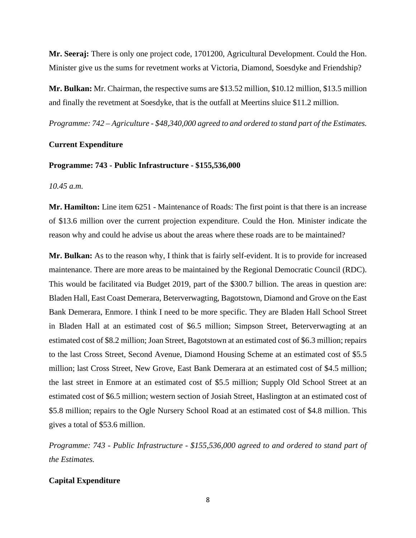**Mr. Seeraj:** There is only one project code, 1701200, Agricultural Development. Could the Hon. Minister give us the sums for revetment works at Victoria, Diamond, Soesdyke and Friendship?

**Mr. Bulkan:** Mr. Chairman, the respective sums are \$13.52 million, \$10.12 million, \$13.5 million and finally the revetment at Soesdyke, that is the outfall at Meertins sluice \$11.2 million.

*Programme: 742 – Agriculture - \$48,340,000 agreed to and ordered to stand part of the Estimates.* 

#### **Current Expenditure**

#### **Programme: 743 - Public Infrastructure - \$155,536,000**

*10.45 a.m.*

**Mr. Hamilton:** Line item 6251 - Maintenance of Roads: The first point is that there is an increase of \$13.6 million over the current projection expenditure. Could the Hon. Minister indicate the reason why and could he advise us about the areas where these roads are to be maintained?

**Mr. Bulkan:** As to the reason why, I think that is fairly self-evident. It is to provide for increased maintenance. There are more areas to be maintained by the Regional Democratic Council (RDC). This would be facilitated via Budget 2019, part of the \$300.7 billion. The areas in question are: Bladen Hall, East Coast Demerara, Beterverwagting, Bagotstown, Diamond and Grove on the East Bank Demerara, Enmore. I think I need to be more specific. They are Bladen Hall School Street in Bladen Hall at an estimated cost of \$6.5 million; Simpson Street, Beterverwagting at an estimated cost of \$8.2 million; Joan Street, Bagotstown at an estimated cost of \$6.3 million; repairs to the last Cross Street, Second Avenue, Diamond Housing Scheme at an estimated cost of \$5.5 million; last Cross Street, New Grove, East Bank Demerara at an estimated cost of \$4.5 million; the last street in Enmore at an estimated cost of \$5.5 million; Supply Old School Street at an estimated cost of \$6.5 million; western section of Josiah Street, Haslington at an estimated cost of \$5.8 million; repairs to the Ogle Nursery School Road at an estimated cost of \$4.8 million. This gives a total of \$53.6 million.

*Programme: 743 - Public Infrastructure - \$155,536,000 agreed to and ordered to stand part of the Estimates.*

## **Capital Expenditure**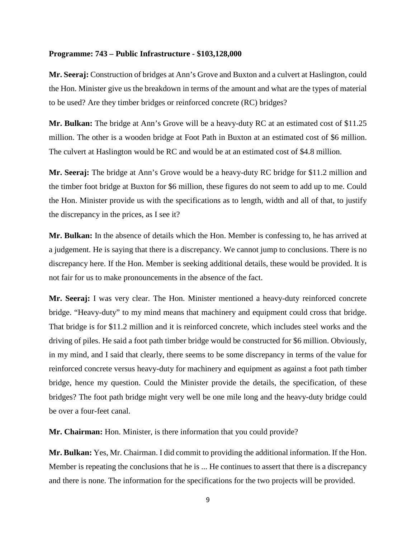# **Programme: 743 – Public Infrastructure - \$103,128,000**

**Mr. Seeraj:** Construction of bridges at Ann's Grove and Buxton and a culvert at Haslington, could the Hon. Minister give us the breakdown in terms of the amount and what are the types of material to be used? Are they timber bridges or reinforced concrete (RC) bridges?

**Mr. Bulkan:** The bridge at Ann's Grove will be a heavy-duty RC at an estimated cost of \$11.25 million. The other is a wooden bridge at Foot Path in Buxton at an estimated cost of \$6 million. The culvert at Haslington would be RC and would be at an estimated cost of \$4.8 million.

**Mr. Seeraj:** The bridge at Ann's Grove would be a heavy-duty RC bridge for \$11.2 million and the timber foot bridge at Buxton for \$6 million, these figures do not seem to add up to me. Could the Hon. Minister provide us with the specifications as to length, width and all of that, to justify the discrepancy in the prices, as I see it?

**Mr. Bulkan:** In the absence of details which the Hon. Member is confessing to, he has arrived at a judgement. He is saying that there is a discrepancy. We cannot jump to conclusions. There is no discrepancy here. If the Hon. Member is seeking additional details, these would be provided. It is not fair for us to make pronouncements in the absence of the fact.

**Mr. Seeraj:** I was very clear. The Hon. Minister mentioned a heavy-duty reinforced concrete bridge. "Heavy-duty" to my mind means that machinery and equipment could cross that bridge. That bridge is for \$11.2 million and it is reinforced concrete, which includes steel works and the driving of piles. He said a foot path timber bridge would be constructed for \$6 million. Obviously, in my mind, and I said that clearly, there seems to be some discrepancy in terms of the value for reinforced concrete versus heavy-duty for machinery and equipment as against a foot path timber bridge, hence my question. Could the Minister provide the details, the specification, of these bridges? The foot path bridge might very well be one mile long and the heavy-duty bridge could be over a four-feet canal.

**Mr. Chairman:** Hon. Minister, is there information that you could provide?

**Mr. Bulkan:** Yes, Mr. Chairman. I did commit to providing the additional information. If the Hon. Member is repeating the conclusions that he is ... He continues to assert that there is a discrepancy and there is none. The information for the specifications for the two projects will be provided.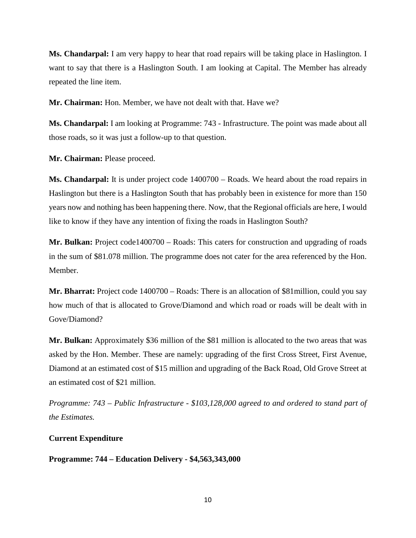**Ms. Chandarpal:** I am very happy to hear that road repairs will be taking place in Haslington. I want to say that there is a Haslington South. I am looking at Capital. The Member has already repeated the line item.

**Mr. Chairman:** Hon. Member, we have not dealt with that. Have we?

**Ms. Chandarpal:** I am looking at Programme: 743 - Infrastructure. The point was made about all those roads, so it was just a follow-up to that question.

**Mr. Chairman:** Please proceed.

**Ms. Chandarpal:** It is under project code 1400700 – Roads. We heard about the road repairs in Haslington but there is a Haslington South that has probably been in existence for more than 150 years now and nothing has been happening there. Now, that the Regional officials are here, I would like to know if they have any intention of fixing the roads in Haslington South?

**Mr. Bulkan:** Project code1400700 – Roads: This caters for construction and upgrading of roads in the sum of \$81.078 million. The programme does not cater for the area referenced by the Hon. Member.

**Mr. Bharrat:** Project code 1400700 – Roads: There is an allocation of \$81million, could you say how much of that is allocated to Grove/Diamond and which road or roads will be dealt with in Gove/Diamond?

**Mr. Bulkan:** Approximately \$36 million of the \$81 million is allocated to the two areas that was asked by the Hon. Member. These are namely: upgrading of the first Cross Street, First Avenue, Diamond at an estimated cost of \$15 million and upgrading of the Back Road, Old Grove Street at an estimated cost of \$21 million.

*Programme: 743 – Public Infrastructure - \$103,128,000 agreed to and ordered to stand part of the Estimates.*

# **Current Expenditure**

**Programme: 744 – Education Delivery - \$4,563,343,000**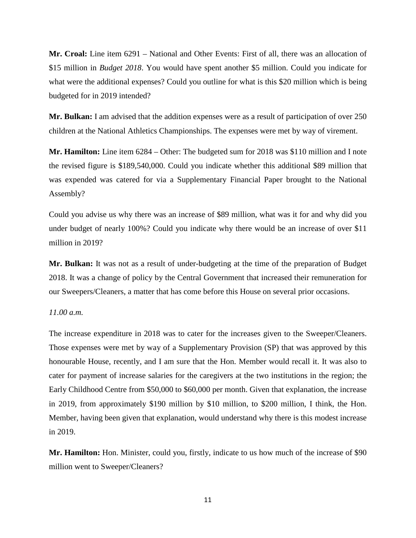**Mr. Croal:** Line item 6291 – National and Other Events: First of all, there was an allocation of \$15 million in *Budget 2018*. You would have spent another \$5 million. Could you indicate for what were the additional expenses? Could you outline for what is this \$20 million which is being budgeted for in 2019 intended?

**Mr. Bulkan:** I am advised that the addition expenses were as a result of participation of over 250 children at the National Athletics Championships. The expenses were met by way of virement.

**Mr. Hamilton:** Line item 6284 – Other: The budgeted sum for 2018 was \$110 million and I note the revised figure is \$189,540,000. Could you indicate whether this additional \$89 million that was expended was catered for via a Supplementary Financial Paper brought to the National Assembly?

Could you advise us why there was an increase of \$89 million, what was it for and why did you under budget of nearly 100%? Could you indicate why there would be an increase of over \$11 million in 2019?

**Mr. Bulkan:** It was not as a result of under-budgeting at the time of the preparation of Budget 2018. It was a change of policy by the Central Government that increased their remuneration for our Sweepers/Cleaners, a matter that has come before this House on several prior occasions.

## *11.00 a.m.*

The increase expenditure in 2018 was to cater for the increases given to the Sweeper/Cleaners. Those expenses were met by way of a Supplementary Provision (SP) that was approved by this honourable House, recently, and I am sure that the Hon. Member would recall it. It was also to cater for payment of increase salaries for the caregivers at the two institutions in the region; the Early Childhood Centre from \$50,000 to \$60,000 per month. Given that explanation, the increase in 2019, from approximately \$190 million by \$10 million, to \$200 million, I think, the Hon. Member, having been given that explanation, would understand why there is this modest increase in 2019.

**Mr. Hamilton:** Hon. Minister, could you, firstly, indicate to us how much of the increase of \$90 million went to Sweeper/Cleaners?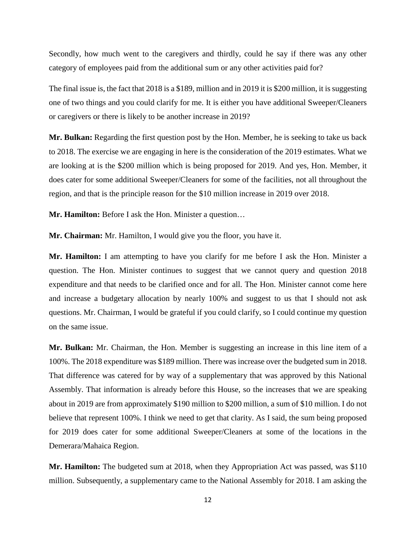Secondly, how much went to the caregivers and thirdly, could he say if there was any other category of employees paid from the additional sum or any other activities paid for?

The final issue is, the fact that 2018 is a \$189, million and in 2019 it is \$200 million, it is suggesting one of two things and you could clarify for me. It is either you have additional Sweeper/Cleaners or caregivers or there is likely to be another increase in 2019?

**Mr. Bulkan:** Regarding the first question post by the Hon. Member, he is seeking to take us back to 2018. The exercise we are engaging in here is the consideration of the 2019 estimates. What we are looking at is the \$200 million which is being proposed for 2019. And yes, Hon. Member, it does cater for some additional Sweeper/Cleaners for some of the facilities, not all throughout the region, and that is the principle reason for the \$10 million increase in 2019 over 2018.

**Mr. Hamilton:** Before I ask the Hon. Minister a question…

**Mr. Chairman:** Mr. Hamilton, I would give you the floor, you have it.

**Mr. Hamilton:** I am attempting to have you clarify for me before I ask the Hon. Minister a question. The Hon. Minister continues to suggest that we cannot query and question 2018 expenditure and that needs to be clarified once and for all. The Hon. Minister cannot come here and increase a budgetary allocation by nearly 100% and suggest to us that I should not ask questions. Mr. Chairman, I would be grateful if you could clarify, so I could continue my question on the same issue.

**Mr. Bulkan:** Mr. Chairman, the Hon. Member is suggesting an increase in this line item of a 100%. The 2018 expenditure was \$189 million. There was increase over the budgeted sum in 2018. That difference was catered for by way of a supplementary that was approved by this National Assembly. That information is already before this House, so the increases that we are speaking about in 2019 are from approximately \$190 million to \$200 million, a sum of \$10 million. I do not believe that represent 100%. I think we need to get that clarity. As I said, the sum being proposed for 2019 does cater for some additional Sweeper/Cleaners at some of the locations in the Demerara/Mahaica Region.

**Mr. Hamilton:** The budgeted sum at 2018, when they Appropriation Act was passed, was \$110 million. Subsequently, a supplementary came to the National Assembly for 2018. I am asking the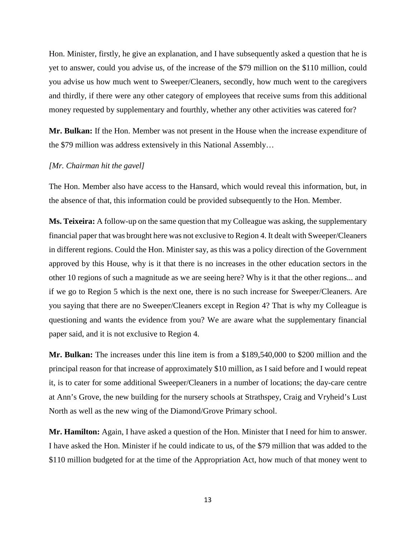Hon. Minister, firstly, he give an explanation, and I have subsequently asked a question that he is yet to answer, could you advise us, of the increase of the \$79 million on the \$110 million, could you advise us how much went to Sweeper/Cleaners, secondly, how much went to the caregivers and thirdly, if there were any other category of employees that receive sums from this additional money requested by supplementary and fourthly, whether any other activities was catered for?

**Mr. Bulkan:** If the Hon. Member was not present in the House when the increase expenditure of the \$79 million was address extensively in this National Assembly…

## *[Mr. Chairman hit the gavel]*

The Hon. Member also have access to the Hansard, which would reveal this information, but, in the absence of that, this information could be provided subsequently to the Hon. Member.

**Ms. Teixeira:** A follow-up on the same question that my Colleague was asking, the supplementary financial paper that was brought here was not exclusive to Region 4. It dealt with Sweeper/Cleaners in different regions. Could the Hon. Minister say, as this was a policy direction of the Government approved by this House, why is it that there is no increases in the other education sectors in the other 10 regions of such a magnitude as we are seeing here? Why is it that the other regions... and if we go to Region 5 which is the next one, there is no such increase for Sweeper/Cleaners. Are you saying that there are no Sweeper/Cleaners except in Region 4? That is why my Colleague is questioning and wants the evidence from you? We are aware what the supplementary financial paper said, and it is not exclusive to Region 4.

**Mr. Bulkan:** The increases under this line item is from a \$189,540,000 to \$200 million and the principal reason for that increase of approximately \$10 million, as I said before and I would repeat it, is to cater for some additional Sweeper/Cleaners in a number of locations; the day-care centre at Ann's Grove, the new building for the nursery schools at Strathspey, Craig and Vryheid's Lust North as well as the new wing of the Diamond/Grove Primary school.

**Mr. Hamilton:** Again, I have asked a question of the Hon. Minister that I need for him to answer. I have asked the Hon. Minister if he could indicate to us, of the \$79 million that was added to the \$110 million budgeted for at the time of the Appropriation Act, how much of that money went to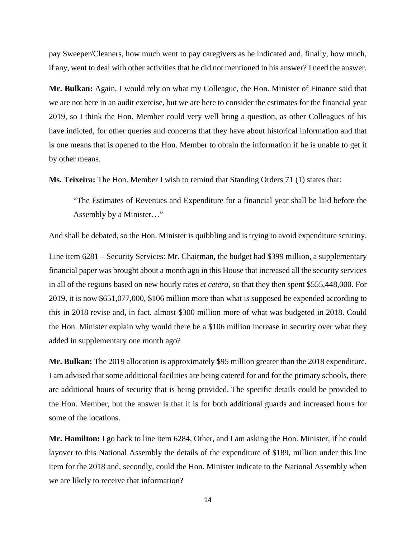pay Sweeper/Cleaners, how much went to pay caregivers as he indicated and, finally, how much, if any, went to deal with other activities that he did not mentioned in his answer? I need the answer.

**Mr. Bulkan:** Again, I would rely on what my Colleague, the Hon. Minister of Finance said that we are not here in an audit exercise, but we are here to consider the estimates for the financial year 2019, so I think the Hon. Member could very well bring a question, as other Colleagues of his have indicted, for other queries and concerns that they have about historical information and that is one means that is opened to the Hon. Member to obtain the information if he is unable to get it by other means.

**Ms. Teixeira:** The Hon. Member I wish to remind that Standing Orders 71 (1) states that:

"The Estimates of Revenues and Expenditure for a financial year shall be laid before the Assembly by a Minister…"

And shall be debated, so the Hon. Minister is quibbling and is trying to avoid expenditure scrutiny.

Line item 6281 – Security Services: Mr. Chairman, the budget had \$399 million, a supplementary financial paper was brought about a month ago in this House that increased all the security services in all of the regions based on new hourly rates *et cetera*, so that they then spent \$555,448,000. For 2019, it is now \$651,077,000, \$106 million more than what is supposed be expended according to this in 2018 revise and, in fact, almost \$300 million more of what was budgeted in 2018. Could the Hon. Minister explain why would there be a \$106 million increase in security over what they added in supplementary one month ago?

**Mr. Bulkan:** The 2019 allocation is approximately \$95 million greater than the 2018 expenditure. I am advised that some additional facilities are being catered for and for the primary schools, there are additional hours of security that is being provided. The specific details could be provided to the Hon. Member, but the answer is that it is for both additional guards and increased hours for some of the locations.

**Mr. Hamilton:** I go back to line item 6284, Other, and I am asking the Hon. Minister, if he could layover to this National Assembly the details of the expenditure of \$189, million under this line item for the 2018 and, secondly, could the Hon. Minister indicate to the National Assembly when we are likely to receive that information?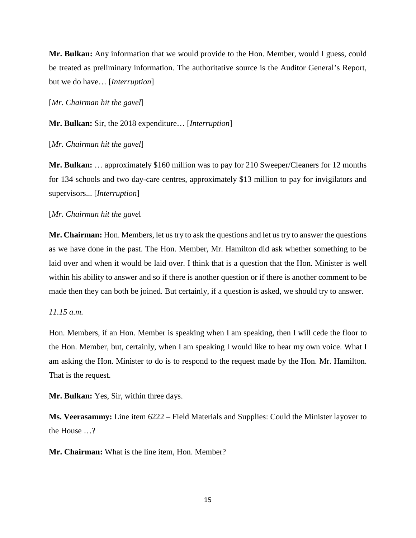**Mr. Bulkan:** Any information that we would provide to the Hon. Member, would I guess, could be treated as preliminary information. The authoritative source is the Auditor General's Report, but we do have… [*Interruption*]

[*Mr. Chairman hit the gavel*]

**Mr. Bulkan:** Sir, the 2018 expenditure… [*Interruption*]

[*Mr. Chairman hit the gavel*]

**Mr. Bulkan:** … approximately \$160 million was to pay for 210 Sweeper/Cleaners for 12 months for 134 schools and two day-care centres, approximately \$13 million to pay for invigilators and supervisors... [*Interruption*]

# [*Mr. Chairman hit the gave*l

**Mr. Chairman:** Hon. Members, let us try to ask the questions and let us try to answer the questions as we have done in the past. The Hon. Member, Mr. Hamilton did ask whether something to be laid over and when it would be laid over. I think that is a question that the Hon. Minister is well within his ability to answer and so if there is another question or if there is another comment to be made then they can both be joined. But certainly, if a question is asked, we should try to answer.

## *11.15 a.m.*

Hon. Members, if an Hon. Member is speaking when I am speaking, then I will cede the floor to the Hon. Member, but, certainly, when I am speaking I would like to hear my own voice. What I am asking the Hon. Minister to do is to respond to the request made by the Hon. Mr. Hamilton. That is the request.

**Mr. Bulkan:** Yes, Sir, within three days.

**Ms. Veerasammy:** Line item 6222 – Field Materials and Supplies: Could the Minister layover to the House …?

**Mr. Chairman:** What is the line item, Hon. Member?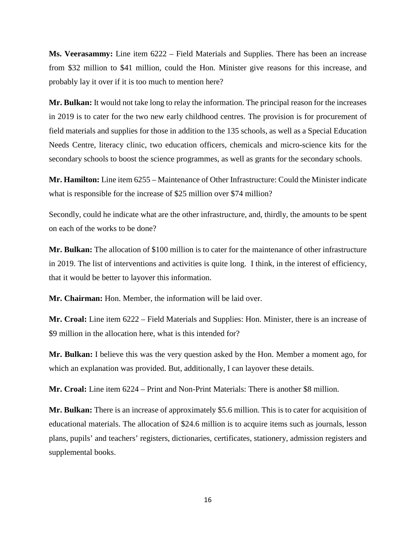**Ms. Veerasammy:** Line item 6222 – Field Materials and Supplies. There has been an increase from \$32 million to \$41 million, could the Hon. Minister give reasons for this increase, and probably lay it over if it is too much to mention here?

**Mr. Bulkan:** It would not take long to relay the information. The principal reason for the increases in 2019 is to cater for the two new early childhood centres. The provision is for procurement of field materials and supplies for those in addition to the 135 schools, as well as a Special Education Needs Centre, literacy clinic, two education officers, chemicals and micro-science kits for the secondary schools to boost the science programmes, as well as grants for the secondary schools.

**Mr. Hamilton:** Line item 6255 – Maintenance of Other Infrastructure: Could the Minister indicate what is responsible for the increase of \$25 million over \$74 million?

Secondly, could he indicate what are the other infrastructure, and, thirdly, the amounts to be spent on each of the works to be done?

**Mr. Bulkan:** The allocation of \$100 million is to cater for the maintenance of other infrastructure in 2019. The list of interventions and activities is quite long. I think, in the interest of efficiency, that it would be better to layover this information.

**Mr. Chairman:** Hon. Member, the information will be laid over.

**Mr. Croal:** Line item 6222 – Field Materials and Supplies: Hon. Minister, there is an increase of \$9 million in the allocation here, what is this intended for?

**Mr. Bulkan:** I believe this was the very question asked by the Hon. Member a moment ago, for which an explanation was provided. But, additionally, I can layover these details.

**Mr. Croal:** Line item 6224 – Print and Non-Print Materials: There is another \$8 million.

**Mr. Bulkan:** There is an increase of approximately \$5.6 million. This is to cater for acquisition of educational materials. The allocation of \$24.6 million is to acquire items such as journals, lesson plans, pupils' and teachers' registers, dictionaries, certificates, stationery, admission registers and supplemental books.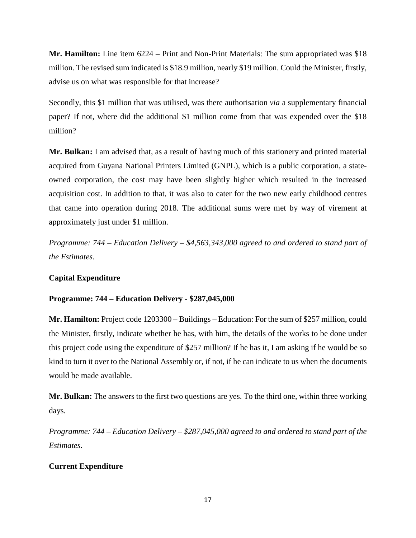**Mr. Hamilton:** Line item 6224 – Print and Non-Print Materials: The sum appropriated was \$18 million. The revised sum indicated is \$18.9 million, nearly \$19 million. Could the Minister, firstly, advise us on what was responsible for that increase?

Secondly, this \$1 million that was utilised, was there authorisation *via* a supplementary financial paper? If not, where did the additional \$1 million come from that was expended over the \$18 million?

**Mr. Bulkan:** I am advised that, as a result of having much of this stationery and printed material acquired from Guyana National Printers Limited (GNPL), which is a public corporation, a stateowned corporation, the cost may have been slightly higher which resulted in the increased acquisition cost. In addition to that, it was also to cater for the two new early childhood centres that came into operation during 2018. The additional sums were met by way of virement at approximately just under \$1 million.

*Programme: 744 – Education Delivery – \$4,563,343,000 agreed to and ordered to stand part of the Estimates.* 

# **Capital Expenditure**

# **Programme: 744 – Education Delivery - \$287,045,000**

**Mr. Hamilton:** Project code 1203300 – Buildings – Education: For the sum of \$257 million, could the Minister, firstly, indicate whether he has, with him, the details of the works to be done under this project code using the expenditure of \$257 million? If he has it, I am asking if he would be so kind to turn it over to the National Assembly or, if not, if he can indicate to us when the documents would be made available.

**Mr. Bulkan:** The answers to the first two questions are yes. To the third one, within three working days.

*Programme: 744 – Education Delivery – \$287,045,000 agreed to and ordered to stand part of the Estimates.* 

# **Current Expenditure**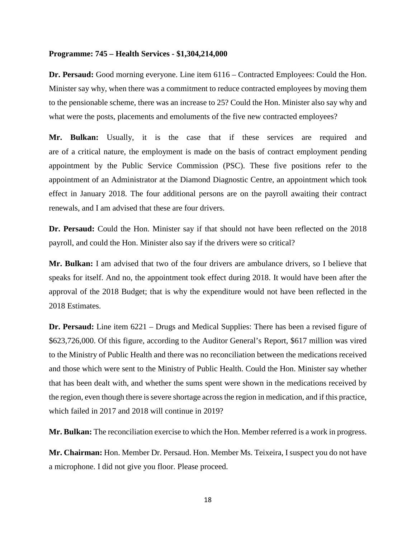#### **Programme: 745 – Health Services - \$1,304,214,000**

**Dr. Persaud:** Good morning everyone. Line item 6116 – Contracted Employees: Could the Hon. Minister say why, when there was a commitment to reduce contracted employees by moving them to the pensionable scheme, there was an increase to 25? Could the Hon. Minister also say why and what were the posts, placements and emoluments of the five new contracted employees?

**Mr. Bulkan:** Usually, it is the case that if these services are required and are of a critical nature, the employment is made on the basis of contract employment pending appointment by the Public Service Commission (PSC). These five positions refer to the appointment of an Administrator at the Diamond Diagnostic Centre, an appointment which took effect in January 2018. The four additional persons are on the payroll awaiting their contract renewals, and I am advised that these are four drivers.

**Dr. Persaud:** Could the Hon. Minister say if that should not have been reflected on the 2018 payroll, and could the Hon. Minister also say if the drivers were so critical?

**Mr. Bulkan:** I am advised that two of the four drivers are ambulance drivers, so I believe that speaks for itself. And no, the appointment took effect during 2018. It would have been after the approval of the 2018 Budget; that is why the expenditure would not have been reflected in the 2018 Estimates.

**Dr. Persaud:** Line item 6221 – Drugs and Medical Supplies: There has been a revised figure of \$623,726,000. Of this figure, according to the Auditor General's Report, \$617 million was vired to the Ministry of Public Health and there was no reconciliation between the medications received and those which were sent to the Ministry of Public Health. Could the Hon. Minister say whether that has been dealt with, and whether the sums spent were shown in the medications received by the region, even though there is severe shortage across the region in medication, and if this practice, which failed in 2017 and 2018 will continue in 2019?

**Mr. Bulkan:** The reconciliation exercise to which the Hon. Member referred is a work in progress.

**Mr. Chairman:** Hon. Member Dr. Persaud. Hon. Member Ms. Teixeira, I suspect you do not have a microphone. I did not give you floor. Please proceed.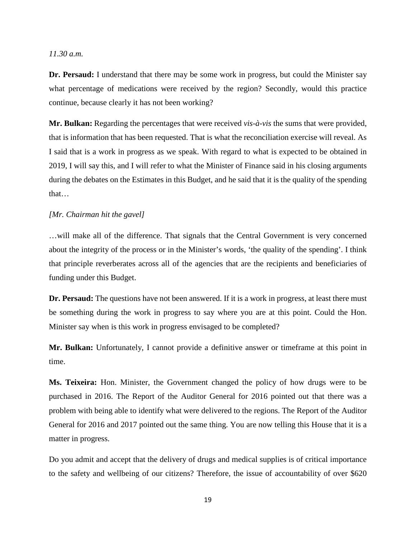## *11.30 a.m.*

**Dr. Persaud:** I understand that there may be some work in progress, but could the Minister say what percentage of medications were received by the region? Secondly, would this practice continue, because clearly it has not been working?

**Mr. Bulkan:** Regarding the percentages that were received *vis-à-vis* the sums that were provided, that is information that has been requested. That is what the reconciliation exercise will reveal. As I said that is a work in progress as we speak. With regard to what is expected to be obtained in 2019, I will say this, and I will refer to what the Minister of Finance said in his closing arguments during the debates on the Estimates in this Budget, and he said that it is the quality of the spending that…

## *[Mr. Chairman hit the gavel]*

…will make all of the difference. That signals that the Central Government is very concerned about the integrity of the process or in the Minister's words, 'the quality of the spending'. I think that principle reverberates across all of the agencies that are the recipients and beneficiaries of funding under this Budget.

**Dr. Persaud:** The questions have not been answered. If it is a work in progress, at least there must be something during the work in progress to say where you are at this point. Could the Hon. Minister say when is this work in progress envisaged to be completed?

**Mr. Bulkan:** Unfortunately, I cannot provide a definitive answer or timeframe at this point in time.

**Ms. Teixeira:** Hon. Minister, the Government changed the policy of how drugs were to be purchased in 2016. The Report of the Auditor General for 2016 pointed out that there was a problem with being able to identify what were delivered to the regions. The Report of the Auditor General for 2016 and 2017 pointed out the same thing. You are now telling this House that it is a matter in progress.

Do you admit and accept that the delivery of drugs and medical supplies is of critical importance to the safety and wellbeing of our citizens? Therefore, the issue of accountability of over \$620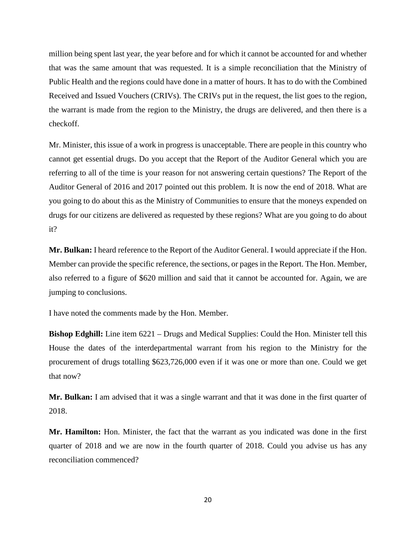million being spent last year, the year before and for which it cannot be accounted for and whether that was the same amount that was requested. It is a simple reconciliation that the Ministry of Public Health and the regions could have done in a matter of hours. It has to do with the Combined Received and Issued Vouchers (CRIVs). The CRIVs put in the request, the list goes to the region, the warrant is made from the region to the Ministry, the drugs are delivered, and then there is a checkoff.

Mr. Minister, this issue of a work in progress is unacceptable. There are people in this country who cannot get essential drugs. Do you accept that the Report of the Auditor General which you are referring to all of the time is your reason for not answering certain questions? The Report of the Auditor General of 2016 and 2017 pointed out this problem. It is now the end of 2018. What are you going to do about this as the Ministry of Communities to ensure that the moneys expended on drugs for our citizens are delivered as requested by these regions? What are you going to do about it?

**Mr. Bulkan:** I heard reference to the Report of the Auditor General. I would appreciate if the Hon. Member can provide the specific reference, the sections, or pages in the Report. The Hon. Member, also referred to a figure of \$620 million and said that it cannot be accounted for. Again, we are jumping to conclusions.

I have noted the comments made by the Hon. Member.

**Bishop Edghill:** Line item 6221 – Drugs and Medical Supplies: Could the Hon. Minister tell this House the dates of the interdepartmental warrant from his region to the Ministry for the procurement of drugs totalling \$623,726,000 even if it was one or more than one. Could we get that now?

**Mr. Bulkan:** I am advised that it was a single warrant and that it was done in the first quarter of 2018.

**Mr. Hamilton:** Hon. Minister, the fact that the warrant as you indicated was done in the first quarter of 2018 and we are now in the fourth quarter of 2018. Could you advise us has any reconciliation commenced?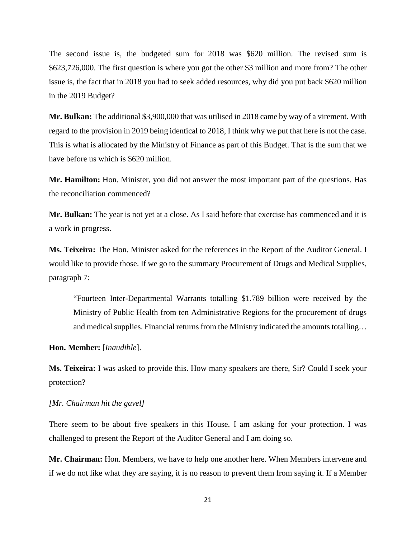The second issue is, the budgeted sum for 2018 was \$620 million. The revised sum is \$623,726,000. The first question is where you got the other \$3 million and more from? The other issue is, the fact that in 2018 you had to seek added resources, why did you put back \$620 million in the 2019 Budget?

**Mr. Bulkan:** The additional \$3,900,000 that was utilised in 2018 came by way of a virement. With regard to the provision in 2019 being identical to 2018, I think why we put that here is not the case. This is what is allocated by the Ministry of Finance as part of this Budget. That is the sum that we have before us which is \$620 million.

**Mr. Hamilton:** Hon. Minister, you did not answer the most important part of the questions. Has the reconciliation commenced?

**Mr. Bulkan:** The year is not yet at a close. As I said before that exercise has commenced and it is a work in progress.

**Ms. Teixeira:** The Hon. Minister asked for the references in the Report of the Auditor General. I would like to provide those. If we go to the summary Procurement of Drugs and Medical Supplies, paragraph 7:

"Fourteen Inter-Departmental Warrants totalling \$1.789 billion were received by the Ministry of Public Health from ten Administrative Regions for the procurement of drugs and medical supplies. Financial returns from the Ministry indicated the amounts totalling…

## **Hon. Member:** [*Inaudible*].

**Ms. Teixeira:** I was asked to provide this. How many speakers are there, Sir? Could I seek your protection?

## *[Mr. Chairman hit the gavel]*

There seem to be about five speakers in this House. I am asking for your protection. I was challenged to present the Report of the Auditor General and I am doing so.

**Mr. Chairman:** Hon. Members, we have to help one another here. When Members intervene and if we do not like what they are saying, it is no reason to prevent them from saying it. If a Member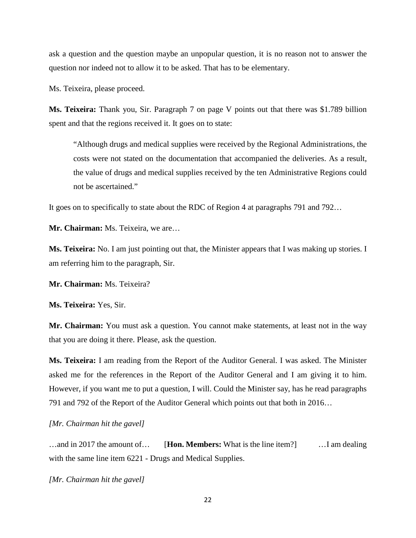ask a question and the question maybe an unpopular question, it is no reason not to answer the question nor indeed not to allow it to be asked. That has to be elementary.

Ms. Teixeira, please proceed.

**Ms. Teixeira:** Thank you, Sir. Paragraph 7 on page V points out that there was \$1.789 billion spent and that the regions received it. It goes on to state:

"Although drugs and medical supplies were received by the Regional Administrations, the costs were not stated on the documentation that accompanied the deliveries. As a result, the value of drugs and medical supplies received by the ten Administrative Regions could not be ascertained."

It goes on to specifically to state about the RDC of Region 4 at paragraphs 791 and 792…

**Mr. Chairman:** Ms. Teixeira, we are…

**Ms. Teixeira:** No. I am just pointing out that, the Minister appears that I was making up stories. I am referring him to the paragraph, Sir.

**Mr. Chairman:** Ms. Teixeira?

**Ms. Teixeira:** Yes, Sir.

**Mr. Chairman:** You must ask a question. You cannot make statements, at least not in the way that you are doing it there. Please, ask the question.

**Ms. Teixeira:** I am reading from the Report of the Auditor General. I was asked. The Minister asked me for the references in the Report of the Auditor General and I am giving it to him. However, if you want me to put a question, I will. Could the Minister say, has he read paragraphs 791 and 792 of the Report of the Auditor General which points out that both in 2016…

#### *[Mr. Chairman hit the gavel]*

…and in 2017 the amount of… [**Hon. Members:** What is the line item?] …I am dealing with the same line item  $6221$  - Drugs and Medical Supplies.

*[Mr. Chairman hit the gavel]*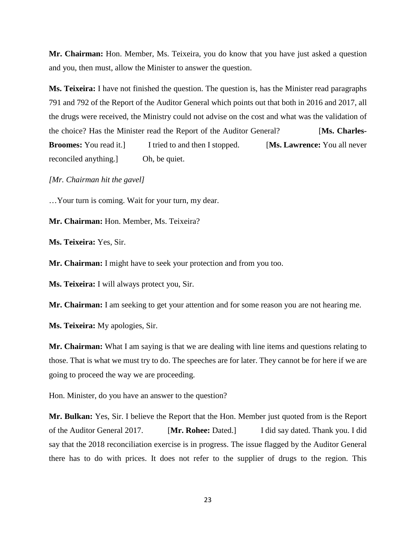**Mr. Chairman:** Hon. Member, Ms. Teixeira, you do know that you have just asked a question and you, then must, allow the Minister to answer the question.

**Ms. Teixeira:** I have not finished the question. The question is, has the Minister read paragraphs 791 and 792 of the Report of the Auditor General which points out that both in 2016 and 2017, all the drugs were received, the Ministry could not advise on the cost and what was the validation of the choice? Has the Minister read the Report of the Auditor General? [**Ms. Charles-Broomes:** You read it.] I tried to and then I stopped. [**Ms. Lawrence:** You all never reconciled anything.] Oh, be quiet.

*[Mr. Chairman hit the gavel]*

…Your turn is coming. Wait for your turn, my dear.

**Mr. Chairman:** Hon. Member, Ms. Teixeira?

**Ms. Teixeira:** Yes, Sir.

**Mr. Chairman:** I might have to seek your protection and from you too.

**Ms. Teixeira:** I will always protect you, Sir.

**Mr. Chairman:** I am seeking to get your attention and for some reason you are not hearing me.

**Ms. Teixeira:** My apologies, Sir.

**Mr. Chairman:** What I am saying is that we are dealing with line items and questions relating to those. That is what we must try to do. The speeches are for later. They cannot be for here if we are going to proceed the way we are proceeding.

Hon. Minister, do you have an answer to the question?

**Mr. Bulkan:** Yes, Sir. I believe the Report that the Hon. Member just quoted from is the Report of the Auditor General 2017. [**Mr. Rohee:** Dated.] I did say dated. Thank you. I did say that the 2018 reconciliation exercise is in progress. The issue flagged by the Auditor General there has to do with prices. It does not refer to the supplier of drugs to the region. This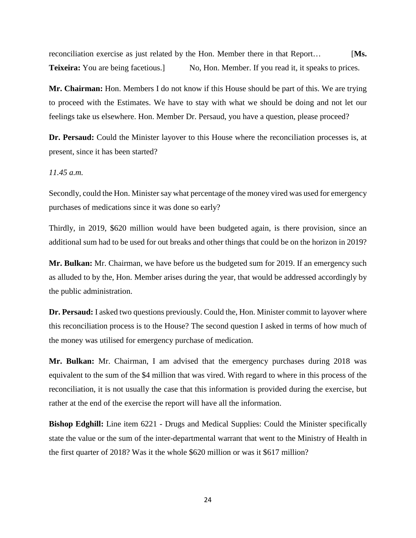reconciliation exercise as just related by the Hon. Member there in that Report… [**Ms. Teixeira:** You are being facetious.] No, Hon. Member. If you read it, it speaks to prices.

**Mr. Chairman:** Hon. Members I do not know if this House should be part of this. We are trying to proceed with the Estimates. We have to stay with what we should be doing and not let our feelings take us elsewhere. Hon. Member Dr. Persaud, you have a question, please proceed?

**Dr. Persaud:** Could the Minister layover to this House where the reconciliation processes is, at present, since it has been started?

## *11.45 a.m.*

Secondly, could the Hon. Minister say what percentage of the money vired was used for emergency purchases of medications since it was done so early?

Thirdly, in 2019, \$620 million would have been budgeted again, is there provision, since an additional sum had to be used for out breaks and other things that could be on the horizon in 2019?

**Mr. Bulkan:** Mr. Chairman, we have before us the budgeted sum for 2019. If an emergency such as alluded to by the, Hon. Member arises during the year, that would be addressed accordingly by the public administration.

**Dr. Persaud:** I asked two questions previously. Could the, Hon. Minister commit to layover where this reconciliation process is to the House? The second question I asked in terms of how much of the money was utilised for emergency purchase of medication.

**Mr. Bulkan:** Mr. Chairman, I am advised that the emergency purchases during 2018 was equivalent to the sum of the \$4 million that was vired. With regard to where in this process of the reconciliation, it is not usually the case that this information is provided during the exercise, but rather at the end of the exercise the report will have all the information.

**Bishop Edghill:** Line item 6221 - Drugs and Medical Supplies: Could the Minister specifically state the value or the sum of the inter-departmental warrant that went to the Ministry of Health in the first quarter of 2018? Was it the whole \$620 million or was it \$617 million?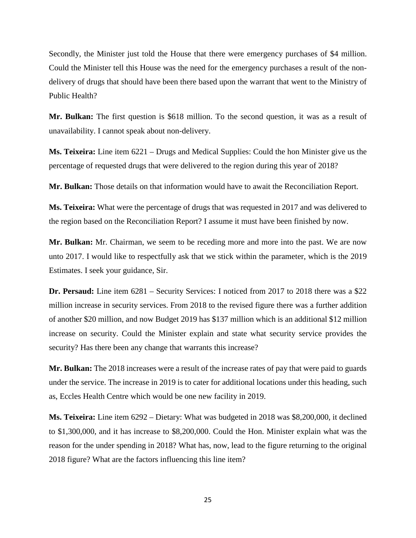Secondly, the Minister just told the House that there were emergency purchases of \$4 million. Could the Minister tell this House was the need for the emergency purchases a result of the nondelivery of drugs that should have been there based upon the warrant that went to the Ministry of Public Health?

**Mr. Bulkan:** The first question is \$618 million. To the second question, it was as a result of unavailability. I cannot speak about non-delivery.

**Ms. Teixeira:** Line item 6221 – Drugs and Medical Supplies: Could the hon Minister give us the percentage of requested drugs that were delivered to the region during this year of 2018?

**Mr. Bulkan:** Those details on that information would have to await the Reconciliation Report.

**Ms. Teixeira:** What were the percentage of drugs that was requested in 2017 and was delivered to the region based on the Reconciliation Report? I assume it must have been finished by now.

**Mr. Bulkan:** Mr. Chairman, we seem to be receding more and more into the past. We are now unto 2017. I would like to respectfully ask that we stick within the parameter, which is the 2019 Estimates. I seek your guidance, Sir.

**Dr. Persaud:** Line item 6281 – Security Services: I noticed from 2017 to 2018 there was a \$22 million increase in security services. From 2018 to the revised figure there was a further addition of another \$20 million, and now Budget 2019 has \$137 million which is an additional \$12 million increase on security. Could the Minister explain and state what security service provides the security? Has there been any change that warrants this increase?

**Mr. Bulkan:** The 2018 increases were a result of the increase rates of pay that were paid to guards under the service. The increase in 2019 is to cater for additional locations under this heading, such as, Eccles Health Centre which would be one new facility in 2019.

**Ms. Teixeira:** Line item 6292 – Dietary: What was budgeted in 2018 was \$8,200,000, it declined to \$1,300,000, and it has increase to \$8,200,000. Could the Hon. Minister explain what was the reason for the under spending in 2018? What has, now, lead to the figure returning to the original 2018 figure? What are the factors influencing this line item?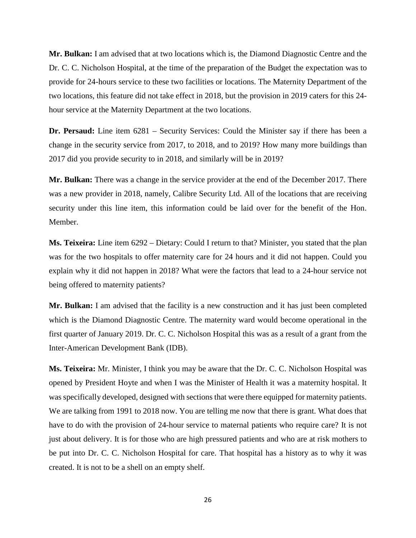**Mr. Bulkan:** I am advised that at two locations which is, the Diamond Diagnostic Centre and the Dr. C. C. Nicholson Hospital, at the time of the preparation of the Budget the expectation was to provide for 24-hours service to these two facilities or locations. The Maternity Department of the two locations, this feature did not take effect in 2018, but the provision in 2019 caters for this 24 hour service at the Maternity Department at the two locations.

**Dr. Persaud:** Line item 6281 – Security Services: Could the Minister say if there has been a change in the security service from 2017, to 2018, and to 2019? How many more buildings than 2017 did you provide security to in 2018, and similarly will be in 2019?

**Mr. Bulkan:** There was a change in the service provider at the end of the December 2017. There was a new provider in 2018, namely, Calibre Security Ltd. All of the locations that are receiving security under this line item, this information could be laid over for the benefit of the Hon. Member.

**Ms. Teixeira:** Line item 6292 – Dietary: Could I return to that? Minister, you stated that the plan was for the two hospitals to offer maternity care for 24 hours and it did not happen. Could you explain why it did not happen in 2018? What were the factors that lead to a 24-hour service not being offered to maternity patients?

**Mr. Bulkan:** I am advised that the facility is a new construction and it has just been completed which is the Diamond Diagnostic Centre. The maternity ward would become operational in the first quarter of January 2019. Dr. C. C. Nicholson Hospital this was as a result of a grant from the Inter-American Development Bank (IDB).

**Ms. Teixeira:** Mr. Minister, I think you may be aware that the Dr. C. C. Nicholson Hospital was opened by President Hoyte and when I was the Minister of Health it was a maternity hospital. It was specifically developed, designed with sections that were there equipped for maternity patients. We are talking from 1991 to 2018 now. You are telling me now that there is grant. What does that have to do with the provision of 24-hour service to maternal patients who require care? It is not just about delivery. It is for those who are high pressured patients and who are at risk mothers to be put into Dr. C. C. Nicholson Hospital for care. That hospital has a history as to why it was created. It is not to be a shell on an empty shelf.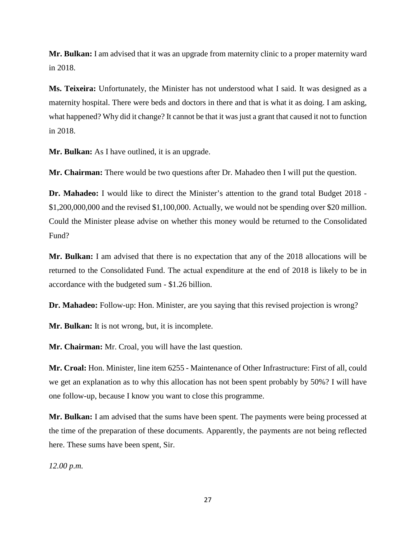**Mr. Bulkan:** I am advised that it was an upgrade from maternity clinic to a proper maternity ward in 2018.

**Ms. Teixeira:** Unfortunately, the Minister has not understood what I said. It was designed as a maternity hospital. There were beds and doctors in there and that is what it as doing. I am asking, what happened? Why did it change? It cannot be that it was just a grant that caused it not to function in 2018.

**Mr. Bulkan:** As I have outlined, it is an upgrade.

**Mr. Chairman:** There would be two questions after Dr. Mahadeo then I will put the question.

**Dr. Mahadeo:** I would like to direct the Minister's attention to the grand total Budget 2018 - \$1,200,000,000 and the revised \$1,100,000. Actually, we would not be spending over \$20 million. Could the Minister please advise on whether this money would be returned to the Consolidated Fund?

**Mr. Bulkan:** I am advised that there is no expectation that any of the 2018 allocations will be returned to the Consolidated Fund. The actual expenditure at the end of 2018 is likely to be in accordance with the budgeted sum - \$1.26 billion.

**Dr. Mahadeo:** Follow-up: Hon. Minister, are you saying that this revised projection is wrong?

**Mr. Bulkan:** It is not wrong, but, it is incomplete.

**Mr. Chairman:** Mr. Croal, you will have the last question.

**Mr. Croal:** Hon. Minister, line item 6255 - Maintenance of Other Infrastructure: First of all, could we get an explanation as to why this allocation has not been spent probably by 50%? I will have one follow-up, because I know you want to close this programme.

**Mr. Bulkan:** I am advised that the sums have been spent. The payments were being processed at the time of the preparation of these documents. Apparently, the payments are not being reflected here. These sums have been spent, Sir.

*12.00 p.m.*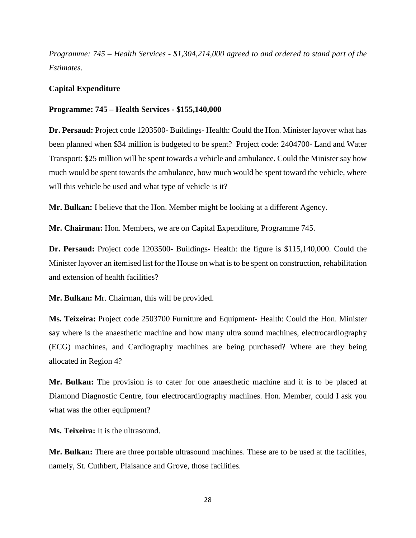*Programme: 745 – Health Services - \$1,304,214,000 agreed to and ordered to stand part of the Estimates.*

## **Capital Expenditure**

#### **Programme: 745 – Health Services - \$155,140,000**

**Dr. Persaud:** Project code 1203500- Buildings- Health: Could the Hon. Minister layover what has been planned when \$34 million is budgeted to be spent? Project code: 2404700- Land and Water Transport: \$25 million will be spent towards a vehicle and ambulance. Could the Minister say how much would be spent towards the ambulance, how much would be spent toward the vehicle, where will this vehicle be used and what type of vehicle is it?

**Mr. Bulkan:** I believe that the Hon. Member might be looking at a different Agency.

**Mr. Chairman:** Hon. Members, we are on Capital Expenditure, Programme 745.

**Dr. Persaud:** Project code 1203500- Buildings- Health: the figure is \$115,140,000. Could the Minister layover an itemised list for the House on what is to be spent on construction, rehabilitation and extension of health facilities?

**Mr. Bulkan:** Mr. Chairman, this will be provided.

**Ms. Teixeira:** Project code 2503700 Furniture and Equipment- Health: Could the Hon. Minister say where is the anaesthetic machine and how many ultra sound machines, electrocardiography (ECG) machines, and Cardiography machines are being purchased? Where are they being allocated in Region 4?

**Mr. Bulkan:** The provision is to cater for one anaesthetic machine and it is to be placed at Diamond Diagnostic Centre, four electrocardiography machines. Hon. Member, could I ask you what was the other equipment?

**Ms. Teixeira:** It is the ultrasound.

**Mr. Bulkan:** There are three portable ultrasound machines. These are to be used at the facilities, namely, St. Cuthbert, Plaisance and Grove, those facilities.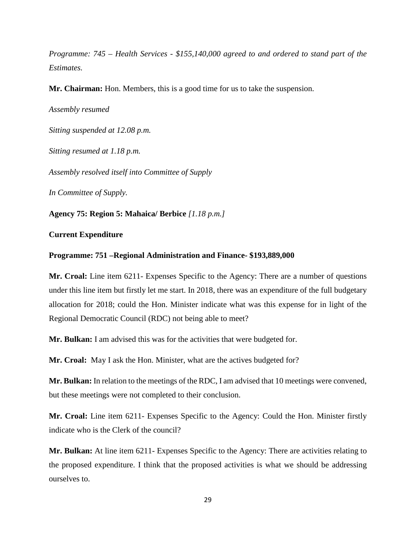*Programme: 745 – Health Services - \$155,140,000 agreed to and ordered to stand part of the Estimates.*

**Mr. Chairman:** Hon. Members, this is a good time for us to take the suspension.

*Assembly resumed Sitting suspended at 12.08 p.m. Sitting resumed at 1.18 p.m. Assembly resolved itself into Committee of Supply In Committee of Supply.*

**Agency 75: Region 5: Mahaica/ Berbice** *[1.18 p.m.]*

## **Current Expenditure**

## **Programme: 751 –Regional Administration and Finance- \$193,889,000**

**Mr. Croal:** Line item 6211- Expenses Specific to the Agency: There are a number of questions under this line item but firstly let me start. In 2018, there was an expenditure of the full budgetary allocation for 2018; could the Hon. Minister indicate what was this expense for in light of the Regional Democratic Council (RDC) not being able to meet?

**Mr. Bulkan:** I am advised this was for the activities that were budgeted for.

**Mr. Croal:** May I ask the Hon. Minister, what are the actives budgeted for?

**Mr. Bulkan:** In relation to the meetings of the RDC, I am advised that 10 meetings were convened, but these meetings were not completed to their conclusion.

**Mr. Croal:** Line item 6211- Expenses Specific to the Agency: Could the Hon. Minister firstly indicate who is the Clerk of the council?

**Mr. Bulkan:** At line item 6211- Expenses Specific to the Agency: There are activities relating to the proposed expenditure. I think that the proposed activities is what we should be addressing ourselves to.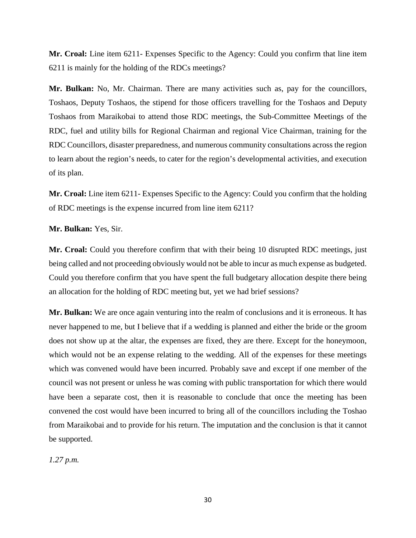**Mr. Croal:** Line item 6211- Expenses Specific to the Agency: Could you confirm that line item 6211 is mainly for the holding of the RDCs meetings?

**Mr. Bulkan:** No, Mr. Chairman. There are many activities such as, pay for the councillors, Toshaos, Deputy Toshaos, the stipend for those officers travelling for the Toshaos and Deputy Toshaos from Maraikobai to attend those RDC meetings, the Sub-Committee Meetings of the RDC, fuel and utility bills for Regional Chairman and regional Vice Chairman, training for the RDC Councillors, disaster preparedness, and numerous community consultations across the region to learn about the region's needs, to cater for the region's developmental activities, and execution of its plan.

**Mr. Croal:** Line item 6211- Expenses Specific to the Agency: Could you confirm that the holding of RDC meetings is the expense incurred from line item 6211?

**Mr. Bulkan:** Yes, Sir.

**Mr. Croal:** Could you therefore confirm that with their being 10 disrupted RDC meetings, just being called and not proceeding obviously would not be able to incur as much expense as budgeted. Could you therefore confirm that you have spent the full budgetary allocation despite there being an allocation for the holding of RDC meeting but, yet we had brief sessions?

**Mr. Bulkan:** We are once again venturing into the realm of conclusions and it is erroneous. It has never happened to me, but I believe that if a wedding is planned and either the bride or the groom does not show up at the altar, the expenses are fixed, they are there. Except for the honeymoon, which would not be an expense relating to the wedding. All of the expenses for these meetings which was convened would have been incurred. Probably save and except if one member of the council was not present or unless he was coming with public transportation for which there would have been a separate cost, then it is reasonable to conclude that once the meeting has been convened the cost would have been incurred to bring all of the councillors including the Toshao from Maraikobai and to provide for his return. The imputation and the conclusion is that it cannot be supported.

*1.27 p.m.*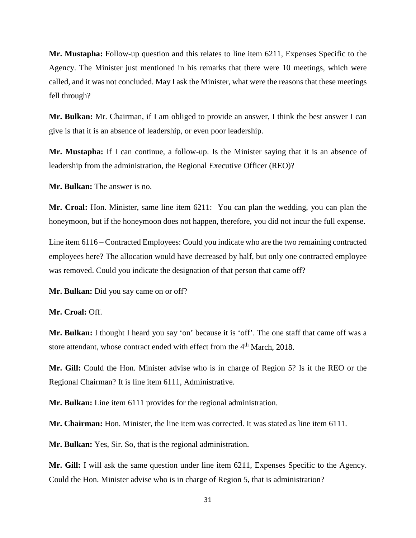**Mr. Mustapha:** Follow-up question and this relates to line item 6211, Expenses Specific to the Agency. The Minister just mentioned in his remarks that there were 10 meetings, which were called, and it was not concluded. May I ask the Minister, what were the reasons that these meetings fell through?

**Mr. Bulkan:** Mr. Chairman, if I am obliged to provide an answer, I think the best answer I can give is that it is an absence of leadership, or even poor leadership.

**Mr. Mustapha:** If I can continue, a follow-up. Is the Minister saying that it is an absence of leadership from the administration, the Regional Executive Officer (REO)?

**Mr. Bulkan:** The answer is no.

**Mr. Croal:** Hon. Minister, same line item 6211: You can plan the wedding, you can plan the honeymoon, but if the honeymoon does not happen, therefore, you did not incur the full expense.

Line item 6116 – Contracted Employees: Could you indicate who are the two remaining contracted employees here? The allocation would have decreased by half, but only one contracted employee was removed. Could you indicate the designation of that person that came off?

**Mr. Bulkan:** Did you say came on or off?

**Mr. Croal:** Off.

**Mr. Bulkan:** I thought I heard you say 'on' because it is 'off'. The one staff that came off was a store attendant, whose contract ended with effect from the  $4<sup>th</sup>$  March, 2018.

**Mr. Gill:** Could the Hon. Minister advise who is in charge of Region 5? Is it the REO or the Regional Chairman? It is line item 6111, Administrative.

**Mr. Bulkan:** Line item 6111 provides for the regional administration.

**Mr. Chairman:** Hon. Minister, the line item was corrected. It was stated as line item 6111.

**Mr. Bulkan:** Yes, Sir. So, that is the regional administration.

**Mr. Gill:** I will ask the same question under line item 6211, Expenses Specific to the Agency. Could the Hon. Minister advise who is in charge of Region 5, that is administration?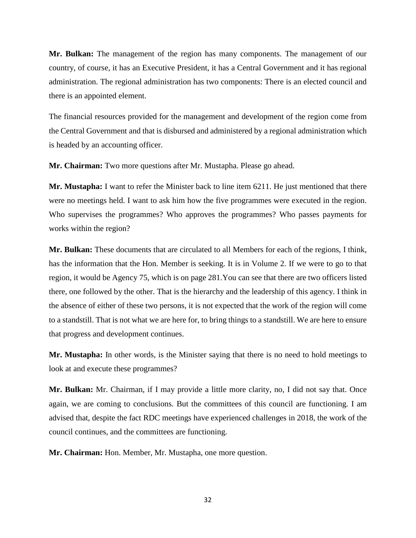**Mr. Bulkan:** The management of the region has many components. The management of our country, of course, it has an Executive President, it has a Central Government and it has regional administration. The regional administration has two components: There is an elected council and there is an appointed element.

The financial resources provided for the management and development of the region come from the Central Government and that is disbursed and administered by a regional administration which is headed by an accounting officer.

**Mr. Chairman:** Two more questions after Mr. Mustapha. Please go ahead.

**Mr. Mustapha:** I want to refer the Minister back to line item 6211. He just mentioned that there were no meetings held. I want to ask him how the five programmes were executed in the region. Who supervises the programmes? Who approves the programmes? Who passes payments for works within the region?

**Mr. Bulkan:** These documents that are circulated to all Members for each of the regions, I think, has the information that the Hon. Member is seeking. It is in Volume 2. If we were to go to that region, it would be Agency 75, which is on page 281.You can see that there are two officers listed there, one followed by the other. That is the hierarchy and the leadership of this agency. I think in the absence of either of these two persons, it is not expected that the work of the region will come to a standstill. That is not what we are here for, to bring things to a standstill. We are here to ensure that progress and development continues.

**Mr. Mustapha:** In other words, is the Minister saying that there is no need to hold meetings to look at and execute these programmes?

**Mr. Bulkan:** Mr. Chairman, if I may provide a little more clarity, no, I did not say that. Once again, we are coming to conclusions. But the committees of this council are functioning. I am advised that, despite the fact RDC meetings have experienced challenges in 2018, the work of the council continues, and the committees are functioning.

**Mr. Chairman:** Hon. Member, Mr. Mustapha, one more question.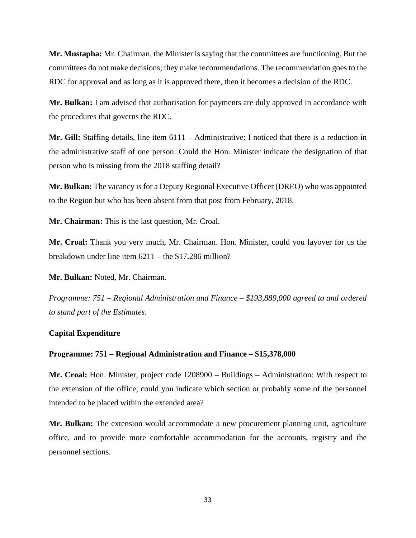**Mr. Mustapha:** Mr. Chairman, the Minister is saying that the committees are functioning. But the committees do not make decisions; they make recommendations. The recommendation goes to the RDC for approval and as long as it is approved there, then it becomes a decision of the RDC.

**Mr. Bulkan:** I am advised that authorisation for payments are duly approved in accordance with the procedures that governs the RDC.

**Mr. Gill:** Staffing details, line item 6111 – Administrative: I noticed that there is a reduction in the administrative staff of one person. Could the Hon. Minister indicate the designation of that person who is missing from the 2018 staffing detail?

**Mr. Bulkan:** The vacancy is for a Deputy Regional Executive Officer (DREO) who was appointed to the Region but who has been absent from that post from February, 2018.

**Mr. Chairman:** This is the last question, Mr. Croal.

**Mr. Croal:** Thank you very much, Mr. Chairman. Hon. Minister, could you layover for us the breakdown under line item 6211 – the \$17.286 million?

**Mr. Bulkan:** Noted, Mr. Chairman.

*Programme: 751 – Regional Administration and Finance – \$193,889,000 agreed to and ordered to stand part of the Estimates.* 

## **Capital Expenditure**

## **Programme: 751 – Regional Administration and Finance – \$15,378,000**

**Mr. Croal:** Hon. Minister, project code 1208900 – Buildings – Administration: With respect to the extension of the office, could you indicate which section or probably some of the personnel intended to be placed within the extended area?

**Mr. Bulkan:** The extension would accommodate a new procurement planning unit, agriculture office, and to provide more comfortable accommodation for the accounts, registry and the personnel sections.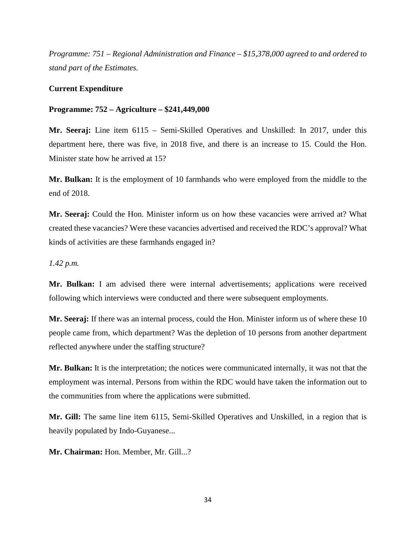*Programme: 751 – Regional Administration and Finance – \$15,378,000 agreed to and ordered to stand part of the Estimates.*

# **Current Expenditure**

## **Programme: 752 – Agriculture – \$241,449,000**

**Mr. Seeraj:** Line item 6115 – Semi-Skilled Operatives and Unskilled: In 2017, under this department here, there was five, in 2018 five, and there is an increase to 15. Could the Hon. Minister state how he arrived at 15?

**Mr. Bulkan:** It is the employment of 10 farmhands who were employed from the middle to the end of 2018.

**Mr. Seeraj:** Could the Hon. Minister inform us on how these vacancies were arrived at? What created these vacancies? Were these vacancies advertised and received the RDC's approval? What kinds of activities are these farmhands engaged in?

# *1.42 p.m.*

**Mr. Bulkan:** I am advised there were internal advertisements; applications were received following which interviews were conducted and there were subsequent employments.

**Mr. Seeraj:** If there was an internal process, could the Hon. Minister inform us of where these 10 people came from, which department? Was the depletion of 10 persons from another department reflected anywhere under the staffing structure?

**Mr. Bulkan:** It is the interpretation; the notices were communicated internally, it was not that the employment was internal. Persons from within the RDC would have taken the information out to the communities from where the applications were submitted.

**Mr. Gill:** The same line item 6115, Semi-Skilled Operatives and Unskilled, in a region that is heavily populated by Indo-Guyanese...

**Mr. Chairman:** Hon. Member, Mr. Gill...?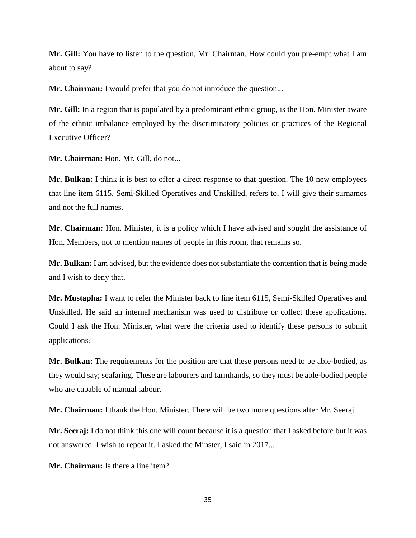**Mr. Gill:** You have to listen to the question, Mr. Chairman. How could you pre-empt what I am about to say?

**Mr. Chairman:** I would prefer that you do not introduce the question...

**Mr. Gill:** In a region that is populated by a predominant ethnic group, is the Hon. Minister aware of the ethnic imbalance employed by the discriminatory policies or practices of the Regional Executive Officer?

**Mr. Chairman:** Hon. Mr. Gill, do not...

**Mr. Bulkan:** I think it is best to offer a direct response to that question. The 10 new employees that line item 6115, Semi-Skilled Operatives and Unskilled, refers to, I will give their surnames and not the full names.

**Mr. Chairman:** Hon. Minister, it is a policy which I have advised and sought the assistance of Hon. Members, not to mention names of people in this room, that remains so.

**Mr. Bulkan:** I am advised, but the evidence does not substantiate the contention that is being made and I wish to deny that.

**Mr. Mustapha:** I want to refer the Minister back to line item 6115, Semi-Skilled Operatives and Unskilled. He said an internal mechanism was used to distribute or collect these applications. Could I ask the Hon. Minister, what were the criteria used to identify these persons to submit applications?

**Mr. Bulkan:** The requirements for the position are that these persons need to be able-bodied, as they would say; seafaring. These are labourers and farmhands, so they must be able-bodied people who are capable of manual labour.

**Mr. Chairman:** I thank the Hon. Minister. There will be two more questions after Mr. Seeraj.

**Mr. Seeraj:** I do not think this one will count because it is a question that I asked before but it was not answered. I wish to repeat it. I asked the Minster, I said in 2017...

**Mr. Chairman:** Is there a line item?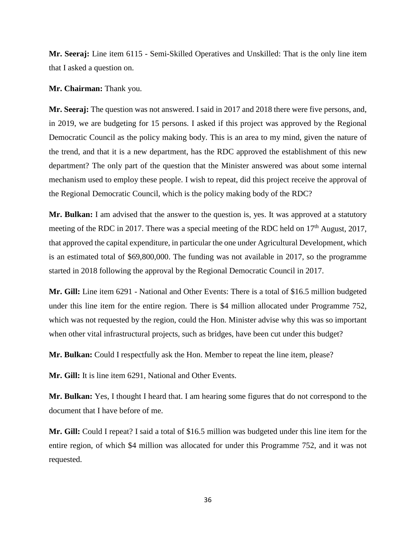**Mr. Seeraj:** Line item 6115 - Semi-Skilled Operatives and Unskilled: That is the only line item that I asked a question on.

**Mr. Chairman:** Thank you.

**Mr. Seeraj:** The question was not answered. I said in 2017 and 2018 there were five persons, and, in 2019, we are budgeting for 15 persons. I asked if this project was approved by the Regional Democratic Council as the policy making body. This is an area to my mind, given the nature of the trend, and that it is a new department, has the RDC approved the establishment of this new department? The only part of the question that the Minister answered was about some internal mechanism used to employ these people. I wish to repeat, did this project receive the approval of the Regional Democratic Council, which is the policy making body of the RDC?

**Mr. Bulkan:** I am advised that the answer to the question is, yes. It was approved at a statutory meeting of the RDC in 2017. There was a special meeting of the RDC held on  $17<sup>th</sup>$  August, 2017, that approved the capital expenditure, in particular the one under Agricultural Development, which is an estimated total of \$69,800,000. The funding was not available in 2017, so the programme started in 2018 following the approval by the Regional Democratic Council in 2017.

**Mr. Gill:** Line item 6291 - National and Other Events: There is a total of \$16.5 million budgeted under this line item for the entire region. There is \$4 million allocated under Programme 752, which was not requested by the region, could the Hon. Minister advise why this was so important when other vital infrastructural projects, such as bridges, have been cut under this budget?

**Mr. Bulkan:** Could I respectfully ask the Hon. Member to repeat the line item, please?

**Mr. Gill:** It is line item 6291, National and Other Events.

**Mr. Bulkan:** Yes, I thought I heard that. I am hearing some figures that do not correspond to the document that I have before of me.

**Mr. Gill:** Could I repeat? I said a total of \$16.5 million was budgeted under this line item for the entire region, of which \$4 million was allocated for under this Programme 752, and it was not requested.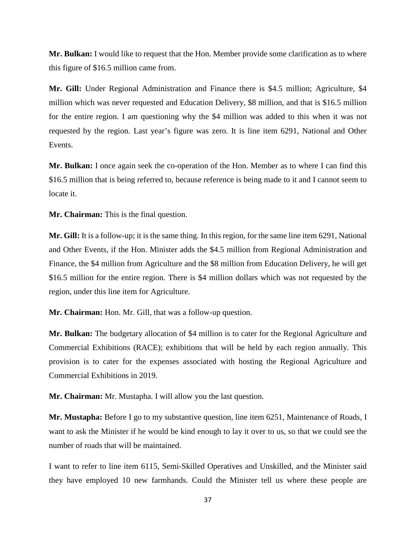**Mr. Bulkan:** I would like to request that the Hon. Member provide some clarification as to where this figure of \$16.5 million came from.

**Mr. Gill:** Under Regional Administration and Finance there is \$4.5 million; Agriculture, \$4 million which was never requested and Education Delivery, \$8 million, and that is \$16.5 million for the entire region. I am questioning why the \$4 million was added to this when it was not requested by the region. Last year's figure was zero. It is line item 6291, National and Other Events.

**Mr. Bulkan:** I once again seek the co-operation of the Hon. Member as to where I can find this \$16.5 million that is being referred to, because reference is being made to it and I cannot seem to locate it.

**Mr. Chairman:** This is the final question.

**Mr. Gill:** It is a follow-up; it is the same thing. In this region, for the same line item 6291, National and Other Events, if the Hon. Minister adds the \$4.5 million from Regional Administration and Finance, the \$4 million from Agriculture and the \$8 million from Education Delivery, he will get \$16.5 million for the entire region. There is \$4 million dollars which was not requested by the region, under this line item for Agriculture.

**Mr. Chairman:** Hon. Mr. Gill, that was a follow-up question.

**Mr. Bulkan:** The budgetary allocation of \$4 million is to cater for the Regional Agriculture and Commercial Exhibitions (RACE); exhibitions that will be held by each region annually. This provision is to cater for the expenses associated with hosting the Regional Agriculture and Commercial Exhibitions in 2019.

**Mr. Chairman:** Mr. Mustapha. I will allow you the last question.

**Mr. Mustapha:** Before I go to my substantive question, line item 6251, Maintenance of Roads, I want to ask the Minister if he would be kind enough to lay it over to us, so that we could see the number of roads that will be maintained.

I want to refer to line item 6115, Semi-Skilled Operatives and Unskilled, and the Minister said they have employed 10 new farmhands. Could the Minister tell us where these people are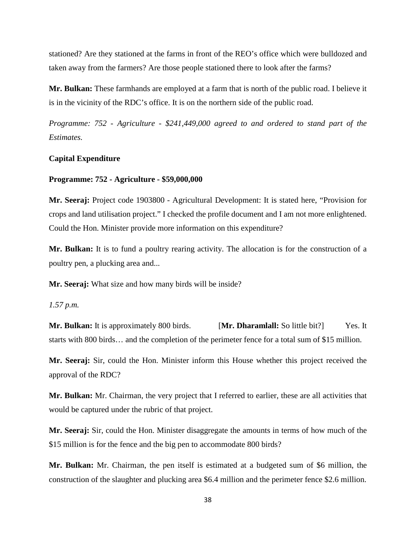stationed? Are they stationed at the farms in front of the REO's office which were bulldozed and taken away from the farmers? Are those people stationed there to look after the farms?

**Mr. Bulkan:** These farmhands are employed at a farm that is north of the public road. I believe it is in the vicinity of the RDC's office. It is on the northern side of the public road.

*Programme: 752 - Agriculture - \$241,449,000 agreed to and ordered to stand part of the Estimates.*

## **Capital Expenditure**

### **Programme: 752 - Agriculture - \$59,000,000**

**Mr. Seeraj:** Project code 1903800 - Agricultural Development: It is stated here, "Provision for crops and land utilisation project." I checked the profile document and I am not more enlightened. Could the Hon. Minister provide more information on this expenditure?

**Mr. Bulkan:** It is to fund a poultry rearing activity. The allocation is for the construction of a poultry pen, a plucking area and...

**Mr. Seeraj:** What size and how many birds will be inside?

*1.57 p.m.*

**Mr. Bulkan:** It is approximately 800 birds. **[Mr. Dharamlall:** So little bit?] Yes. It starts with 800 birds… and the completion of the perimeter fence for a total sum of \$15 million.

**Mr. Seeraj:** Sir, could the Hon. Minister inform this House whether this project received the approval of the RDC?

**Mr. Bulkan:** Mr. Chairman, the very project that I referred to earlier, these are all activities that would be captured under the rubric of that project.

**Mr. Seeraj:** Sir, could the Hon. Minister disaggregate the amounts in terms of how much of the \$15 million is for the fence and the big pen to accommodate 800 birds?

**Mr. Bulkan:** Mr. Chairman, the pen itself is estimated at a budgeted sum of \$6 million, the construction of the slaughter and plucking area \$6.4 million and the perimeter fence \$2.6 million.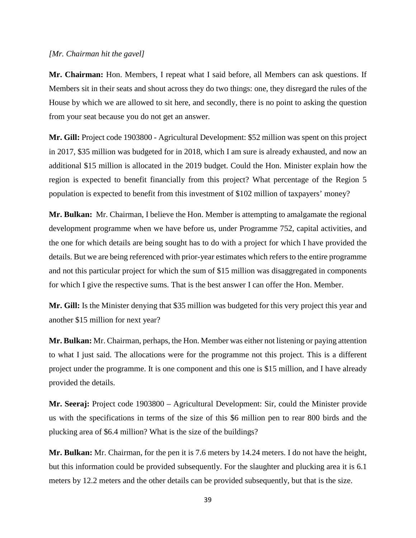#### *[Mr. Chairman hit the gavel]*

**Mr. Chairman:** Hon. Members, I repeat what I said before, all Members can ask questions. If Members sit in their seats and shout across they do two things: one, they disregard the rules of the House by which we are allowed to sit here, and secondly, there is no point to asking the question from your seat because you do not get an answer.

**Mr. Gill:** Project code 1903800 - Agricultural Development: \$52 million was spent on this project in 2017, \$35 million was budgeted for in 2018, which I am sure is already exhausted, and now an additional \$15 million is allocated in the 2019 budget. Could the Hon. Minister explain how the region is expected to benefit financially from this project? What percentage of the Region 5 population is expected to benefit from this investment of \$102 million of taxpayers' money?

**Mr. Bulkan:** Mr. Chairman, I believe the Hon. Member is attempting to amalgamate the regional development programme when we have before us, under Programme 752, capital activities, and the one for which details are being sought has to do with a project for which I have provided the details. But we are being referenced with prior-year estimates which refers to the entire programme and not this particular project for which the sum of \$15 million was disaggregated in components for which I give the respective sums. That is the best answer I can offer the Hon. Member.

**Mr. Gill:** Is the Minister denying that \$35 million was budgeted for this very project this year and another \$15 million for next year?

**Mr. Bulkan:** Mr. Chairman, perhaps, the Hon. Member was either not listening or paying attention to what I just said. The allocations were for the programme not this project. This is a different project under the programme. It is one component and this one is \$15 million, and I have already provided the details.

**Mr. Seeraj:** Project code 1903800 – Agricultural Development: Sir, could the Minister provide us with the specifications in terms of the size of this \$6 million pen to rear 800 birds and the plucking area of \$6.4 million? What is the size of the buildings?

**Mr. Bulkan:** Mr. Chairman, for the pen it is 7.6 meters by 14.24 meters. I do not have the height, but this information could be provided subsequently. For the slaughter and plucking area it is 6.1 meters by 12.2 meters and the other details can be provided subsequently, but that is the size.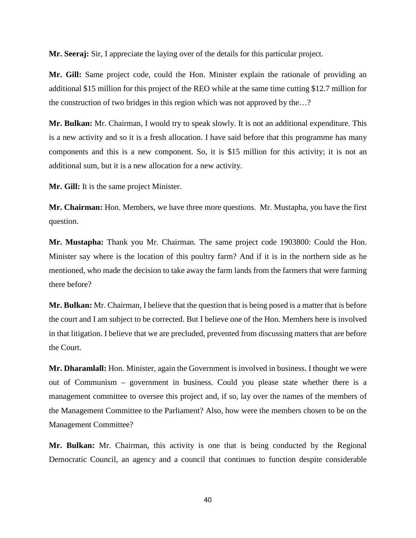**Mr. Seeraj:** Sir, I appreciate the laying over of the details for this particular project.

**Mr. Gill:** Same project code, could the Hon. Minister explain the rationale of providing an additional \$15 million for this project of the REO while at the same time cutting \$12.7 million for the construction of two bridges in this region which was not approved by the…?

**Mr. Bulkan:** Mr. Chairman, I would try to speak slowly. It is not an additional expenditure. This is a new activity and so it is a fresh allocation. I have said before that this programme has many components and this is a new component. So, it is \$15 million for this activity; it is not an additional sum, but it is a new allocation for a new activity.

**Mr. Gill:** It is the same project Minister.

**Mr. Chairman:** Hon. Members, we have three more questions. Mr. Mustapha, you have the first question.

**Mr. Mustapha:** Thank you Mr. Chairman. The same project code 1903800: Could the Hon. Minister say where is the location of this poultry farm? And if it is in the northern side as he mentioned, who made the decision to take away the farm lands from the farmers that were farming there before?

**Mr. Bulkan:** Mr. Chairman, I believe that the question that is being posed is a matter that is before the court and I am subject to be corrected. But I believe one of the Hon. Members here is involved in that litigation. I believe that we are precluded, prevented from discussing matters that are before the Court.

**Mr. Dharamlall:** Hon. Minister, again the Government is involved in business. I thought we were out of Communism – government in business. Could you please state whether there is a management committee to oversee this project and, if so, lay over the names of the members of the Management Committee to the Parliament? Also, how were the members chosen to be on the Management Committee?

**Mr. Bulkan:** Mr. Chairman, this activity is one that is being conducted by the Regional Democratic Council, an agency and a council that continues to function despite considerable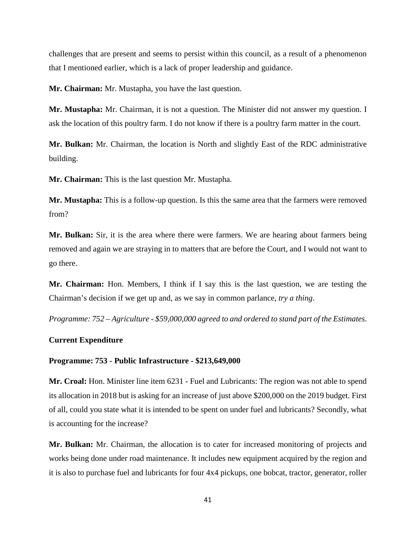challenges that are present and seems to persist within this council, as a result of a phenomenon that I mentioned earlier, which is a lack of proper leadership and guidance.

**Mr. Chairman:** Mr. Mustapha, you have the last question.

**Mr. Mustapha:** Mr. Chairman, it is not a question. The Minister did not answer my question. I ask the location of this poultry farm. I do not know if there is a poultry farm matter in the court.

**Mr. Bulkan:** Mr. Chairman, the location is North and slightly East of the RDC administrative building.

**Mr. Chairman:** This is the last question Mr. Mustapha.

**Mr. Mustapha:** This is a follow-up question. Is this the same area that the farmers were removed from?

**Mr. Bulkan:** Sir, it is the area where there were farmers. We are hearing about farmers being removed and again we are straying in to matters that are before the Court, and I would not want to go there.

**Mr. Chairman:** Hon. Members, I think if I say this is the last question, we are testing the Chairman's decision if we get up and, as we say in common parlance, *try a thing*.

*Programme: 752 – Agriculture - \$59,000,000 agreed to and ordered to stand part of the Estimates*.

## **Current Expenditure**

#### **Programme: 753 - Public Infrastructure - \$213,649,000**

**Mr. Croal:** Hon. Minister line item 6231 - Fuel and Lubricants: The region was not able to spend its allocation in 2018 but is asking for an increase of just above \$200,000 on the 2019 budget. First of all, could you state what it is intended to be spent on under fuel and lubricants? Secondly, what is accounting for the increase?

**Mr. Bulkan:** Mr. Chairman, the allocation is to cater for increased monitoring of projects and works being done under road maintenance. It includes new equipment acquired by the region and it is also to purchase fuel and lubricants for four 4x4 pickups, one bobcat, tractor, generator, roller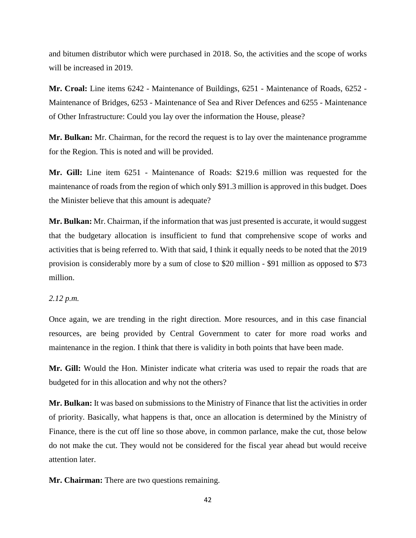and bitumen distributor which were purchased in 2018. So, the activities and the scope of works will be increased in 2019.

**Mr. Croal:** Line items 6242 - Maintenance of Buildings, 6251 - Maintenance of Roads, 6252 - Maintenance of Bridges, 6253 - Maintenance of Sea and River Defences and 6255 - Maintenance of Other Infrastructure: Could you lay over the information the House, please?

**Mr. Bulkan:** Mr. Chairman, for the record the request is to lay over the maintenance programme for the Region. This is noted and will be provided.

**Mr. Gill:** Line item 6251 - Maintenance of Roads: \$219.6 million was requested for the maintenance of roads from the region of which only \$91.3 million is approved in this budget. Does the Minister believe that this amount is adequate?

**Mr. Bulkan:** Mr. Chairman, if the information that was just presented is accurate, it would suggest that the budgetary allocation is insufficient to fund that comprehensive scope of works and activities that is being referred to. With that said, I think it equally needs to be noted that the 2019 provision is considerably more by a sum of close to \$20 million - \$91 million as opposed to \$73 million.

## *2.12 p.m.*

Once again, we are trending in the right direction. More resources, and in this case financial resources, are being provided by Central Government to cater for more road works and maintenance in the region. I think that there is validity in both points that have been made.

**Mr. Gill:** Would the Hon. Minister indicate what criteria was used to repair the roads that are budgeted for in this allocation and why not the others?

**Mr. Bulkan:** It was based on submissions to the Ministry of Finance that list the activities in order of priority. Basically, what happens is that, once an allocation is determined by the Ministry of Finance, there is the cut off line so those above, in common parlance, make the cut, those below do not make the cut. They would not be considered for the fiscal year ahead but would receive attention later.

**Mr. Chairman:** There are two questions remaining.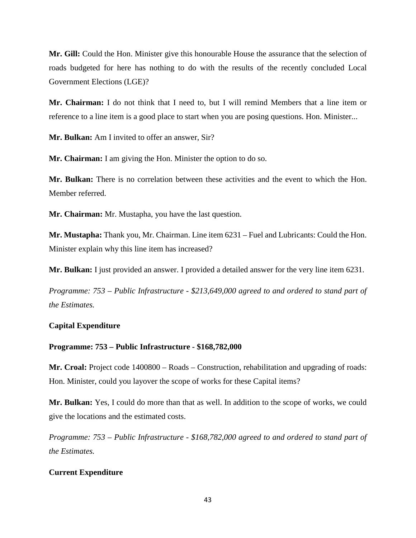**Mr. Gill:** Could the Hon. Minister give this honourable House the assurance that the selection of roads budgeted for here has nothing to do with the results of the recently concluded Local Government Elections (LGE)?

**Mr. Chairman:** I do not think that I need to, but I will remind Members that a line item or reference to a line item is a good place to start when you are posing questions. Hon. Minister...

**Mr. Bulkan:** Am I invited to offer an answer, Sir?

**Mr. Chairman:** I am giving the Hon. Minister the option to do so.

**Mr. Bulkan:** There is no correlation between these activities and the event to which the Hon. Member referred.

**Mr. Chairman:** Mr. Mustapha, you have the last question.

**Mr. Mustapha:** Thank you, Mr. Chairman. Line item 6231 – Fuel and Lubricants: Could the Hon. Minister explain why this line item has increased?

**Mr. Bulkan:** I just provided an answer. I provided a detailed answer for the very line item 6231.

*Programme: 753 – Public Infrastructure - \$213,649,000 agreed to and ordered to stand part of the Estimates.*

## **Capital Expenditure**

## **Programme: 753 – Public Infrastructure - \$168,782,000**

**Mr. Croal:** Project code 1400800 – Roads – Construction, rehabilitation and upgrading of roads: Hon. Minister, could you layover the scope of works for these Capital items?

**Mr. Bulkan:** Yes, I could do more than that as well. In addition to the scope of works, we could give the locations and the estimated costs.

*Programme: 753 – Public Infrastructure - \$168,782,000 agreed to and ordered to stand part of the Estimates.*

# **Current Expenditure**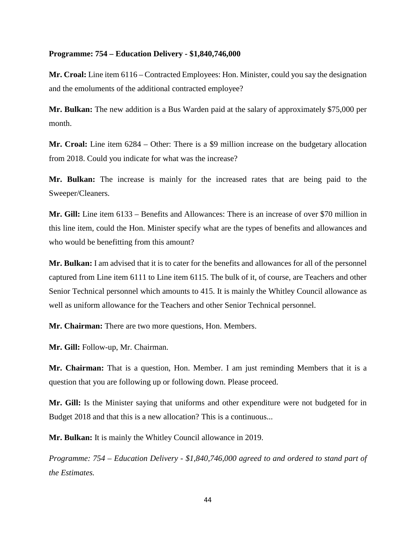### **Programme: 754 – Education Delivery - \$1,840,746,000**

**Mr. Croal:** Line item 6116 – Contracted Employees: Hon. Minister, could you say the designation and the emoluments of the additional contracted employee?

**Mr. Bulkan:** The new addition is a Bus Warden paid at the salary of approximately \$75,000 per month.

**Mr. Croal:** Line item 6284 – Other: There is a \$9 million increase on the budgetary allocation from 2018. Could you indicate for what was the increase?

**Mr. Bulkan:** The increase is mainly for the increased rates that are being paid to the Sweeper/Cleaners.

**Mr. Gill:** Line item 6133 – Benefits and Allowances: There is an increase of over \$70 million in this line item, could the Hon. Minister specify what are the types of benefits and allowances and who would be benefitting from this amount?

**Mr. Bulkan:** I am advised that it is to cater for the benefits and allowances for all of the personnel captured from Line item 6111 to Line item 6115. The bulk of it, of course, are Teachers and other Senior Technical personnel which amounts to 415. It is mainly the Whitley Council allowance as well as uniform allowance for the Teachers and other Senior Technical personnel.

**Mr. Chairman:** There are two more questions, Hon. Members.

**Mr. Gill:** Follow-up, Mr. Chairman.

**Mr. Chairman:** That is a question, Hon. Member. I am just reminding Members that it is a question that you are following up or following down. Please proceed.

**Mr. Gill:** Is the Minister saying that uniforms and other expenditure were not budgeted for in Budget 2018 and that this is a new allocation? This is a continuous...

**Mr. Bulkan:** It is mainly the Whitley Council allowance in 2019.

*Programme: 754 – Education Delivery - \$1,840,746,000 agreed to and ordered to stand part of the Estimates.*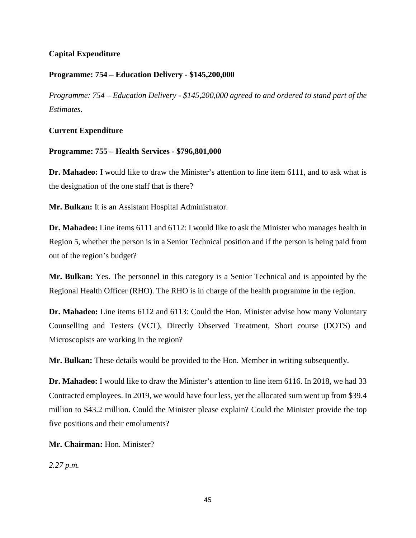# **Capital Expenditure**

## **Programme: 754 – Education Delivery - \$145,200,000**

*Programme: 754 – Education Delivery - \$145,200,000 agreed to and ordered to stand part of the Estimates.*

## **Current Expenditure**

## **Programme: 755 – Health Services - \$796,801,000**

**Dr. Mahadeo:** I would like to draw the Minister's attention to line item 6111, and to ask what is the designation of the one staff that is there?

**Mr. Bulkan:** It is an Assistant Hospital Administrator.

**Dr. Mahadeo:** Line items 6111 and 6112: I would like to ask the Minister who manages health in Region 5, whether the person is in a Senior Technical position and if the person is being paid from out of the region's budget?

**Mr. Bulkan:** Yes. The personnel in this category is a Senior Technical and is appointed by the Regional Health Officer (RHO). The RHO is in charge of the health programme in the region.

**Dr. Mahadeo:** Line items 6112 and 6113: Could the Hon. Minister advise how many Voluntary Counselling and Testers (VCT), Directly Observed Treatment, Short course (DOTS) and Microscopists are working in the region?

**Mr. Bulkan:** These details would be provided to the Hon. Member in writing subsequently.

**Dr. Mahadeo:** I would like to draw the Minister's attention to line item 6116. In 2018, we had 33 Contracted employees. In 2019, we would have four less, yet the allocated sum went up from \$39.4 million to \$43.2 million. Could the Minister please explain? Could the Minister provide the top five positions and their emoluments?

**Mr. Chairman:** Hon. Minister?

*2.27 p.m.*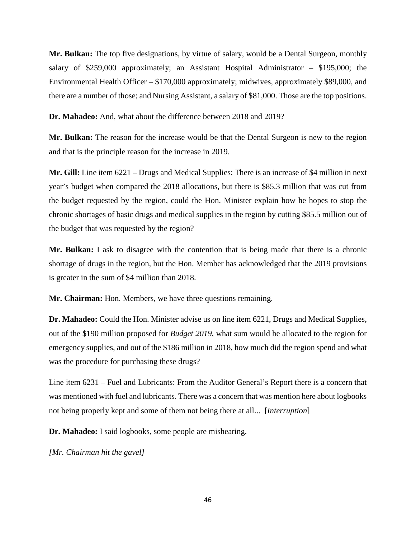**Mr. Bulkan:** The top five designations, by virtue of salary, would be a Dental Surgeon, monthly salary of \$259,000 approximately; an Assistant Hospital Administrator – \$195,000; the Environmental Health Officer – \$170,000 approximately; midwives, approximately \$89,000, and there are a number of those; and Nursing Assistant, a salary of \$81,000. Those are the top positions.

**Dr. Mahadeo:** And, what about the difference between 2018 and 2019?

**Mr. Bulkan:** The reason for the increase would be that the Dental Surgeon is new to the region and that is the principle reason for the increase in 2019.

**Mr. Gill:** Line item 6221 – Drugs and Medical Supplies: There is an increase of \$4 million in next year's budget when compared the 2018 allocations, but there is \$85.3 million that was cut from the budget requested by the region, could the Hon. Minister explain how he hopes to stop the chronic shortages of basic drugs and medical supplies in the region by cutting \$85.5 million out of the budget that was requested by the region?

**Mr. Bulkan:** I ask to disagree with the contention that is being made that there is a chronic shortage of drugs in the region, but the Hon. Member has acknowledged that the 2019 provisions is greater in the sum of \$4 million than 2018.

**Mr. Chairman:** Hon. Members, we have three questions remaining.

**Dr. Mahadeo:** Could the Hon. Minister advise us on line item 6221, Drugs and Medical Supplies, out of the \$190 million proposed for *Budget 2019*, what sum would be allocated to the region for emergency supplies, and out of the \$186 million in 2018, how much did the region spend and what was the procedure for purchasing these drugs?

Line item 6231 – Fuel and Lubricants: From the Auditor General's Report there is a concern that was mentioned with fuel and lubricants. There was a concern that was mention here about logbooks not being properly kept and some of them not being there at all... [*Interruption*]

**Dr. Mahadeo:** I said logbooks, some people are mishearing.

*[Mr. Chairman hit the gavel]*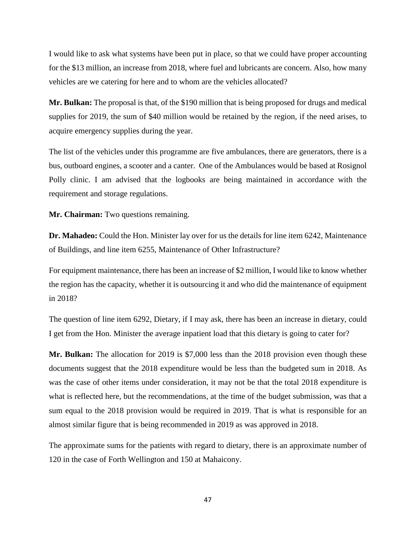I would like to ask what systems have been put in place, so that we could have proper accounting for the \$13 million, an increase from 2018, where fuel and lubricants are concern. Also, how many vehicles are we catering for here and to whom are the vehicles allocated?

**Mr. Bulkan:** The proposal is that, of the \$190 million that is being proposed for drugs and medical supplies for 2019, the sum of \$40 million would be retained by the region, if the need arises, to acquire emergency supplies during the year.

The list of the vehicles under this programme are five ambulances, there are generators, there is a bus, outboard engines, a scooter and a canter. One of the Ambulances would be based at Rosignol Polly clinic. I am advised that the logbooks are being maintained in accordance with the requirement and storage regulations.

**Mr. Chairman:** Two questions remaining.

**Dr. Mahadeo:** Could the Hon. Minister lay over for us the details for line item 6242, Maintenance of Buildings, and line item 6255, Maintenance of Other Infrastructure?

For equipment maintenance, there has been an increase of \$2 million, I would like to know whether the region has the capacity, whether it is outsourcing it and who did the maintenance of equipment in 2018?

The question of line item 6292, Dietary, if I may ask, there has been an increase in dietary, could I get from the Hon. Minister the average inpatient load that this dietary is going to cater for?

**Mr. Bulkan:** The allocation for 2019 is \$7,000 less than the 2018 provision even though these documents suggest that the 2018 expenditure would be less than the budgeted sum in 2018. As was the case of other items under consideration, it may not be that the total 2018 expenditure is what is reflected here, but the recommendations, at the time of the budget submission, was that a sum equal to the 2018 provision would be required in 2019. That is what is responsible for an almost similar figure that is being recommended in 2019 as was approved in 2018.

The approximate sums for the patients with regard to dietary, there is an approximate number of 120 in the case of Forth Wellington and 150 at Mahaicony.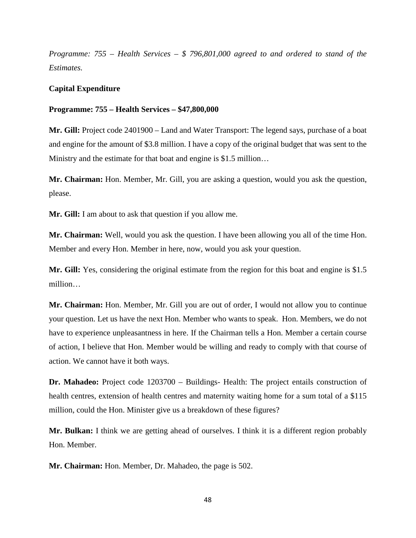*Programme: 755 – Health Services – \$ 796,801,000 agreed to and ordered to stand of the Estimates.*

## **Capital Expenditure**

#### **Programme: 755 – Health Services – \$47,800,000**

**Mr. Gill:** Project code 2401900 – Land and Water Transport: The legend says, purchase of a boat and engine for the amount of \$3.8 million. I have a copy of the original budget that was sent to the Ministry and the estimate for that boat and engine is \$1.5 million...

**Mr. Chairman:** Hon. Member, Mr. Gill, you are asking a question, would you ask the question, please.

**Mr. Gill:** I am about to ask that question if you allow me.

**Mr. Chairman:** Well, would you ask the question. I have been allowing you all of the time Hon. Member and every Hon. Member in here, now, would you ask your question.

**Mr. Gill:** Yes, considering the original estimate from the region for this boat and engine is \$1.5 million…

**Mr. Chairman:** Hon. Member, Mr. Gill you are out of order, I would not allow you to continue your question. Let us have the next Hon. Member who wants to speak. Hon. Members, we do not have to experience unpleasantness in here. If the Chairman tells a Hon. Member a certain course of action, I believe that Hon. Member would be willing and ready to comply with that course of action. We cannot have it both ways.

**Dr. Mahadeo:** Project code 1203700 – Buildings- Health: The project entails construction of health centres, extension of health centres and maternity waiting home for a sum total of a \$115 million, could the Hon. Minister give us a breakdown of these figures?

**Mr. Bulkan:** I think we are getting ahead of ourselves. I think it is a different region probably Hon. Member.

**Mr. Chairman:** Hon. Member, Dr. Mahadeo, the page is 502.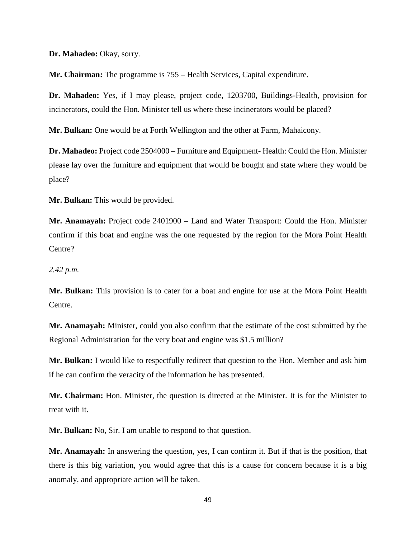**Dr. Mahadeo:** Okay, sorry.

**Mr. Chairman:** The programme is 755 – Health Services, Capital expenditure.

**Dr. Mahadeo:** Yes, if I may please, project code, 1203700, Buildings-Health, provision for incinerators, could the Hon. Minister tell us where these incinerators would be placed?

**Mr. Bulkan:** One would be at Forth Wellington and the other at Farm, Mahaicony.

**Dr. Mahadeo:** Project code 2504000 – Furniture and Equipment- Health: Could the Hon. Minister please lay over the furniture and equipment that would be bought and state where they would be place?

**Mr. Bulkan:** This would be provided.

**Mr. Anamayah:** Project code 2401900 – Land and Water Transport: Could the Hon. Minister confirm if this boat and engine was the one requested by the region for the Mora Point Health Centre?

*2.42 p.m.*

**Mr. Bulkan:** This provision is to cater for a boat and engine for use at the Mora Point Health Centre.

**Mr. Anamayah:** Minister, could you also confirm that the estimate of the cost submitted by the Regional Administration for the very boat and engine was \$1.5 million?

**Mr. Bulkan:** I would like to respectfully redirect that question to the Hon. Member and ask him if he can confirm the veracity of the information he has presented.

**Mr. Chairman:** Hon. Minister, the question is directed at the Minister. It is for the Minister to treat with it.

**Mr. Bulkan:** No, Sir. I am unable to respond to that question.

**Mr. Anamayah:** In answering the question, yes, I can confirm it. But if that is the position, that there is this big variation, you would agree that this is a cause for concern because it is a big anomaly, and appropriate action will be taken.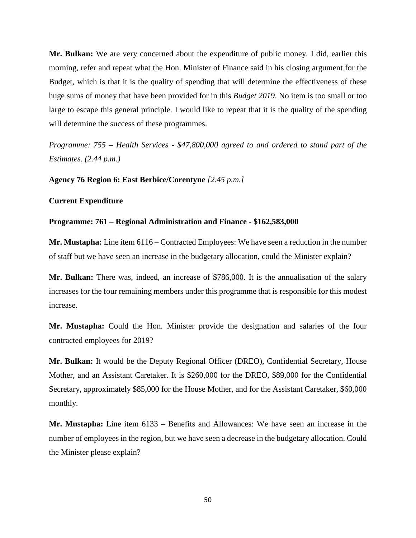**Mr. Bulkan:** We are very concerned about the expenditure of public money. I did, earlier this morning, refer and repeat what the Hon. Minister of Finance said in his closing argument for the Budget, which is that it is the quality of spending that will determine the effectiveness of these huge sums of money that have been provided for in this *Budget 2019*. No item is too small or too large to escape this general principle. I would like to repeat that it is the quality of the spending will determine the success of these programmes.

*Programme: 755 – Health Services - \$47,800,000 agreed to and ordered to stand part of the Estimates. (2.44 p.m.)*

**Agency 76 Region 6: East Berbice/Corentyne** *[2.45 p.m.]*

### **Current Expenditure**

## **Programme: 761 – Regional Administration and Finance - \$162,583,000**

**Mr. Mustapha:** Line item 6116 – Contracted Employees: We have seen a reduction in the number of staff but we have seen an increase in the budgetary allocation, could the Minister explain?

**Mr. Bulkan:** There was, indeed, an increase of \$786,000. It is the annualisation of the salary increases for the four remaining members under this programme that is responsible for this modest increase.

**Mr. Mustapha:** Could the Hon. Minister provide the designation and salaries of the four contracted employees for 2019?

**Mr. Bulkan:** It would be the Deputy Regional Officer (DREO), Confidential Secretary, House Mother, and an Assistant Caretaker. It is \$260,000 for the DREO, \$89,000 for the Confidential Secretary, approximately \$85,000 for the House Mother, and for the Assistant Caretaker, \$60,000 monthly.

**Mr. Mustapha:** Line item 6133 – Benefits and Allowances: We have seen an increase in the number of employees in the region, but we have seen a decrease in the budgetary allocation. Could the Minister please explain?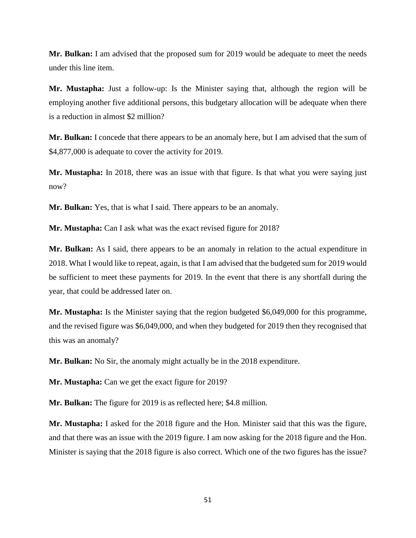**Mr. Bulkan:** I am advised that the proposed sum for 2019 would be adequate to meet the needs under this line item.

**Mr. Mustapha:** Just a follow-up: Is the Minister saying that, although the region will be employing another five additional persons, this budgetary allocation will be adequate when there is a reduction in almost \$2 million?

**Mr. Bulkan:** I concede that there appears to be an anomaly here, but I am advised that the sum of \$4,877,000 is adequate to cover the activity for 2019.

**Mr. Mustapha:** In 2018, there was an issue with that figure. Is that what you were saying just now?

**Mr. Bulkan:** Yes, that is what I said. There appears to be an anomaly.

**Mr. Mustapha:** Can I ask what was the exact revised figure for 2018?

**Mr. Bulkan:** As I said, there appears to be an anomaly in relation to the actual expenditure in 2018. What I would like to repeat, again, is that I am advised that the budgeted sum for 2019 would be sufficient to meet these payments for 2019. In the event that there is any shortfall during the year, that could be addressed later on.

**Mr. Mustapha:** Is the Minister saying that the region budgeted \$6,049,000 for this programme, and the revised figure was \$6,049,000, and when they budgeted for 2019 then they recognised that this was an anomaly?

**Mr. Bulkan:** No Sir, the anomaly might actually be in the 2018 expenditure.

**Mr. Mustapha:** Can we get the exact figure for 2019?

**Mr. Bulkan:** The figure for 2019 is as reflected here; \$4.8 million.

**Mr. Mustapha:** I asked for the 2018 figure and the Hon. Minister said that this was the figure, and that there was an issue with the 2019 figure. I am now asking for the 2018 figure and the Hon. Minister is saying that the 2018 figure is also correct. Which one of the two figures has the issue?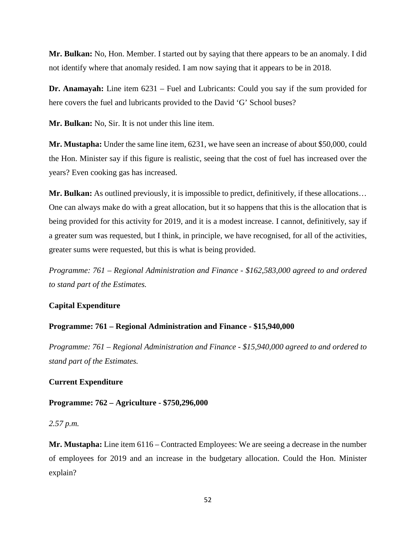**Mr. Bulkan:** No, Hon. Member. I started out by saying that there appears to be an anomaly. I did not identify where that anomaly resided. I am now saying that it appears to be in 2018.

**Dr. Anamayah:** Line item 6231 – Fuel and Lubricants: Could you say if the sum provided for here covers the fuel and lubricants provided to the David 'G' School buses?

**Mr. Bulkan:** No, Sir. It is not under this line item.

**Mr. Mustapha:** Under the same line item, 6231, we have seen an increase of about \$50,000, could the Hon. Minister say if this figure is realistic, seeing that the cost of fuel has increased over the years? Even cooking gas has increased.

**Mr. Bulkan:** As outlined previously, it is impossible to predict, definitively, if these allocations… One can always make do with a great allocation, but it so happens that this is the allocation that is being provided for this activity for 2019, and it is a modest increase. I cannot, definitively, say if a greater sum was requested, but I think, in principle, we have recognised, for all of the activities, greater sums were requested, but this is what is being provided.

*Programme: 761 – Regional Administration and Finance - \$162,583,000 agreed to and ordered to stand part of the Estimates.* 

## **Capital Expenditure**

## **Programme: 761 – Regional Administration and Finance - \$15,940,000**

*Programme: 761 – Regional Administration and Finance - \$15,940,000 agreed to and ordered to stand part of the Estimates.* 

## **Current Expenditure**

### **Programme: 762 – Agriculture - \$750,296,000**

*2.57 p.m.*

**Mr. Mustapha:** Line item 6116 – Contracted Employees: We are seeing a decrease in the number of employees for 2019 and an increase in the budgetary allocation. Could the Hon. Minister explain?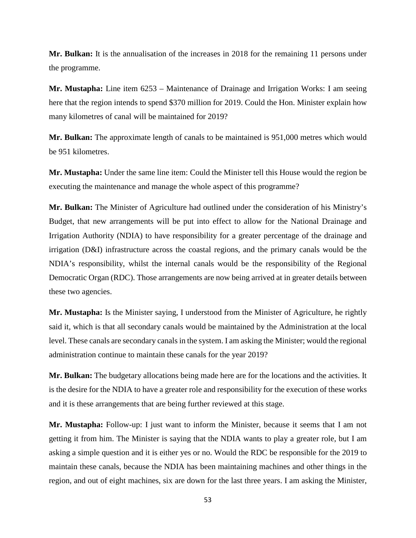**Mr. Bulkan:** It is the annualisation of the increases in 2018 for the remaining 11 persons under the programme.

**Mr. Mustapha:** Line item 6253 – Maintenance of Drainage and Irrigation Works: I am seeing here that the region intends to spend \$370 million for 2019. Could the Hon. Minister explain how many kilometres of canal will be maintained for 2019?

**Mr. Bulkan:** The approximate length of canals to be maintained is 951,000 metres which would be 951 kilometres.

**Mr. Mustapha:** Under the same line item: Could the Minister tell this House would the region be executing the maintenance and manage the whole aspect of this programme?

**Mr. Bulkan:** The Minister of Agriculture had outlined under the consideration of his Ministry's Budget, that new arrangements will be put into effect to allow for the National Drainage and Irrigation Authority (NDIA) to have responsibility for a greater percentage of the drainage and irrigation (D&I) infrastructure across the coastal regions, and the primary canals would be the NDIA's responsibility, whilst the internal canals would be the responsibility of the Regional Democratic Organ (RDC). Those arrangements are now being arrived at in greater details between these two agencies.

**Mr. Mustapha:** Is the Minister saying, I understood from the Minister of Agriculture, he rightly said it, which is that all secondary canals would be maintained by the Administration at the local level. These canals are secondary canals in the system. I am asking the Minister; would the regional administration continue to maintain these canals for the year 2019?

**Mr. Bulkan:** The budgetary allocations being made here are for the locations and the activities. It is the desire for the NDIA to have a greater role and responsibility for the execution of these works and it is these arrangements that are being further reviewed at this stage.

**Mr. Mustapha:** Follow-up: I just want to inform the Minister, because it seems that I am not getting it from him. The Minister is saying that the NDIA wants to play a greater role, but I am asking a simple question and it is either yes or no. Would the RDC be responsible for the 2019 to maintain these canals, because the NDIA has been maintaining machines and other things in the region, and out of eight machines, six are down for the last three years. I am asking the Minister,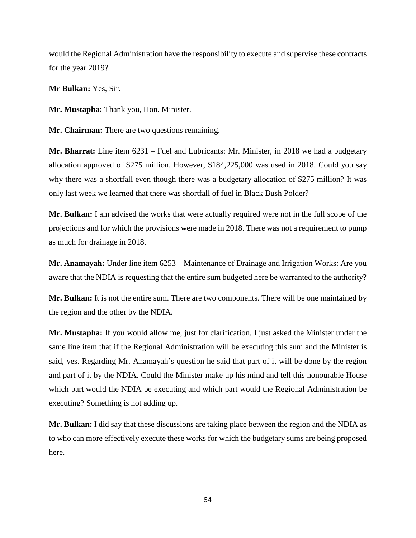would the Regional Administration have the responsibility to execute and supervise these contracts for the year 2019?

**Mr Bulkan:** Yes, Sir.

**Mr. Mustapha:** Thank you, Hon. Minister.

**Mr. Chairman:** There are two questions remaining.

**Mr. Bharrat:** Line item 6231 – Fuel and Lubricants: Mr. Minister, in 2018 we had a budgetary allocation approved of \$275 million. However, \$184,225,000 was used in 2018. Could you say why there was a shortfall even though there was a budgetary allocation of \$275 million? It was only last week we learned that there was shortfall of fuel in Black Bush Polder?

**Mr. Bulkan:** I am advised the works that were actually required were not in the full scope of the projections and for which the provisions were made in 2018. There was not a requirement to pump as much for drainage in 2018.

**Mr. Anamayah:** Under line item 6253 – Maintenance of Drainage and Irrigation Works: Are you aware that the NDIA is requesting that the entire sum budgeted here be warranted to the authority?

**Mr. Bulkan:** It is not the entire sum. There are two components. There will be one maintained by the region and the other by the NDIA.

**Mr. Mustapha:** If you would allow me, just for clarification. I just asked the Minister under the same line item that if the Regional Administration will be executing this sum and the Minister is said, yes. Regarding Mr. Anamayah's question he said that part of it will be done by the region and part of it by the NDIA. Could the Minister make up his mind and tell this honourable House which part would the NDIA be executing and which part would the Regional Administration be executing? Something is not adding up.

**Mr. Bulkan:** I did say that these discussions are taking place between the region and the NDIA as to who can more effectively execute these works for which the budgetary sums are being proposed here.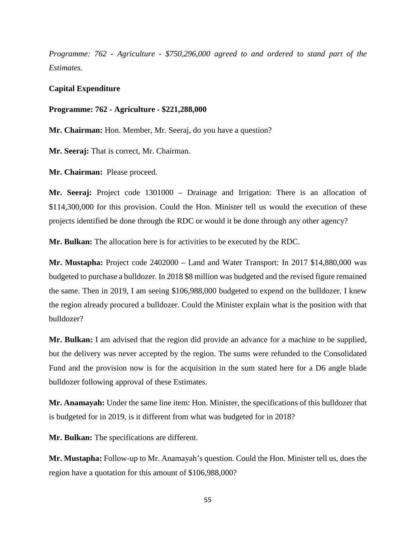*Programme: 762 - Agriculture - \$750,296,000 agreed to and ordered to stand part of the Estimates.*

### **Capital Expenditure**

#### **Programme: 762 - Agriculture - \$221,288,000**

**Mr. Chairman:** Hon. Member, Mr. Seeraj, do you have a question?

**Mr. Seeraj:** That is correct, Mr. Chairman.

**Mr. Chairman:** Please proceed.

**Mr. Seeraj:** Project code 1301000 – Drainage and Irrigation: There is an allocation of \$114,300,000 for this provision. Could the Hon. Minister tell us would the execution of these projects identified be done through the RDC or would it be done through any other agency?

**Mr. Bulkan:** The allocation here is for activities to be executed by the RDC.

**Mr. Mustapha:** Project code 2402000 – Land and Water Transport: In 2017 \$14,880,000 was budgeted to purchase a bulldozer. In 2018 \$8 million was budgeted and the revised figure remained the same. Then in 2019, I am seeing \$106,988,000 budgeted to expend on the bulldozer. I knew the region already procured a bulldozer. Could the Minister explain what is the position with that bulldozer?

**Mr. Bulkan:** I am advised that the region did provide an advance for a machine to be supplied, but the delivery was never accepted by the region. The sums were refunded to the Consolidated Fund and the provision now is for the acquisition in the sum stated here for a D6 angle blade bulldozer following approval of these Estimates.

**Mr. Anamayah:** Under the same line item: Hon. Minister, the specifications of this bulldozer that is budgeted for in 2019, is it different from what was budgeted for in 2018?

**Mr. Bulkan:** The specifications are different.

**Mr. Mustapha:** Follow-up to Mr. Anamayah's question. Could the Hon. Minister tell us, does the region have a quotation for this amount of \$106,988,000?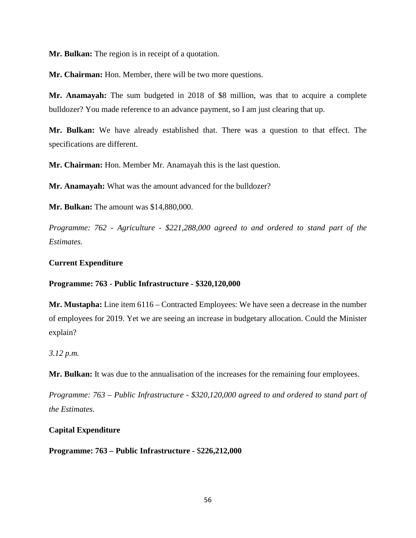**Mr. Bulkan:** The region is in receipt of a quotation.

**Mr. Chairman:** Hon. Member, there will be two more questions.

**Mr. Anamayah:** The sum budgeted in 2018 of \$8 million, was that to acquire a complete bulldozer? You made reference to an advance payment, so I am just clearing that up.

**Mr. Bulkan:** We have already established that. There was a question to that effect. The specifications are different.

**Mr. Chairman:** Hon. Member Mr. Anamayah this is the last question.

**Mr. Anamayah:** What was the amount advanced for the bulldozer?

**Mr. Bulkan:** The amount was \$14,880,000.

*Programme: 762 - Agriculture - \$221,288,000 agreed to and ordered to stand part of the Estimates.*

## **Current Expenditure**

## **Programme: 763 - Public Infrastructure - \$320,120,000**

**Mr. Mustapha:** Line item 6116 – Contracted Employees: We have seen a decrease in the number of employees for 2019. Yet we are seeing an increase in budgetary allocation. Could the Minister explain?

*3.12 p.m.*

**Mr. Bulkan:** It was due to the annualisation of the increases for the remaining four employees.

*Programme: 763 – Public Infrastructure - \$320,120,000 agreed to and ordered to stand part of the Estimates.*

# **Capital Expenditure**

**Programme: 763 – Public Infrastructure -** \$**226,212,000**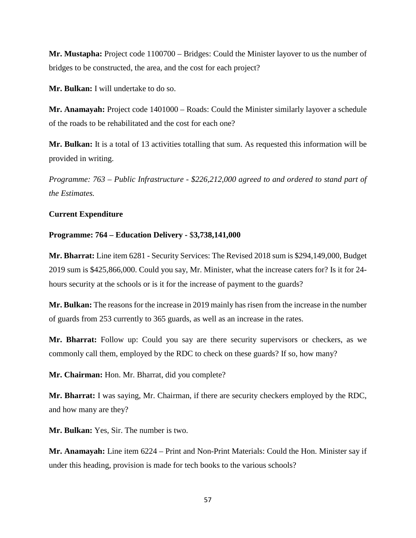**Mr. Mustapha:** Project code 1100700 – Bridges: Could the Minister layover to us the number of bridges to be constructed, the area, and the cost for each project?

**Mr. Bulkan:** I will undertake to do so.

**Mr. Anamayah:** Project code 1401000 – Roads: Could the Minister similarly layover a schedule of the roads to be rehabilitated and the cost for each one?

**Mr. Bulkan:** It is a total of 13 activities totalling that sum. As requested this information will be provided in writing.

*Programme: 763 – Public Infrastructure - \$226,212,000 agreed to and ordered to stand part of the Estimates.*

## **Current Expenditure**

## **Programme: 764 – Education Delivery -** \$**3,738,141,000**

**Mr. Bharrat:** Line item 6281 - Security Services: The Revised 2018 sum is \$294,149,000, Budget 2019 sum is \$425,866,000. Could you say, Mr. Minister, what the increase caters for? Is it for 24 hours security at the schools or is it for the increase of payment to the guards?

**Mr. Bulkan:** The reasons for the increase in 2019 mainly has risen from the increase in the number of guards from 253 currently to 365 guards, as well as an increase in the rates.

**Mr. Bharrat:** Follow up: Could you say are there security supervisors or checkers, as we commonly call them, employed by the RDC to check on these guards? If so, how many?

**Mr. Chairman:** Hon. Mr. Bharrat, did you complete?

**Mr. Bharrat:** I was saying, Mr. Chairman, if there are security checkers employed by the RDC, and how many are they?

**Mr. Bulkan:** Yes, Sir. The number is two.

**Mr. Anamayah:** Line item 6224 – Print and Non-Print Materials: Could the Hon. Minister say if under this heading, provision is made for tech books to the various schools?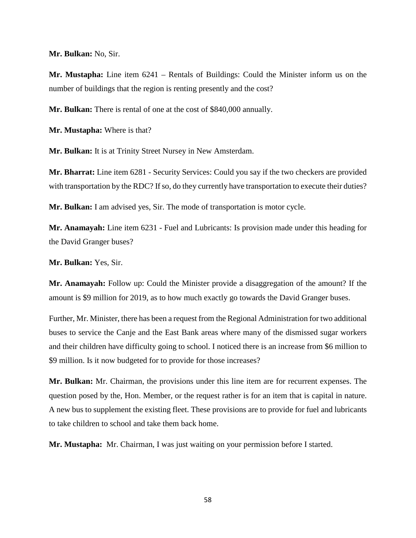**Mr. Bulkan:** No, Sir.

**Mr. Mustapha:** Line item 6241 – Rentals of Buildings: Could the Minister inform us on the number of buildings that the region is renting presently and the cost?

**Mr. Bulkan:** There is rental of one at the cost of \$840,000 annually.

**Mr. Mustapha:** Where is that?

**Mr. Bulkan:** It is at Trinity Street Nursey in New Amsterdam.

**Mr. Bharrat:** Line item 6281 - Security Services: Could you say if the two checkers are provided with transportation by the RDC? If so, do they currently have transportation to execute their duties?

**Mr. Bulkan:** I am advised yes, Sir. The mode of transportation is motor cycle.

**Mr. Anamayah:** Line item 6231 - Fuel and Lubricants: Is provision made under this heading for the David Granger buses?

**Mr. Bulkan:** Yes, Sir.

**Mr. Anamayah:** Follow up: Could the Minister provide a disaggregation of the amount? If the amount is \$9 million for 2019, as to how much exactly go towards the David Granger buses.

Further, Mr. Minister, there has been a request from the Regional Administration for two additional buses to service the Canje and the East Bank areas where many of the dismissed sugar workers and their children have difficulty going to school. I noticed there is an increase from \$6 million to \$9 million. Is it now budgeted for to provide for those increases?

**Mr. Bulkan:** Mr. Chairman, the provisions under this line item are for recurrent expenses. The question posed by the, Hon. Member, or the request rather is for an item that is capital in nature. A new bus to supplement the existing fleet. These provisions are to provide for fuel and lubricants to take children to school and take them back home.

**Mr. Mustapha:** Mr. Chairman, I was just waiting on your permission before I started.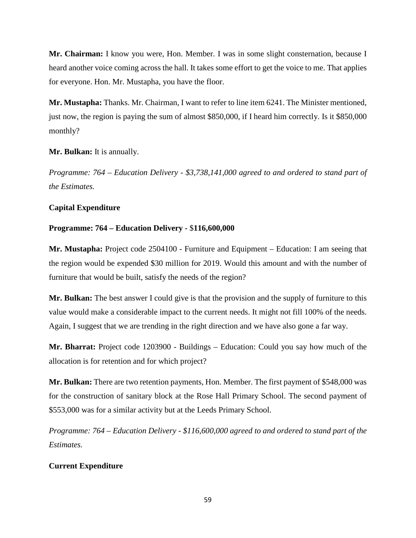**Mr. Chairman:** I know you were, Hon. Member. I was in some slight consternation, because I heard another voice coming across the hall. It takes some effort to get the voice to me. That applies for everyone. Hon. Mr. Mustapha, you have the floor.

**Mr. Mustapha:** Thanks. Mr. Chairman, I want to refer to line item 6241. The Minister mentioned, just now, the region is paying the sum of almost \$850,000, if I heard him correctly. Is it \$850,000 monthly?

# **Mr. Bulkan:** It is annually.

*Programme: 764 – Education Delivery - \$3,738,141,000 agreed to and ordered to stand part of the Estimates.*

# **Capital Expenditure**

# **Programme: 764 – Education Delivery -** \$**116,600,000**

**Mr. Mustapha:** Project code 2504100 - Furniture and Equipment – Education: I am seeing that the region would be expended \$30 million for 2019. Would this amount and with the number of furniture that would be built, satisfy the needs of the region?

**Mr. Bulkan:** The best answer I could give is that the provision and the supply of furniture to this value would make a considerable impact to the current needs. It might not fill 100% of the needs. Again, I suggest that we are trending in the right direction and we have also gone a far way.

**Mr. Bharrat:** Project code 1203900 - Buildings – Education: Could you say how much of the allocation is for retention and for which project?

**Mr. Bulkan:** There are two retention payments, Hon. Member. The first payment of \$548,000 was for the construction of sanitary block at the Rose Hall Primary School. The second payment of \$553,000 was for a similar activity but at the Leeds Primary School.

*Programme: 764 – Education Delivery - \$116,600,000 agreed to and ordered to stand part of the Estimates.*

# **Current Expenditure**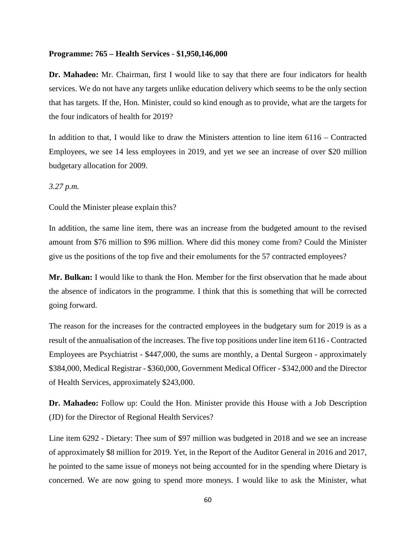#### **Programme: 765 – Health Services - \$1,950,146,000**

**Dr. Mahadeo:** Mr. Chairman, first I would like to say that there are four indicators for health services. We do not have any targets unlike education delivery which seems to be the only section that has targets. If the, Hon. Minister, could so kind enough as to provide, what are the targets for the four indicators of health for 2019?

In addition to that, I would like to draw the Ministers attention to line item 6116 – Contracted Employees, we see 14 less employees in 2019, and yet we see an increase of over \$20 million budgetary allocation for 2009.

### *3.27 p.m.*

Could the Minister please explain this?

In addition, the same line item, there was an increase from the budgeted amount to the revised amount from \$76 million to \$96 million. Where did this money come from? Could the Minister give us the positions of the top five and their emoluments for the 57 contracted employees?

**Mr. Bulkan:** I would like to thank the Hon. Member for the first observation that he made about the absence of indicators in the programme. I think that this is something that will be corrected going forward.

The reason for the increases for the contracted employees in the budgetary sum for 2019 is as a result of the annualisation of the increases. The five top positions under line item 6116 - Contracted Employees are Psychiatrist - \$447,000, the sums are monthly, a Dental Surgeon - approximately \$384,000, Medical Registrar - \$360,000, Government Medical Officer - \$342,000 and the Director of Health Services, approximately \$243,000.

**Dr. Mahadeo:** Follow up: Could the Hon. Minister provide this House with a Job Description (JD) for the Director of Regional Health Services?

Line item 6292 - Dietary: Thee sum of \$97 million was budgeted in 2018 and we see an increase of approximately \$8 million for 2019. Yet, in the Report of the Auditor General in 2016 and 2017, he pointed to the same issue of moneys not being accounted for in the spending where Dietary is concerned. We are now going to spend more moneys. I would like to ask the Minister, what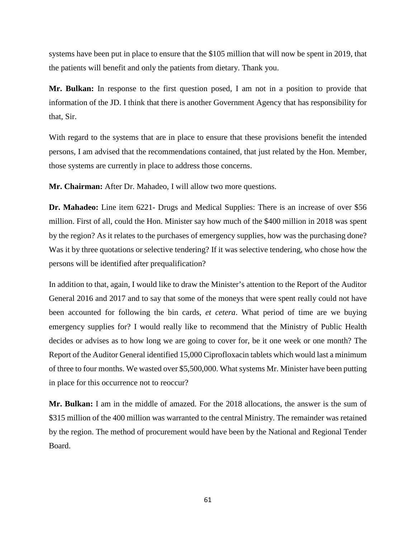systems have been put in place to ensure that the \$105 million that will now be spent in 2019, that the patients will benefit and only the patients from dietary. Thank you.

**Mr. Bulkan:** In response to the first question posed, I am not in a position to provide that information of the JD. I think that there is another Government Agency that has responsibility for that, Sir.

With regard to the systems that are in place to ensure that these provisions benefit the intended persons, I am advised that the recommendations contained, that just related by the Hon. Member, those systems are currently in place to address those concerns.

**Mr. Chairman:** After Dr. Mahadeo, I will allow two more questions.

**Dr. Mahadeo:** Line item 6221- Drugs and Medical Supplies: There is an increase of over \$56 million. First of all, could the Hon. Minister say how much of the \$400 million in 2018 was spent by the region? As it relates to the purchases of emergency supplies, how was the purchasing done? Was it by three quotations or selective tendering? If it was selective tendering, who chose how the persons will be identified after prequalification?

In addition to that, again, I would like to draw the Minister's attention to the Report of the Auditor General 2016 and 2017 and to say that some of the moneys that were spent really could not have been accounted for following the bin cards, *et cetera*. What period of time are we buying emergency supplies for? I would really like to recommend that the Ministry of Public Health decides or advises as to how long we are going to cover for, be it one week or one month? The Report of the Auditor General identified 15,000 Ciprofloxacin tablets which would last a minimum of three to four months. We wasted over \$5,500,000. What systems Mr. Minister have been putting in place for this occurrence not to reoccur?

**Mr. Bulkan:** I am in the middle of amazed. For the 2018 allocations, the answer is the sum of \$315 million of the 400 million was warranted to the central Ministry. The remainder was retained by the region. The method of procurement would have been by the National and Regional Tender Board.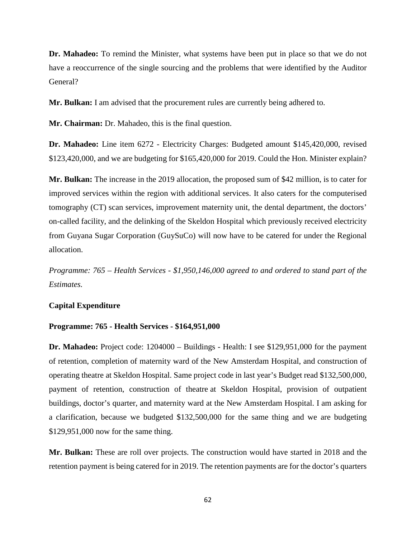**Dr. Mahadeo:** To remind the Minister, what systems have been put in place so that we do not have a reoccurrence of the single sourcing and the problems that were identified by the Auditor General?

**Mr. Bulkan:** I am advised that the procurement rules are currently being adhered to.

**Mr. Chairman:** Dr. Mahadeo, this is the final question.

**Dr. Mahadeo:** Line item 6272 - Electricity Charges: Budgeted amount \$145,420,000, revised \$123,420,000, and we are budgeting for \$165,420,000 for 2019. Could the Hon. Minister explain?

**Mr. Bulkan:** The increase in the 2019 allocation, the proposed sum of \$42 million, is to cater for improved services within the region with additional services. It also caters for the computerised tomography (CT) scan services, improvement maternity unit, the dental department, the doctors' on-called facility, and the delinking of the Skeldon Hospital which previously received electricity from Guyana Sugar Corporation (GuySuCo) will now have to be catered for under the Regional allocation.

*Programme: 765 – Health Services - \$1,950,146,000 agreed to and ordered to stand part of the Estimates.*

#### **Capital Expenditure**

#### **Programme: 765 - Health Services - \$164,951,000**

**Dr. Mahadeo:** Project code: 1204000 – Buildings - Health: I see \$129,951,000 for the payment of retention, completion of maternity ward of the New Amsterdam Hospital, and construction of operating theatre at Skeldon Hospital. Same project code in last year's Budget read \$132,500,000, payment of retention, construction of theatre at Skeldon Hospital, provision of outpatient buildings, doctor's quarter, and maternity ward at the New Amsterdam Hospital. I am asking for a clarification, because we budgeted \$132,500,000 for the same thing and we are budgeting \$129,951,000 now for the same thing.

**Mr. Bulkan:** These are roll over projects. The construction would have started in 2018 and the retention payment is being catered for in 2019. The retention payments are for the doctor's quarters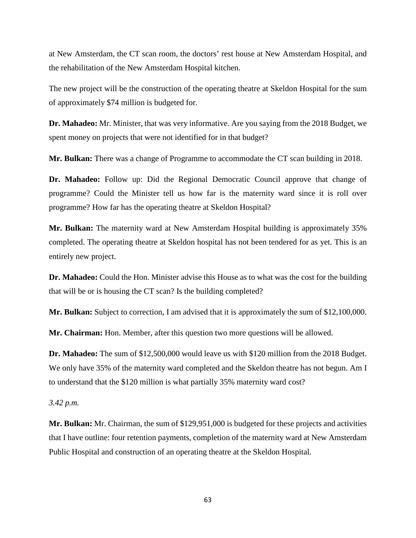at New Amsterdam, the CT scan room, the doctors' rest house at New Amsterdam Hospital, and the rehabilitation of the New Amsterdam Hospital kitchen.

The new project will be the construction of the operating theatre at Skeldon Hospital for the sum of approximately \$74 million is budgeted for.

**Dr. Mahadeo:** Mr. Minister, that was very informative. Are you saying from the 2018 Budget, we spent money on projects that were not identified for in that budget?

**Mr. Bulkan:** There was a change of Programme to accommodate the CT scan building in 2018.

**Dr. Mahadeo:** Follow up: Did the Regional Democratic Council approve that change of programme? Could the Minister tell us how far is the maternity ward since it is roll over programme? How far has the operating theatre at Skeldon Hospital?

**Mr. Bulkan:** The maternity ward at New Amsterdam Hospital building is approximately 35% completed. The operating theatre at Skeldon hospital has not been tendered for as yet. This is an entirely new project.

**Dr. Mahadeo:** Could the Hon. Minister advise this House as to what was the cost for the building that will be or is housing the CT scan? Is the building completed?

**Mr. Bulkan:** Subject to correction, I am advised that it is approximately the sum of \$12,100,000.

**Mr. Chairman:** Hon. Member, after this question two more questions will be allowed.

**Dr. Mahadeo:** The sum of \$12,500,000 would leave us with \$120 million from the 2018 Budget. We only have 35% of the maternity ward completed and the Skeldon theatre has not begun. Am I to understand that the \$120 million is what partially 35% maternity ward cost?

*3.42 p.m.* 

**Mr. Bulkan:** Mr. Chairman, the sum of \$129,951,000 is budgeted for these projects and activities that I have outline: four retention payments, completion of the maternity ward at New Amsterdam Public Hospital and construction of an operating theatre at the Skeldon Hospital.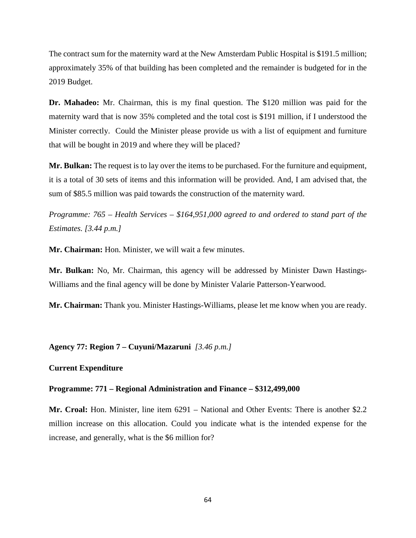The contract sum for the maternity ward at the New Amsterdam Public Hospital is \$191.5 million; approximately 35% of that building has been completed and the remainder is budgeted for in the 2019 Budget.

**Dr. Mahadeo:** Mr. Chairman, this is my final question. The \$120 million was paid for the maternity ward that is now 35% completed and the total cost is \$191 million, if I understood the Minister correctly. Could the Minister please provide us with a list of equipment and furniture that will be bought in 2019 and where they will be placed?

**Mr. Bulkan:** The request is to lay over the items to be purchased. For the furniture and equipment, it is a total of 30 sets of items and this information will be provided. And, I am advised that, the sum of \$85.5 million was paid towards the construction of the maternity ward.

*Programme: 765 – Health Services – \$164,951,000 agreed to and ordered to stand part of the Estimates. [3.44 p.m.]*

**Mr. Chairman:** Hon. Minister, we will wait a few minutes.

**Mr. Bulkan:** No, Mr. Chairman, this agency will be addressed by Minister Dawn Hastings-Williams and the final agency will be done by Minister Valarie Patterson-Yearwood.

**Mr. Chairman:** Thank you. Minister Hastings-Williams, please let me know when you are ready.

**Agency 77: Region 7 – Cuyuni/Mazaruni** *[3.46 p.m.]*

## **Current Expenditure**

### **Programme: 771 – Regional Administration and Finance – \$312,499,000**

**Mr. Croal:** Hon. Minister, line item 6291 – National and Other Events: There is another \$2.2 million increase on this allocation. Could you indicate what is the intended expense for the increase, and generally, what is the \$6 million for?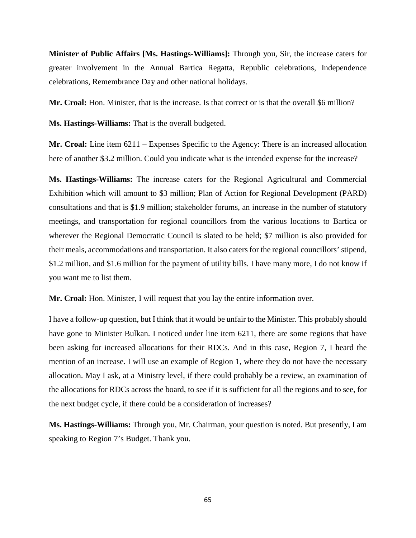**Minister of Public Affairs [Ms. Hastings-Williams]:** Through you, Sir, the increase caters for greater involvement in the Annual Bartica Regatta, Republic celebrations, Independence celebrations, Remembrance Day and other national holidays.

**Mr. Croal:** Hon. Minister, that is the increase. Is that correct or is that the overall \$6 million?

**Ms. Hastings-Williams:** That is the overall budgeted.

**Mr. Croal:** Line item 6211 – Expenses Specific to the Agency: There is an increased allocation here of another \$3.2 million. Could you indicate what is the intended expense for the increase?

**Ms. Hastings-Williams:** The increase caters for the Regional Agricultural and Commercial Exhibition which will amount to \$3 million; Plan of Action for Regional Development (PARD) consultations and that is \$1.9 million; stakeholder forums, an increase in the number of statutory meetings, and transportation for regional councillors from the various locations to Bartica or wherever the Regional Democratic Council is slated to be held; \$7 million is also provided for their meals, accommodations and transportation. It also caters for the regional councillors' stipend, \$1.2 million, and \$1.6 million for the payment of utility bills. I have many more, I do not know if you want me to list them.

**Mr. Croal:** Hon. Minister, I will request that you lay the entire information over.

I have a follow-up question, but I think that it would be unfair to the Minister. This probably should have gone to Minister Bulkan. I noticed under line item 6211, there are some regions that have been asking for increased allocations for their RDCs. And in this case, Region 7, I heard the mention of an increase. I will use an example of Region 1, where they do not have the necessary allocation. May I ask, at a Ministry level, if there could probably be a review, an examination of the allocations for RDCs across the board, to see if it is sufficient for all the regions and to see, for the next budget cycle, if there could be a consideration of increases?

**Ms. Hastings-Williams:** Through you, Mr. Chairman, your question is noted. But presently, I am speaking to Region 7's Budget. Thank you.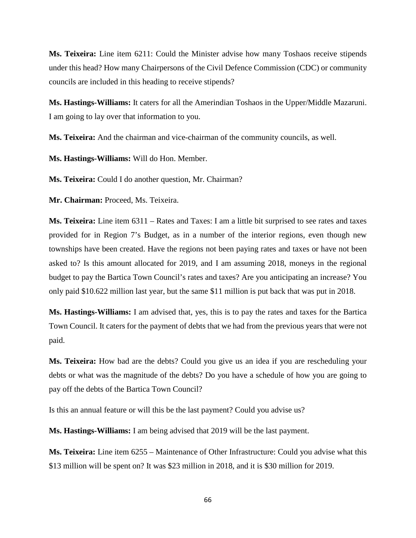**Ms. Teixeira:** Line item 6211: Could the Minister advise how many Toshaos receive stipends under this head? How many Chairpersons of the Civil Defence Commission (CDC) or community councils are included in this heading to receive stipends?

**Ms. Hastings-Williams:** It caters for all the Amerindian Toshaos in the Upper/Middle Mazaruni. I am going to lay over that information to you.

**Ms. Teixeira:** And the chairman and vice-chairman of the community councils, as well.

**Ms. Hastings-Williams:** Will do Hon. Member.

**Ms. Teixeira:** Could I do another question, Mr. Chairman?

**Mr. Chairman:** Proceed, Ms. Teixeira.

**Ms. Teixeira:** Line item 6311 – Rates and Taxes: I am a little bit surprised to see rates and taxes provided for in Region 7's Budget, as in a number of the interior regions, even though new townships have been created. Have the regions not been paying rates and taxes or have not been asked to? Is this amount allocated for 2019, and I am assuming 2018, moneys in the regional budget to pay the Bartica Town Council's rates and taxes? Are you anticipating an increase? You only paid \$10.622 million last year, but the same \$11 million is put back that was put in 2018.

**Ms. Hastings-Williams:** I am advised that, yes, this is to pay the rates and taxes for the Bartica Town Council. It caters for the payment of debts that we had from the previous years that were not paid.

**Ms. Teixeira:** How bad are the debts? Could you give us an idea if you are rescheduling your debts or what was the magnitude of the debts? Do you have a schedule of how you are going to pay off the debts of the Bartica Town Council?

Is this an annual feature or will this be the last payment? Could you advise us?

**Ms. Hastings-Williams:** I am being advised that 2019 will be the last payment.

**Ms. Teixeira:** Line item 6255 – Maintenance of Other Infrastructure: Could you advise what this \$13 million will be spent on? It was \$23 million in 2018, and it is \$30 million for 2019.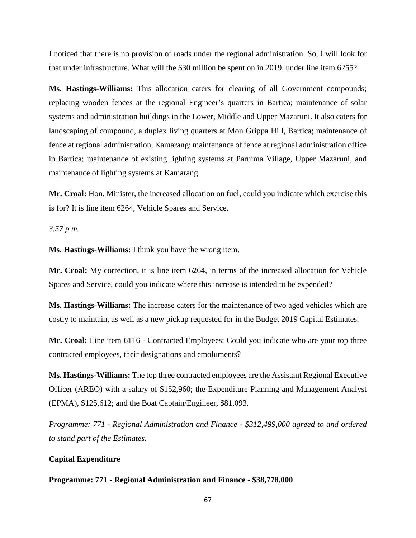I noticed that there is no provision of roads under the regional administration. So, I will look for that under infrastructure. What will the \$30 million be spent on in 2019, under line item 6255?

**Ms. Hastings-Williams:** This allocation caters for clearing of all Government compounds; replacing wooden fences at the regional Engineer's quarters in Bartica; maintenance of solar systems and administration buildings in the Lower, Middle and Upper Mazaruni. It also caters for landscaping of compound, a duplex living quarters at Mon Grippa Hill, Bartica; maintenance of fence at regional administration, Kamarang; maintenance of fence at regional administration office in Bartica; maintenance of existing lighting systems at Paruima Village, Upper Mazaruni, and maintenance of lighting systems at Kamarang.

**Mr. Croal:** Hon. Minister, the increased allocation on fuel, could you indicate which exercise this is for? It is line item 6264, Vehicle Spares and Service.

*3.57 p.m.* 

**Ms. Hastings-Williams:** I think you have the wrong item.

**Mr. Croal:** My correction, it is line item 6264, in terms of the increased allocation for Vehicle Spares and Service, could you indicate where this increase is intended to be expended?

**Ms. Hastings-Williams:** The increase caters for the maintenance of two aged vehicles which are costly to maintain, as well as a new pickup requested for in the Budget 2019 Capital Estimates.

**Mr. Croal:** Line item 6116 - Contracted Employees: Could you indicate who are your top three contracted employees, their designations and emoluments?

**Ms. Hastings-Williams:** The top three contracted employees are the Assistant Regional Executive Officer (AREO) with a salary of \$152,960; the Expenditure Planning and Management Analyst (EPMA), \$125,612; and the Boat Captain/Engineer, \$81,093.

*Programme: 771 - Regional Administration and Finance - \$312,499,000 agreed to and ordered to stand part of the Estimates.*

## **Capital Expenditure**

**Programme: 771 - Regional Administration and Finance - \$38,778,000**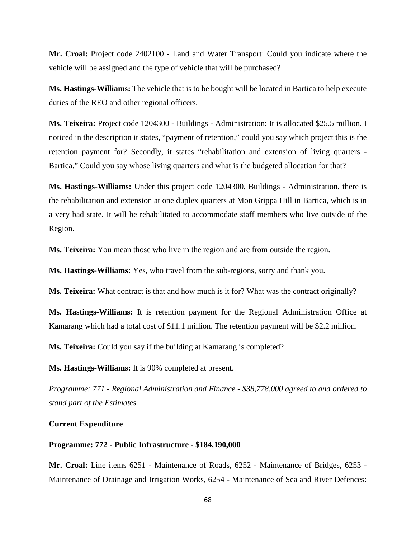**Mr. Croal:** Project code 2402100 - Land and Water Transport: Could you indicate where the vehicle will be assigned and the type of vehicle that will be purchased?

**Ms. Hastings-Williams:** The vehicle that is to be bought will be located in Bartica to help execute duties of the REO and other regional officers.

**Ms. Teixeira:** Project code 1204300 - Buildings - Administration: It is allocated \$25.5 million. I noticed in the description it states, "payment of retention," could you say which project this is the retention payment for? Secondly, it states "rehabilitation and extension of living quarters - Bartica." Could you say whose living quarters and what is the budgeted allocation for that?

**Ms. Hastings-Williams:** Under this project code 1204300, Buildings - Administration, there is the rehabilitation and extension at one duplex quarters at Mon Grippa Hill in Bartica, which is in a very bad state. It will be rehabilitated to accommodate staff members who live outside of the Region.

**Ms. Teixeira:** You mean those who live in the region and are from outside the region.

**Ms. Hastings-Williams:** Yes, who travel from the sub-regions, sorry and thank you.

**Ms. Teixeira:** What contract is that and how much is it for? What was the contract originally?

**Ms. Hastings-Williams:** It is retention payment for the Regional Administration Office at Kamarang which had a total cost of \$11.1 million. The retention payment will be \$2.2 million.

**Ms. Teixeira:** Could you say if the building at Kamarang is completed?

**Ms. Hastings-Williams:** It is 90% completed at present.

*Programme: 771 - Regional Administration and Finance - \$38,778,000 agreed to and ordered to stand part of the Estimates.*

## **Current Expenditure**

## **Programme: 772 - Public Infrastructure - \$184,190,000**

**Mr. Croal:** Line items 6251 - Maintenance of Roads, 6252 - Maintenance of Bridges, 6253 - Maintenance of Drainage and Irrigation Works, 6254 - Maintenance of Sea and River Defences: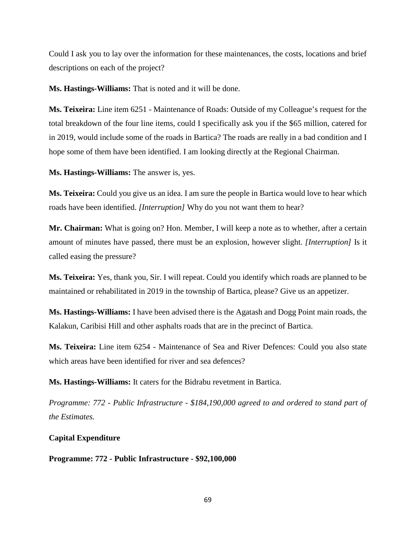Could I ask you to lay over the information for these maintenances, the costs, locations and brief descriptions on each of the project?

**Ms. Hastings-Williams:** That is noted and it will be done.

**Ms. Teixeira:** Line item 6251 - Maintenance of Roads: Outside of my Colleague's request for the total breakdown of the four line items, could I specifically ask you if the \$65 million, catered for in 2019, would include some of the roads in Bartica? The roads are really in a bad condition and I hope some of them have been identified. I am looking directly at the Regional Chairman.

**Ms. Hastings-Williams:** The answer is, yes.

**Ms. Teixeira:** Could you give us an idea. I am sure the people in Bartica would love to hear which roads have been identified. *[Interruption]* Why do you not want them to hear?

**Mr. Chairman:** What is going on? Hon. Member, I will keep a note as to whether, after a certain amount of minutes have passed, there must be an explosion, however slight. *[Interruption]* Is it called easing the pressure?

**Ms. Teixeira:** Yes, thank you, Sir. I will repeat. Could you identify which roads are planned to be maintained or rehabilitated in 2019 in the township of Bartica, please? Give us an appetizer.

**Ms. Hastings-Williams:** I have been advised there is the Agatash and Dogg Point main roads, the Kalakun, Caribisi Hill and other asphalts roads that are in the precinct of Bartica.

**Ms. Teixeira:** Line item 6254 - Maintenance of Sea and River Defences: Could you also state which areas have been identified for river and sea defences?

**Ms. Hastings-Williams:** It caters for the Bidrabu revetment in Bartica.

*Programme: 772 - Public Infrastructure - \$184,190,000 agreed to and ordered to stand part of the Estimates.*

# **Capital Expenditure**

**Programme: 772 - Public Infrastructure - \$92,100,000**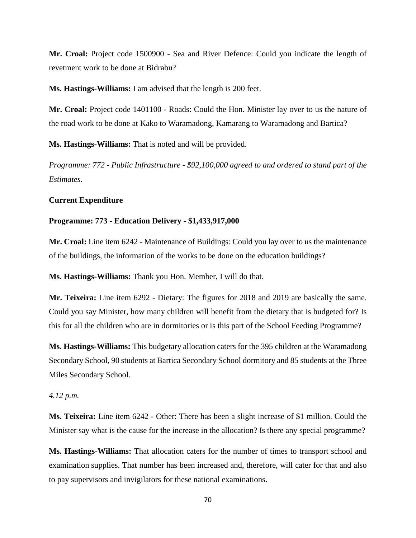**Mr. Croal:** Project code 1500900 - Sea and River Defence: Could you indicate the length of revetment work to be done at Bidrabu?

**Ms. Hastings-Williams:** I am advised that the length is 200 feet.

**Mr. Croal:** Project code 1401100 - Roads: Could the Hon. Minister lay over to us the nature of the road work to be done at Kako to Waramadong, Kamarang to Waramadong and Bartica?

**Ms. Hastings-Williams:** That is noted and will be provided.

*Programme: 772 - Public Infrastructure - \$92,100,000 agreed to and ordered to stand part of the Estimates.* 

#### **Current Expenditure**

## **Programme: 773 - Education Delivery - \$1,433,917,000**

**Mr. Croal:** Line item 6242 - Maintenance of Buildings: Could you lay over to us the maintenance of the buildings, the information of the works to be done on the education buildings?

**Ms. Hastings-Williams:** Thank you Hon. Member, I will do that.

**Mr. Teixeira:** Line item 6292 - Dietary: The figures for 2018 and 2019 are basically the same. Could you say Minister, how many children will benefit from the dietary that is budgeted for? Is this for all the children who are in dormitories or is this part of the School Feeding Programme?

**Ms. Hastings-Williams:** This budgetary allocation caters for the 395 children at the Waramadong Secondary School, 90 students at Bartica Secondary School dormitory and 85 students at the Three Miles Secondary School.

### *4.12 p.m.*

**Ms. Teixeira:** Line item 6242 - Other: There has been a slight increase of \$1 million. Could the Minister say what is the cause for the increase in the allocation? Is there any special programme?

**Ms. Hastings-Williams:** That allocation caters for the number of times to transport school and examination supplies. That number has been increased and, therefore, will cater for that and also to pay supervisors and invigilators for these national examinations.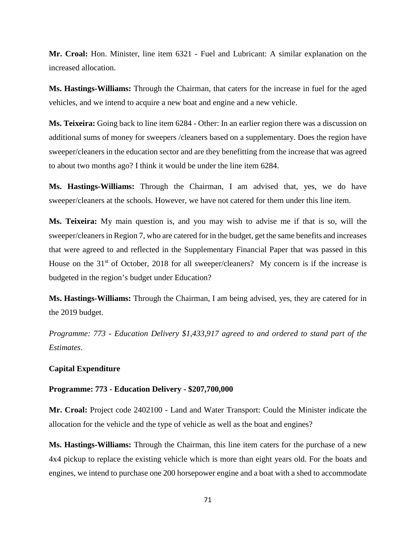**Mr. Croal:** Hon. Minister, line item 6321 - Fuel and Lubricant: A similar explanation on the increased allocation.

**Ms. Hastings-Williams:** Through the Chairman, that caters for the increase in fuel for the aged vehicles, and we intend to acquire a new boat and engine and a new vehicle.

**Ms. Teixeira:** Going back to line item 6284 - Other: In an earlier region there was a discussion on additional sums of money for sweepers /cleaners based on a supplementary. Does the region have sweeper/cleaners in the education sector and are they benefitting from the increase that was agreed to about two months ago? I think it would be under the line item 6284.

**Ms. Hastings-Williams:** Through the Chairman, I am advised that, yes, we do have sweeper/cleaners at the schools. However, we have not catered for them under this line item.

**Ms. Teixeira:** My main question is, and you may wish to advise me if that is so, will the sweeper/cleaners in Region 7, who are catered for in the budget, get the same benefits and increases that were agreed to and reflected in the Supplementary Financial Paper that was passed in this House on the 31<sup>st</sup> of October, 2018 for all sweeper/cleaners? My concern is if the increase is budgeted in the region's budget under Education?

**Ms. Hastings-Williams:** Through the Chairman, I am being advised, yes, they are catered for in the 2019 budget.

*Programme: 773 - Education Delivery \$1,433,917 agreed to and ordered to stand part of the Estimates*.

### **Capital Expenditure**

### **Programme: 773 - Education Delivery - \$207,700,000**

**Mr. Croal:** Project code 2402100 - Land and Water Transport: Could the Minister indicate the allocation for the vehicle and the type of vehicle as well as the boat and engines?

**Ms. Hastings-Williams:** Through the Chairman, this line item caters for the purchase of a new 4x4 pickup to replace the existing vehicle which is more than eight years old. For the boats and engines, we intend to purchase one 200 horsepower engine and a boat with a shed to accommodate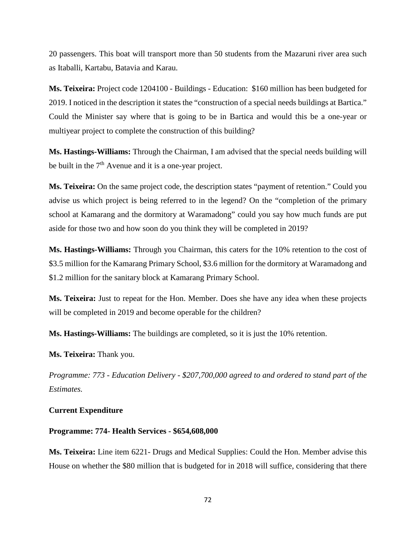20 passengers. This boat will transport more than 50 students from the Mazaruni river area such as Itaballi, Kartabu, Batavia and Karau.

**Ms. Teixeira:** Project code 1204100 - Buildings - Education: \$160 million has been budgeted for 2019. I noticed in the description it states the "construction of a special needs buildings at Bartica." Could the Minister say where that is going to be in Bartica and would this be a one-year or multiyear project to complete the construction of this building?

**Ms. Hastings-Williams:** Through the Chairman, I am advised that the special needs building will be built in the  $7<sup>th</sup>$  Avenue and it is a one-year project.

**Ms. Teixeira:** On the same project code, the description states "payment of retention." Could you advise us which project is being referred to in the legend? On the "completion of the primary school at Kamarang and the dormitory at Waramadong" could you say how much funds are put aside for those two and how soon do you think they will be completed in 2019?

**Ms. Hastings-Williams:** Through you Chairman, this caters for the 10% retention to the cost of \$3.5 million for the Kamarang Primary School, \$3.6 million for the dormitory at Waramadong and \$1.2 million for the sanitary block at Kamarang Primary School.

**Ms. Teixeira:** Just to repeat for the Hon. Member. Does she have any idea when these projects will be completed in 2019 and become operable for the children?

**Ms. Hastings-Williams:** The buildings are completed, so it is just the 10% retention.

**Ms. Teixeira:** Thank you.

*Programme: 773 - Education Delivery - \$207,700,000 agreed to and ordered to stand part of the Estimates.* 

#### **Current Expenditure**

## **Programme: 774- Health Services - \$654,608,000**

**Ms. Teixeira:** Line item 6221- Drugs and Medical Supplies: Could the Hon. Member advise this House on whether the \$80 million that is budgeted for in 2018 will suffice, considering that there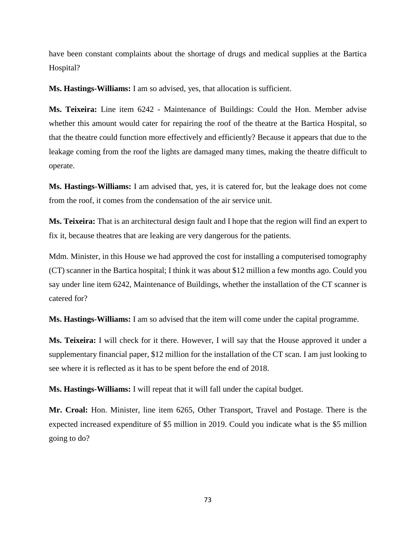have been constant complaints about the shortage of drugs and medical supplies at the Bartica Hospital?

**Ms. Hastings-Williams:** I am so advised, yes, that allocation is sufficient.

**Ms. Teixeira:** Line item 6242 - Maintenance of Buildings: Could the Hon. Member advise whether this amount would cater for repairing the roof of the theatre at the Bartica Hospital, so that the theatre could function more effectively and efficiently? Because it appears that due to the leakage coming from the roof the lights are damaged many times, making the theatre difficult to operate.

**Ms. Hastings-Williams:** I am advised that, yes, it is catered for, but the leakage does not come from the roof, it comes from the condensation of the air service unit.

**Ms. Teixeira:** That is an architectural design fault and I hope that the region will find an expert to fix it, because theatres that are leaking are very dangerous for the patients.

Mdm. Minister, in this House we had approved the cost for installing a computerised tomography (CT) scanner in the Bartica hospital; I think it was about \$12 million a few months ago. Could you say under line item 6242, Maintenance of Buildings, whether the installation of the CT scanner is catered for?

**Ms. Hastings-Williams:** I am so advised that the item will come under the capital programme.

**Ms. Teixeira:** I will check for it there. However, I will say that the House approved it under a supplementary financial paper, \$12 million for the installation of the CT scan. I am just looking to see where it is reflected as it has to be spent before the end of 2018.

**Ms. Hastings-Williams:** I will repeat that it will fall under the capital budget.

**Mr. Croal:** Hon. Minister, line item 6265, Other Transport, Travel and Postage. There is the expected increased expenditure of \$5 million in 2019. Could you indicate what is the \$5 million going to do?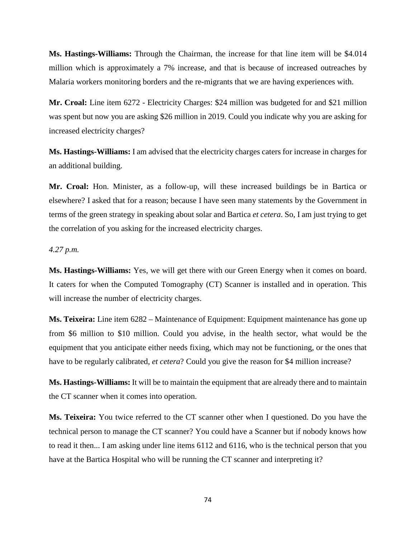**Ms. Hastings-Williams:** Through the Chairman, the increase for that line item will be \$4.014 million which is approximately a 7% increase, and that is because of increased outreaches by Malaria workers monitoring borders and the re-migrants that we are having experiences with.

**Mr. Croal:** Line item 6272 - Electricity Charges: \$24 million was budgeted for and \$21 million was spent but now you are asking \$26 million in 2019. Could you indicate why you are asking for increased electricity charges?

**Ms. Hastings-Williams:** I am advised that the electricity charges caters for increase in charges for an additional building.

**Mr. Croal:** Hon. Minister, as a follow-up, will these increased buildings be in Bartica or elsewhere? I asked that for a reason; because I have seen many statements by the Government in terms of the green strategy in speaking about solar and Bartica *et cetera*. So, I am just trying to get the correlation of you asking for the increased electricity charges.

#### *4.27 p.m.*

**Ms. Hastings-Williams:** Yes, we will get there with our Green Energy when it comes on board. It caters for when the Computed Tomography (CT) Scanner is installed and in operation. This will increase the number of electricity charges.

**Ms. Teixeira:** Line item 6282 – Maintenance of Equipment: Equipment maintenance has gone up from \$6 million to \$10 million. Could you advise, in the health sector, what would be the equipment that you anticipate either needs fixing, which may not be functioning, or the ones that have to be regularly calibrated, *et cetera*? Could you give the reason for \$4 million increase?

**Ms. Hastings-Williams:** It will be to maintain the equipment that are already there and to maintain the CT scanner when it comes into operation.

**Ms. Teixeira:** You twice referred to the CT scanner other when I questioned. Do you have the technical person to manage the CT scanner? You could have a Scanner but if nobody knows how to read it then... I am asking under line items 6112 and 6116, who is the technical person that you have at the Bartica Hospital who will be running the CT scanner and interpreting it?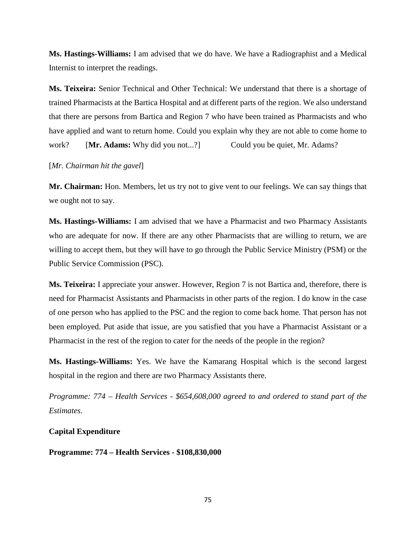**Ms. Hastings-Williams:** I am advised that we do have. We have a Radiographist and a Medical Internist to interpret the readings.

**Ms. Teixeira:** Senior Technical and Other Technical: We understand that there is a shortage of trained Pharmacists at the Bartica Hospital and at different parts of the region. We also understand that there are persons from Bartica and Region 7 who have been trained as Pharmacists and who have applied and want to return home. Could you explain why they are not able to come home to work? **[Mr. Adams:** Why did you not...?] Could you be quiet, Mr. Adams?

# [*Mr. Chairman hit the gavel*]

**Mr. Chairman:** Hon. Members, let us try not to give vent to our feelings. We can say things that we ought not to say.

**Ms. Hastings-Williams:** I am advised that we have a Pharmacist and two Pharmacy Assistants who are adequate for now. If there are any other Pharmacists that are willing to return, we are willing to accept them, but they will have to go through the Public Service Ministry (PSM) or the Public Service Commission (PSC).

**Ms. Teixeira:** I appreciate your answer. However, Region 7 is not Bartica and, therefore, there is need for Pharmacist Assistants and Pharmacists in other parts of the region. I do know in the case of one person who has applied to the PSC and the region to come back home. That person has not been employed. Put aside that issue, are you satisfied that you have a Pharmacist Assistant or a Pharmacist in the rest of the region to cater for the needs of the people in the region?

**Ms. Hastings-Williams:** Yes. We have the Kamarang Hospital which is the second largest hospital in the region and there are two Pharmacy Assistants there.

*Programme: 774 – Health Services - \$654,608,000 agreed to and ordered to stand part of the Estimates.*

# **Capital Expenditure**

**Programme: 774 – Health Services - \$108,830,000**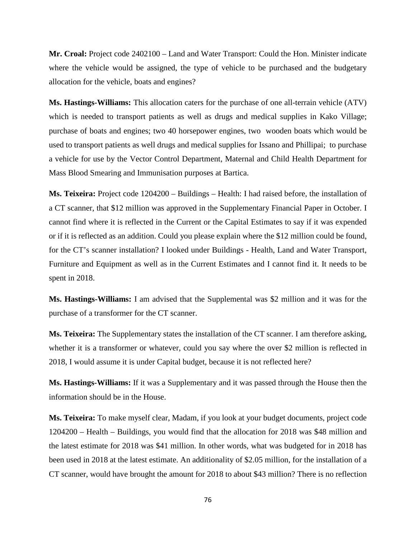**Mr. Croal:** Project code 2402100 – Land and Water Transport: Could the Hon. Minister indicate where the vehicle would be assigned, the type of vehicle to be purchased and the budgetary allocation for the vehicle, boats and engines?

**Ms. Hastings-Williams:** This allocation caters for the purchase of one all-terrain vehicle (ATV) which is needed to transport patients as well as drugs and medical supplies in Kako Village; purchase of boats and engines; two 40 horsepower engines, two wooden boats which would be used to transport patients as well drugs and medical supplies for Issano and Phillipai; to purchase a vehicle for use by the Vector Control Department, Maternal and Child Health Department for Mass Blood Smearing and Immunisation purposes at Bartica.

**Ms. Teixeira:** Project code 1204200 – Buildings – Health: I had raised before, the installation of a CT scanner, that \$12 million was approved in the Supplementary Financial Paper in October. I cannot find where it is reflected in the Current or the Capital Estimates to say if it was expended or if it is reflected as an addition. Could you please explain where the \$12 million could be found, for the CT's scanner installation? I looked under Buildings - Health, Land and Water Transport, Furniture and Equipment as well as in the Current Estimates and I cannot find it. It needs to be spent in 2018.

**Ms. Hastings-Williams:** I am advised that the Supplemental was \$2 million and it was for the purchase of a transformer for the CT scanner.

**Ms. Teixeira:** The Supplementary states the installation of the CT scanner. I am therefore asking, whether it is a transformer or whatever, could you say where the over \$2 million is reflected in 2018, I would assume it is under Capital budget, because it is not reflected here?

**Ms. Hastings-Williams:** If it was a Supplementary and it was passed through the House then the information should be in the House.

**Ms. Teixeira:** To make myself clear, Madam, if you look at your budget documents, project code 1204200 – Health – Buildings, you would find that the allocation for 2018 was \$48 million and the latest estimate for 2018 was \$41 million. In other words, what was budgeted for in 2018 has been used in 2018 at the latest estimate. An additionality of \$2.05 million, for the installation of a CT scanner, would have brought the amount for 2018 to about \$43 million? There is no reflection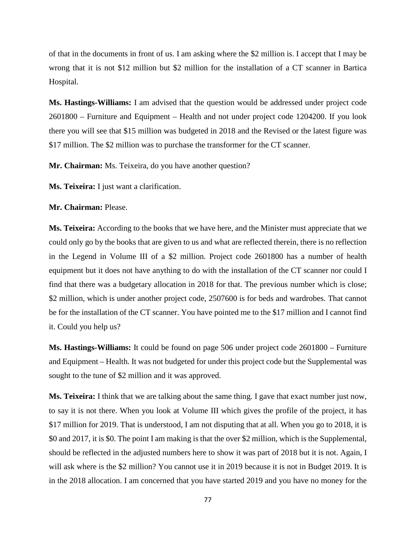of that in the documents in front of us. I am asking where the \$2 million is. I accept that I may be wrong that it is not \$12 million but \$2 million for the installation of a CT scanner in Bartica Hospital.

**Ms. Hastings-Williams:** I am advised that the question would be addressed under project code 2601800 – Furniture and Equipment – Health and not under project code 1204200. If you look there you will see that \$15 million was budgeted in 2018 and the Revised or the latest figure was \$17 million. The \$2 million was to purchase the transformer for the CT scanner.

**Mr. Chairman:** Ms. Teixeira, do you have another question?

**Ms. Teixeira:** I just want a clarification.

**Mr. Chairman:** Please.

**Ms. Teixeira:** According to the books that we have here, and the Minister must appreciate that we could only go by the books that are given to us and what are reflected therein, there is no reflection in the Legend in Volume III of a \$2 million. Project code 2601800 has a number of health equipment but it does not have anything to do with the installation of the CT scanner nor could I find that there was a budgetary allocation in 2018 for that. The previous number which is close; \$2 million, which is under another project code, 2507600 is for beds and wardrobes. That cannot be for the installation of the CT scanner. You have pointed me to the \$17 million and I cannot find it. Could you help us?

**Ms. Hastings-Williams:** It could be found on page 506 under project code 2601800 – Furniture and Equipment – Health. It was not budgeted for under this project code but the Supplemental was sought to the tune of \$2 million and it was approved.

**Ms. Teixeira:** I think that we are talking about the same thing. I gave that exact number just now, to say it is not there. When you look at Volume III which gives the profile of the project, it has \$17 million for 2019. That is understood, I am not disputing that at all. When you go to 2018, it is \$0 and 2017, it is \$0. The point I am making is that the over \$2 million, which is the Supplemental, should be reflected in the adjusted numbers here to show it was part of 2018 but it is not. Again, I will ask where is the \$2 million? You cannot use it in 2019 because it is not in Budget 2019. It is in the 2018 allocation. I am concerned that you have started 2019 and you have no money for the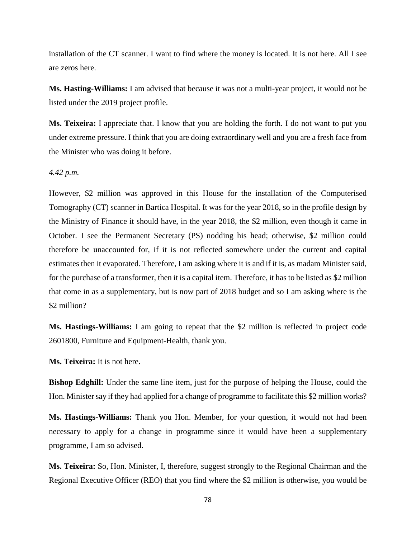installation of the CT scanner. I want to find where the money is located. It is not here. All I see are zeros here.

**Ms. Hasting-Williams:** I am advised that because it was not a multi-year project, it would not be listed under the 2019 project profile.

**Ms. Teixeira:** I appreciate that. I know that you are holding the forth. I do not want to put you under extreme pressure. I think that you are doing extraordinary well and you are a fresh face from the Minister who was doing it before.

#### *4.42 p.m.*

However, \$2 million was approved in this House for the installation of the Computerised Tomography (CT) scanner in Bartica Hospital. It was for the year 2018, so in the profile design by the Ministry of Finance it should have, in the year 2018, the \$2 million, even though it came in October. I see the Permanent Secretary (PS) nodding his head; otherwise, \$2 million could therefore be unaccounted for, if it is not reflected somewhere under the current and capital estimates then it evaporated. Therefore, I am asking where it is and if it is, as madam Minister said, for the purchase of a transformer, then it is a capital item. Therefore, it has to be listed as \$2 million that come in as a supplementary, but is now part of 2018 budget and so I am asking where is the \$2 million?

**Ms. Hastings-Williams:** I am going to repeat that the \$2 million is reflected in project code 2601800, Furniture and Equipment-Health, thank you.

**Ms. Teixeira:** It is not here.

**Bishop Edghill:** Under the same line item, just for the purpose of helping the House, could the Hon. Minister say if they had applied for a change of programme to facilitate this \$2 million works?

**Ms. Hastings-Williams:** Thank you Hon. Member, for your question, it would not had been necessary to apply for a change in programme since it would have been a supplementary programme, I am so advised.

**Ms. Teixeira:** So, Hon. Minister, I, therefore, suggest strongly to the Regional Chairman and the Regional Executive Officer (REO) that you find where the \$2 million is otherwise, you would be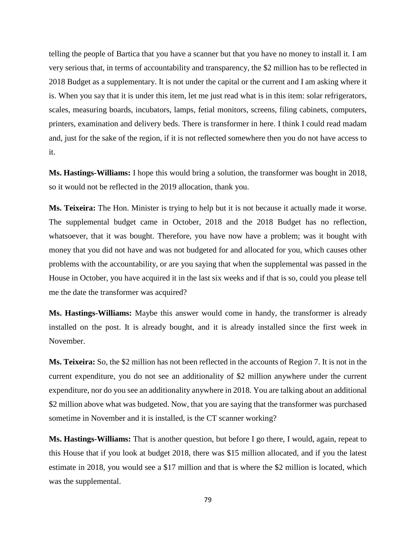telling the people of Bartica that you have a scanner but that you have no money to install it. I am very serious that, in terms of accountability and transparency, the \$2 million has to be reflected in 2018 Budget as a supplementary. It is not under the capital or the current and I am asking where it is. When you say that it is under this item, let me just read what is in this item: solar refrigerators, scales, measuring boards, incubators, lamps, fetial monitors, screens, filing cabinets, computers, printers, examination and delivery beds. There is transformer in here. I think I could read madam and, just for the sake of the region, if it is not reflected somewhere then you do not have access to it.

**Ms. Hastings-Williams:** I hope this would bring a solution, the transformer was bought in 2018, so it would not be reflected in the 2019 allocation, thank you.

**Ms. Teixeira:** The Hon. Minister is trying to help but it is not because it actually made it worse. The supplemental budget came in October, 2018 and the 2018 Budget has no reflection, whatsoever, that it was bought. Therefore, you have now have a problem; was it bought with money that you did not have and was not budgeted for and allocated for you, which causes other problems with the accountability, or are you saying that when the supplemental was passed in the House in October, you have acquired it in the last six weeks and if that is so, could you please tell me the date the transformer was acquired?

**Ms. Hastings-Williams:** Maybe this answer would come in handy, the transformer is already installed on the post. It is already bought, and it is already installed since the first week in November.

**Ms. Teixeira:** So, the \$2 million has not been reflected in the accounts of Region 7. It is not in the current expenditure, you do not see an additionality of \$2 million anywhere under the current expenditure, nor do you see an additionality anywhere in 2018. You are talking about an additional \$2 million above what was budgeted. Now, that you are saying that the transformer was purchased sometime in November and it is installed, is the CT scanner working?

**Ms. Hastings-Williams:** That is another question, but before I go there, I would, again, repeat to this House that if you look at budget 2018, there was \$15 million allocated, and if you the latest estimate in 2018, you would see a \$17 million and that is where the \$2 million is located, which was the supplemental.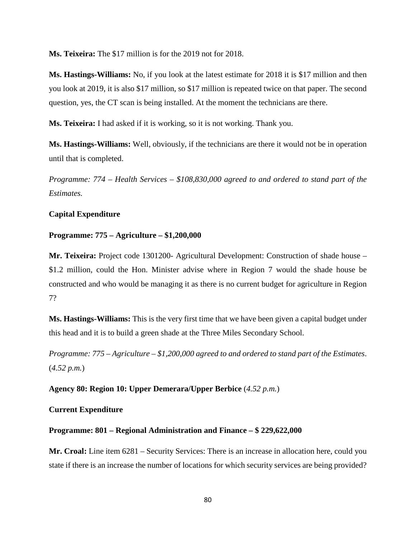**Ms. Teixeira:** The \$17 million is for the 2019 not for 2018.

**Ms. Hastings-Williams:** No, if you look at the latest estimate for 2018 it is \$17 million and then you look at 2019, it is also \$17 million, so \$17 million is repeated twice on that paper. The second question, yes, the CT scan is being installed. At the moment the technicians are there.

**Ms. Teixeira:** I had asked if it is working, so it is not working. Thank you.

**Ms. Hastings-Williams:** Well, obviously, if the technicians are there it would not be in operation until that is completed.

*Programme: 774 – Health Services – \$108,830,000 agreed to and ordered to stand part of the Estimates.*

# **Capital Expenditure**

#### **Programme: 775 – Agriculture – \$1,200,000**

**Mr. Teixeira:** Project code 1301200- Agricultural Development: Construction of shade house – \$1.2 million, could the Hon. Minister advise where in Region 7 would the shade house be constructed and who would be managing it as there is no current budget for agriculture in Region 7?

**Ms. Hastings-Williams:** This is the very first time that we have been given a capital budget under this head and it is to build a green shade at the Three Miles Secondary School.

*Programme: 775 – Agriculture – \$1,200,000 agreed to and ordered to stand part of the Estimates*. (*4.52 p.m.*)

**Agency 80: Region 10: Upper Demerara/Upper Berbice** (*4.52 p.m.*)

### **Current Expenditure**

#### **Programme: 801 – Regional Administration and Finance – \$ 229,622,000**

**Mr. Croal:** Line item 6281 – Security Services: There is an increase in allocation here, could you state if there is an increase the number of locations for which security services are being provided?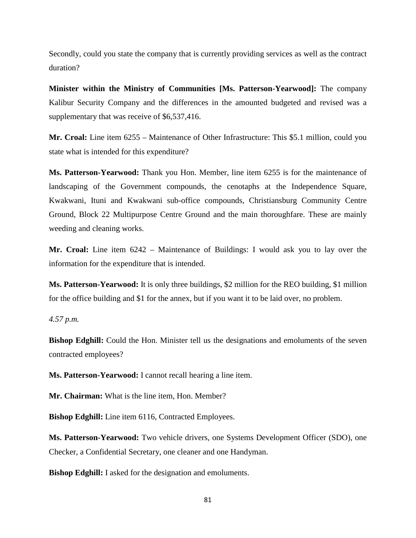Secondly, could you state the company that is currently providing services as well as the contract duration?

**Minister within the Ministry of Communities [Ms. Patterson-Yearwood]:** The company Kalibur Security Company and the differences in the amounted budgeted and revised was a supplementary that was receive of \$6,537,416.

**Mr. Croal:** Line item 6255 – Maintenance of Other Infrastructure: This \$5.1 million, could you state what is intended for this expenditure?

**Ms. Patterson-Yearwood:** Thank you Hon. Member, line item 6255 is for the maintenance of landscaping of the Government compounds, the cenotaphs at the Independence Square, Kwakwani, Ituni and Kwakwani sub-office compounds, Christiansburg Community Centre Ground, Block 22 Multipurpose Centre Ground and the main thoroughfare. These are mainly weeding and cleaning works.

**Mr. Croal:** Line item 6242 – Maintenance of Buildings: I would ask you to lay over the information for the expenditure that is intended.

**Ms. Patterson-Yearwood:** It is only three buildings, \$2 million for the REO building, \$1 million for the office building and \$1 for the annex, but if you want it to be laid over, no problem.

#### *4.57 p.m.*

**Bishop Edghill:** Could the Hon. Minister tell us the designations and emoluments of the seven contracted employees?

**Ms. Patterson-Yearwood:** I cannot recall hearing a line item.

**Mr. Chairman:** What is the line item, Hon. Member?

**Bishop Edghill:** Line item 6116, Contracted Employees.

**Ms. Patterson-Yearwood:** Two vehicle drivers, one Systems Development Officer (SDO), one Checker, a Confidential Secretary, one cleaner and one Handyman.

**Bishop Edghill:** I asked for the designation and emoluments.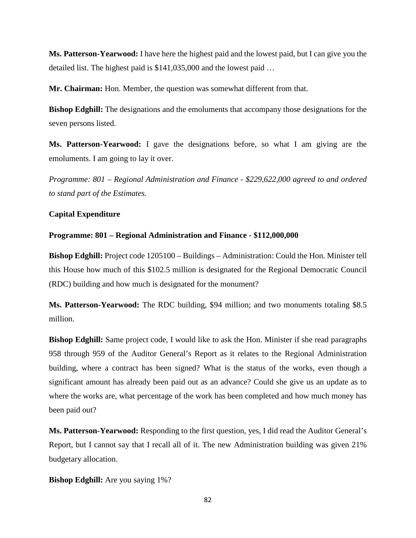**Ms. Patterson-Yearwood:** I have here the highest paid and the lowest paid, but I can give you the detailed list. The highest paid is \$141,035,000 and the lowest paid …

**Mr. Chairman:** Hon. Member, the question was somewhat different from that.

**Bishop Edghill:** The designations and the emoluments that accompany those designations for the seven persons listed.

**Ms. Patterson-Yearwood:** I gave the designations before, so what I am giving are the emoluments. I am going to lay it over.

*Programme: 801 – Regional Administration and Finance - \$229,622,000 agreed to and ordered to stand part of the Estimates.* 

# **Capital Expenditure**

# **Programme: 801 – Regional Administration and Finance - \$112,000,000**

**Bishop Edghill:** Project code 1205100 – Buildings – Administration: Could the Hon. Minister tell this House how much of this \$102.5 million is designated for the Regional Democratic Council (RDC) building and how much is designated for the monument?

**Ms. Patterson-Yearwood:** The RDC building, \$94 million; and two monuments totaling \$8.5 million.

**Bishop Edghill:** Same project code, I would like to ask the Hon. Minister if she read paragraphs 958 through 959 of the Auditor General's Report as it relates to the Regional Administration building, where a contract has been signed? What is the status of the works, even though a significant amount has already been paid out as an advance? Could she give us an update as to where the works are, what percentage of the work has been completed and how much money has been paid out?

**Ms. Patterson-Yearwood:** Responding to the first question, yes, I did read the Auditor General's Report, but I cannot say that I recall all of it. The new Administration building was given 21% budgetary allocation.

**Bishop Edghill:** Are you saying 1%?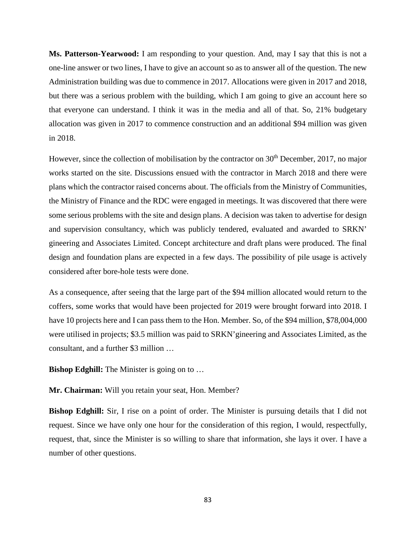**Ms. Patterson-Yearwood:** I am responding to your question. And, may I say that this is not a one-line answer or two lines, I have to give an account so as to answer all of the question. The new Administration building was due to commence in 2017. Allocations were given in 2017 and 2018, but there was a serious problem with the building, which I am going to give an account here so that everyone can understand. I think it was in the media and all of that. So, 21% budgetary allocation was given in 2017 to commence construction and an additional \$94 million was given in 2018.

However, since the collection of mobilisation by the contractor on  $30<sup>th</sup>$  December, 2017, no major works started on the site. Discussions ensued with the contractor in March 2018 and there were plans which the contractor raised concerns about. The officials from the Ministry of Communities, the Ministry of Finance and the RDC were engaged in meetings. It was discovered that there were some serious problems with the site and design plans. A decision was taken to advertise for design and supervision consultancy, which was publicly tendered, evaluated and awarded to SRKN' gineering and Associates Limited. Concept architecture and draft plans were produced. The final design and foundation plans are expected in a few days. The possibility of pile usage is actively considered after bore-hole tests were done.

As a consequence, after seeing that the large part of the \$94 million allocated would return to the coffers, some works that would have been projected for 2019 were brought forward into 2018. I have 10 projects here and I can pass them to the Hon. Member. So, of the \$94 million, \$78,004,000 were utilised in projects; \$3.5 million was paid to SRKN'gineering and Associates Limited, as the consultant, and a further \$3 million …

**Bishop Edghill:** The Minister is going on to ...

**Mr. Chairman:** Will you retain your seat, Hon. Member?

**Bishop Edghill:** Sir, I rise on a point of order. The Minister is pursuing details that I did not request. Since we have only one hour for the consideration of this region, I would, respectfully, request, that, since the Minister is so willing to share that information, she lays it over. I have a number of other questions.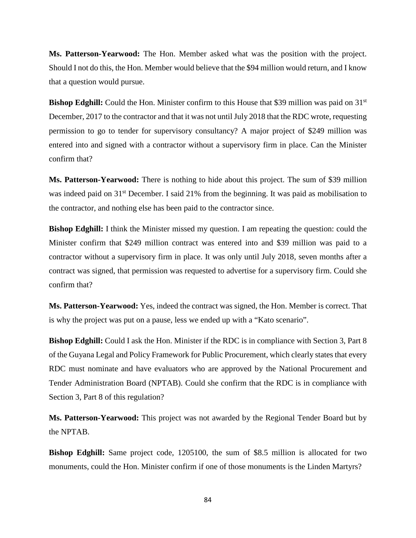**Ms. Patterson-Yearwood:** The Hon. Member asked what was the position with the project. Should I not do this, the Hon. Member would believe that the \$94 million would return, and I know that a question would pursue.

**Bishop Edghill:** Could the Hon. Minister confirm to this House that \$39 million was paid on 31<sup>st</sup> December, 2017 to the contractor and that it was not until July 2018 that the RDC wrote, requesting permission to go to tender for supervisory consultancy? A major project of \$249 million was entered into and signed with a contractor without a supervisory firm in place. Can the Minister confirm that?

**Ms. Patterson-Yearwood:** There is nothing to hide about this project. The sum of \$39 million was indeed paid on 31<sup>st</sup> December. I said 21% from the beginning. It was paid as mobilisation to the contractor, and nothing else has been paid to the contractor since.

**Bishop Edghill:** I think the Minister missed my question. I am repeating the question: could the Minister confirm that \$249 million contract was entered into and \$39 million was paid to a contractor without a supervisory firm in place. It was only until July 2018, seven months after a contract was signed, that permission was requested to advertise for a supervisory firm. Could she confirm that?

**Ms. Patterson-Yearwood:** Yes, indeed the contract was signed, the Hon. Member is correct. That is why the project was put on a pause, less we ended up with a "Kato scenario".

**Bishop Edghill:** Could I ask the Hon. Minister if the RDC is in compliance with Section 3, Part 8 of the Guyana Legal and Policy Framework for Public Procurement, which clearly states that every RDC must nominate and have evaluators who are approved by the National Procurement and Tender Administration Board (NPTAB). Could she confirm that the RDC is in compliance with Section 3, Part 8 of this regulation?

**Ms. Patterson-Yearwood:** This project was not awarded by the Regional Tender Board but by the NPTAB.

**Bishop Edghill:** Same project code, 1205100, the sum of \$8.5 million is allocated for two monuments, could the Hon. Minister confirm if one of those monuments is the Linden Martyrs?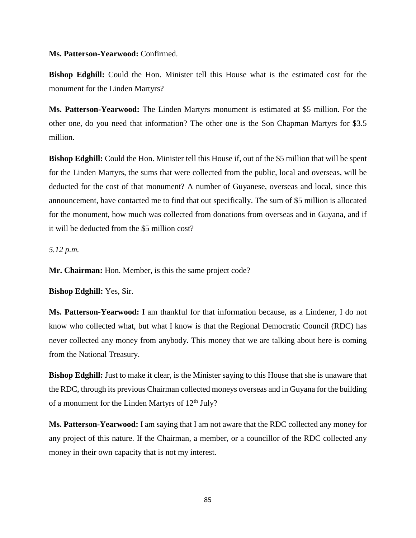#### **Ms. Patterson-Yearwood:** Confirmed.

**Bishop Edghill:** Could the Hon. Minister tell this House what is the estimated cost for the monument for the Linden Martyrs?

**Ms. Patterson-Yearwood:** The Linden Martyrs monument is estimated at \$5 million. For the other one, do you need that information? The other one is the Son Chapman Martyrs for \$3.5 million.

**Bishop Edghill:** Could the Hon. Minister tell this House if, out of the \$5 million that will be spent for the Linden Martyrs, the sums that were collected from the public, local and overseas, will be deducted for the cost of that monument? A number of Guyanese, overseas and local, since this announcement, have contacted me to find that out specifically. The sum of \$5 million is allocated for the monument, how much was collected from donations from overseas and in Guyana, and if it will be deducted from the \$5 million cost?

*5.12 p.m.*

**Mr. Chairman:** Hon. Member, is this the same project code?

**Bishop Edghill:** Yes, Sir.

**Ms. Patterson-Yearwood:** I am thankful for that information because, as a Lindener, I do not know who collected what, but what I know is that the Regional Democratic Council (RDC) has never collected any money from anybody. This money that we are talking about here is coming from the National Treasury.

**Bishop Edghill:** Just to make it clear, is the Minister saying to this House that she is unaware that the RDC, through its previous Chairman collected moneys overseas and in Guyana for the building of a monument for the Linden Martyrs of  $12<sup>th</sup>$  July?

**Ms. Patterson-Yearwood:** I am saying that I am not aware that the RDC collected any money for any project of this nature. If the Chairman, a member, or a councillor of the RDC collected any money in their own capacity that is not my interest.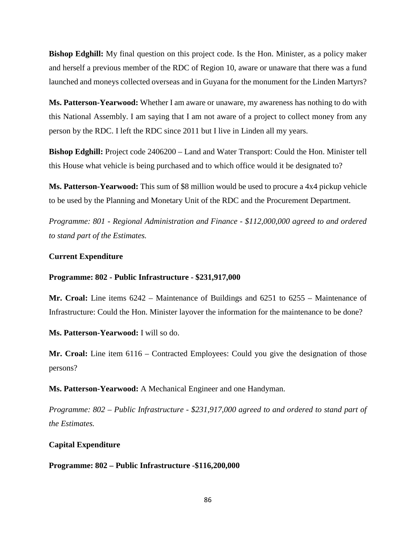**Bishop Edghill:** My final question on this project code. Is the Hon. Minister, as a policy maker and herself a previous member of the RDC of Region 10, aware or unaware that there was a fund launched and moneys collected overseas and in Guyana for the monument for the Linden Martyrs?

**Ms. Patterson-Yearwood:** Whether I am aware or unaware, my awareness has nothing to do with this National Assembly. I am saying that I am not aware of a project to collect money from any person by the RDC. I left the RDC since 2011 but I live in Linden all my years.

**Bishop Edghill:** Project code 2406200 – Land and Water Transport: Could the Hon. Minister tell this House what vehicle is being purchased and to which office would it be designated to?

**Ms. Patterson-Yearwood:** This sum of \$8 million would be used to procure a 4x4 pickup vehicle to be used by the Planning and Monetary Unit of the RDC and the Procurement Department.

*Programme: 801 - Regional Administration and Finance - \$112,000,000 agreed to and ordered to stand part of the Estimates.*

#### **Current Expenditure**

# **Programme: 802 - Public Infrastructure - \$231,917,000**

**Mr. Croal:** Line items 6242 – Maintenance of Buildings and 6251 to 6255 – Maintenance of Infrastructure: Could the Hon. Minister layover the information for the maintenance to be done?

**Ms. Patterson-Yearwood:** I will so do.

**Mr. Croal:** Line item 6116 – Contracted Employees: Could you give the designation of those persons?

**Ms. Patterson-Yearwood:** A Mechanical Engineer and one Handyman.

*Programme: 802 – Public Infrastructure - \$231,917,000 agreed to and ordered to stand part of the Estimates.*

### **Capital Expenditure**

# **Programme: 802 – Public Infrastructure -\$116,200,000**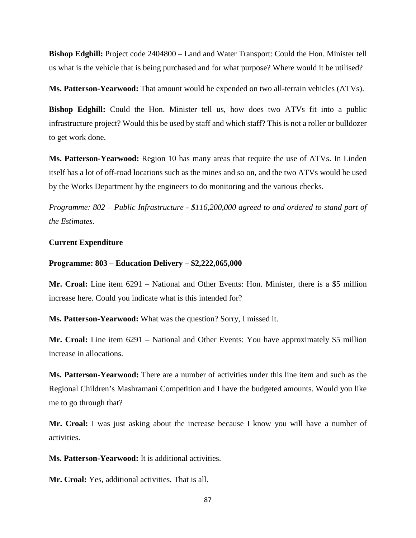**Bishop Edghill:** Project code 2404800 – Land and Water Transport: Could the Hon. Minister tell us what is the vehicle that is being purchased and for what purpose? Where would it be utilised?

**Ms. Patterson-Yearwood:** That amount would be expended on two all-terrain vehicles (ATVs).

**Bishop Edghill:** Could the Hon. Minister tell us, how does two ATVs fit into a public infrastructure project? Would this be used by staff and which staff? This is not a roller or bulldozer to get work done.

**Ms. Patterson-Yearwood:** Region 10 has many areas that require the use of ATVs. In Linden itself has a lot of off-road locations such as the mines and so on, and the two ATVs would be used by the Works Department by the engineers to do monitoring and the various checks.

*Programme: 802 – Public Infrastructure - \$116,200,000 agreed to and ordered to stand part of the Estimates.*

# **Current Expenditure**

### **Programme: 803 – Education Delivery – \$2,222,065,000**

**Mr. Croal:** Line item 6291 – National and Other Events: Hon. Minister, there is a \$5 million increase here. Could you indicate what is this intended for?

**Ms. Patterson-Yearwood:** What was the question? Sorry, I missed it.

**Mr. Croal:** Line item 6291 – National and Other Events: You have approximately \$5 million increase in allocations.

**Ms. Patterson-Yearwood:** There are a number of activities under this line item and such as the Regional Children's Mashramani Competition and I have the budgeted amounts. Would you like me to go through that?

**Mr. Croal:** I was just asking about the increase because I know you will have a number of activities.

**Ms. Patterson-Yearwood:** It is additional activities.

**Mr. Croal:** Yes, additional activities. That is all.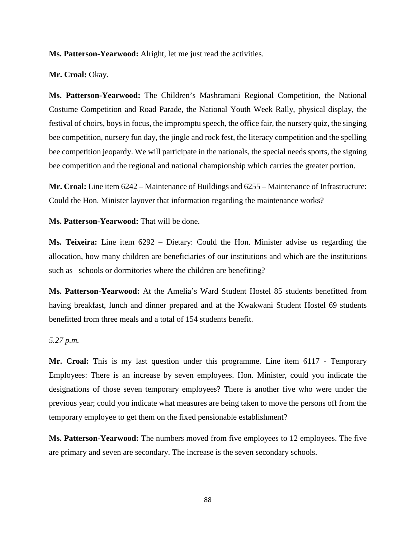**Ms. Patterson-Yearwood:** Alright, let me just read the activities.

**Mr. Croal:** Okay.

**Ms. Patterson-Yearwood:** The Children's Mashramani Regional Competition, the National Costume Competition and Road Parade, the National Youth Week Rally, physical display, the festival of choirs, boys in focus, the impromptu speech, the office fair, the nursery quiz, the singing bee competition, nursery fun day, the jingle and rock fest, the literacy competition and the spelling bee competition jeopardy. We will participate in the nationals, the special needs sports, the signing bee competition and the regional and national championship which carries the greater portion.

**Mr. Croal:** Line item 6242 – Maintenance of Buildings and 6255 – Maintenance of Infrastructure: Could the Hon. Minister layover that information regarding the maintenance works?

**Ms. Patterson-Yearwood:** That will be done.

**Ms. Teixeira:** Line item 6292 – Dietary: Could the Hon. Minister advise us regarding the allocation, how many children are beneficiaries of our institutions and which are the institutions such as schools or dormitories where the children are benefiting?

**Ms. Patterson-Yearwood:** At the Amelia's Ward Student Hostel 85 students benefitted from having breakfast, lunch and dinner prepared and at the Kwakwani Student Hostel 69 students benefitted from three meals and a total of 154 students benefit.

# *5.27 p.m.*

**Mr. Croal:** This is my last question under this programme. Line item 6117 - Temporary Employees: There is an increase by seven employees. Hon. Minister, could you indicate the designations of those seven temporary employees? There is another five who were under the previous year; could you indicate what measures are being taken to move the persons off from the temporary employee to get them on the fixed pensionable establishment?

**Ms. Patterson-Yearwood:** The numbers moved from five employees to 12 employees. The five are primary and seven are secondary. The increase is the seven secondary schools.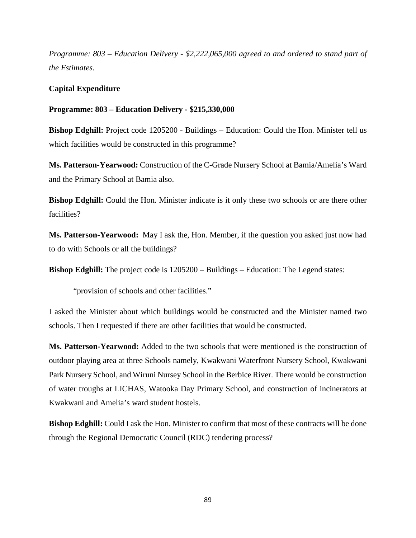*Programme: 803 – Education Delivery - \$2,222,065,000 agreed to and ordered to stand part of the Estimates.*

# **Capital Expenditure**

**Programme: 803 – Education Delivery - \$215,330,000**

**Bishop Edghill:** Project code 1205200 - Buildings – Education: Could the Hon. Minister tell us which facilities would be constructed in this programme?

**Ms. Patterson-Yearwood:** Construction of the C-Grade Nursery School at Bamia/Amelia's Ward and the Primary School at Bamia also.

**Bishop Edghill:** Could the Hon. Minister indicate is it only these two schools or are there other facilities?

**Ms. Patterson-Yearwood:** May I ask the, Hon. Member, if the question you asked just now had to do with Schools or all the buildings?

**Bishop Edghill:** The project code is  $1205200 - \text{Buildings} - \text{Education:}$  The Legend states:

"provision of schools and other facilities."

I asked the Minister about which buildings would be constructed and the Minister named two schools. Then I requested if there are other facilities that would be constructed.

**Ms. Patterson-Yearwood:** Added to the two schools that were mentioned is the construction of outdoor playing area at three Schools namely, Kwakwani Waterfront Nursery School, Kwakwani Park Nursery School, and Wiruni Nursey School in the Berbice River. There would be construction of water troughs at LICHAS, Watooka Day Primary School, and construction of incinerators at Kwakwani and Amelia's ward student hostels.

**Bishop Edghill:** Could I ask the Hon. Minister to confirm that most of these contracts will be done through the Regional Democratic Council (RDC) tendering process?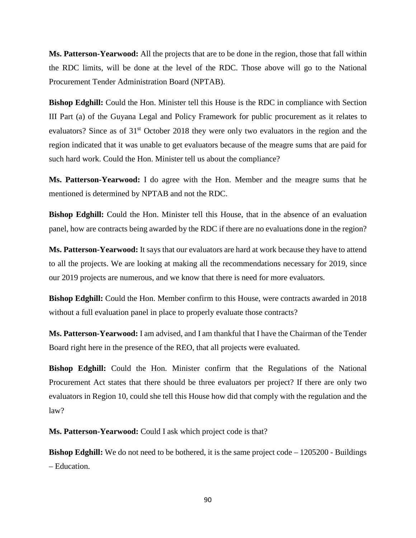**Ms. Patterson-Yearwood:** All the projects that are to be done in the region, those that fall within the RDC limits, will be done at the level of the RDC. Those above will go to the National Procurement Tender Administration Board (NPTAB).

**Bishop Edghill:** Could the Hon. Minister tell this House is the RDC in compliance with Section III Part (a) of the Guyana Legal and Policy Framework for public procurement as it relates to evaluators? Since as of 31<sup>st</sup> October 2018 they were only two evaluators in the region and the region indicated that it was unable to get evaluators because of the meagre sums that are paid for such hard work. Could the Hon. Minister tell us about the compliance?

**Ms. Patterson-Yearwood:** I do agree with the Hon. Member and the meagre sums that he mentioned is determined by NPTAB and not the RDC.

**Bishop Edghill:** Could the Hon. Minister tell this House, that in the absence of an evaluation panel, how are contracts being awarded by the RDC if there are no evaluations done in the region?

**Ms. Patterson-Yearwood:** It says that our evaluators are hard at work because they have to attend to all the projects. We are looking at making all the recommendations necessary for 2019, since our 2019 projects are numerous, and we know that there is need for more evaluators.

**Bishop Edghill:** Could the Hon. Member confirm to this House, were contracts awarded in 2018 without a full evaluation panel in place to properly evaluate those contracts?

**Ms. Patterson-Yearwood:** I am advised, and I am thankful that I have the Chairman of the Tender Board right here in the presence of the REO, that all projects were evaluated.

**Bishop Edghill:** Could the Hon. Minister confirm that the Regulations of the National Procurement Act states that there should be three evaluators per project? If there are only two evaluators in Region 10, could she tell this House how did that comply with the regulation and the law?

**Ms. Patterson-Yearwood:** Could I ask which project code is that?

**Bishop Edghill:** We do not need to be bothered, it is the same project code – 1205200 - Buildings – Education.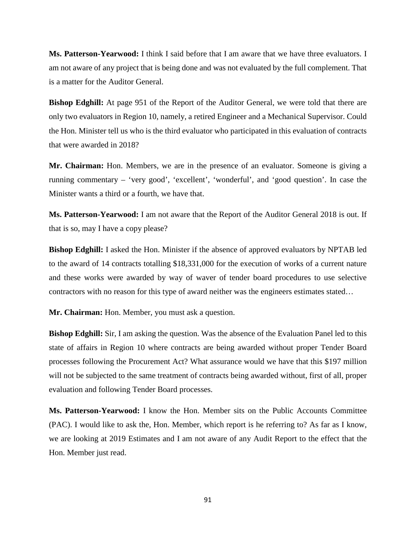**Ms. Patterson-Yearwood:** I think I said before that I am aware that we have three evaluators. I am not aware of any project that is being done and was not evaluated by the full complement. That is a matter for the Auditor General.

**Bishop Edghill:** At page 951 of the Report of the Auditor General, we were told that there are only two evaluators in Region 10, namely, a retired Engineer and a Mechanical Supervisor. Could the Hon. Minister tell us who is the third evaluator who participated in this evaluation of contracts that were awarded in 2018?

**Mr. Chairman:** Hon. Members, we are in the presence of an evaluator. Someone is giving a running commentary – 'very good', 'excellent', 'wonderful', and 'good question'. In case the Minister wants a third or a fourth, we have that.

**Ms. Patterson-Yearwood:** I am not aware that the Report of the Auditor General 2018 is out. If that is so, may I have a copy please?

**Bishop Edghill:** I asked the Hon. Minister if the absence of approved evaluators by NPTAB led to the award of 14 contracts totalling \$18,331,000 for the execution of works of a current nature and these works were awarded by way of waver of tender board procedures to use selective contractors with no reason for this type of award neither was the engineers estimates stated…

**Mr. Chairman:** Hon. Member, you must ask a question.

**Bishop Edghill:** Sir, I am asking the question. Was the absence of the Evaluation Panel led to this state of affairs in Region 10 where contracts are being awarded without proper Tender Board processes following the Procurement Act? What assurance would we have that this \$197 million will not be subjected to the same treatment of contracts being awarded without, first of all, proper evaluation and following Tender Board processes.

**Ms. Patterson-Yearwood:** I know the Hon. Member sits on the Public Accounts Committee (PAC). I would like to ask the, Hon. Member, which report is he referring to? As far as I know, we are looking at 2019 Estimates and I am not aware of any Audit Report to the effect that the Hon. Member just read.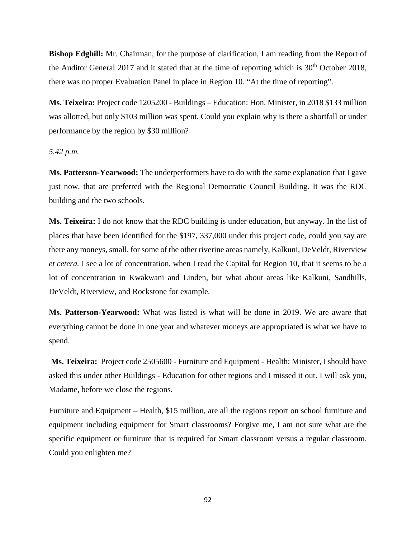**Bishop Edghill:** Mr. Chairman, for the purpose of clarification, I am reading from the Report of the Auditor General 2017 and it stated that at the time of reporting which is  $30<sup>th</sup>$  October 2018, there was no proper Evaluation Panel in place in Region 10. "At the time of reporting".

**Ms. Teixeira:** Project code 1205200 - Buildings – Education: Hon. Minister, in 2018 \$133 million was allotted, but only \$103 million was spent. Could you explain why is there a shortfall or under performance by the region by \$30 million?

### *5.42 p.m.*

**Ms. Patterson-Yearwood:** The underperformers have to do with the same explanation that I gave just now, that are preferred with the Regional Democratic Council Building. It was the RDC building and the two schools.

**Ms. Teixeira:** I do not know that the RDC building is under education, but anyway. In the list of places that have been identified for the \$197, 337,000 under this project code, could you say are there any moneys, small, for some of the other riverine areas namely, Kalkuni, DeVeldt, Riverview *et cetera.* I see a lot of concentration, when I read the Capital for Region 10, that it seems to be a lot of concentration in Kwakwani and Linden, but what about areas like Kalkuni, Sandhills, DeVeldt, Riverview, and Rockstone for example.

**Ms. Patterson-Yearwood:** What was listed is what will be done in 2019. We are aware that everything cannot be done in one year and whatever moneys are appropriated is what we have to spend.

**Ms. Teixeira:** Project code 2505600 - Furniture and Equipment - Health: Minister, I should have asked this under other Buildings - Education for other regions and I missed it out. I will ask you, Madame, before we close the regions.

Furniture and Equipment – Health, \$15 million, are all the regions report on school furniture and equipment including equipment for Smart classrooms? Forgive me, I am not sure what are the specific equipment or furniture that is required for Smart classroom versus a regular classroom. Could you enlighten me?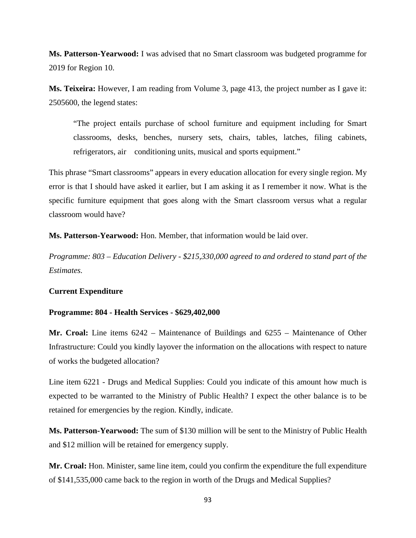**Ms. Patterson-Yearwood:** I was advised that no Smart classroom was budgeted programme for 2019 for Region 10.

**Ms. Teixeira:** However, I am reading from Volume 3, page 413, the project number as I gave it: 2505600, the legend states:

"The project entails purchase of school furniture and equipment including for Smart classrooms, desks, benches, nursery sets, chairs, tables, latches, filing cabinets, refrigerators, air conditioning units, musical and sports equipment."

This phrase "Smart classrooms" appears in every education allocation for every single region. My error is that I should have asked it earlier, but I am asking it as I remember it now. What is the specific furniture equipment that goes along with the Smart classroom versus what a regular classroom would have?

**Ms. Patterson-Yearwood:** Hon. Member, that information would be laid over.

*Programme: 803 – Education Delivery - \$215,330,000 agreed to and ordered to stand part of the Estimates.*

#### **Current Expenditure**

#### **Programme: 804 - Health Services - \$629,402,000**

**Mr. Croal:** Line items 6242 – Maintenance of Buildings and 6255 – Maintenance of Other Infrastructure: Could you kindly layover the information on the allocations with respect to nature of works the budgeted allocation?

Line item 6221 - Drugs and Medical Supplies: Could you indicate of this amount how much is expected to be warranted to the Ministry of Public Health? I expect the other balance is to be retained for emergencies by the region. Kindly, indicate.

**Ms. Patterson-Yearwood:** The sum of \$130 million will be sent to the Ministry of Public Health and \$12 million will be retained for emergency supply.

**Mr. Croal:** Hon. Minister, same line item, could you confirm the expenditure the full expenditure of \$141,535,000 came back to the region in worth of the Drugs and Medical Supplies?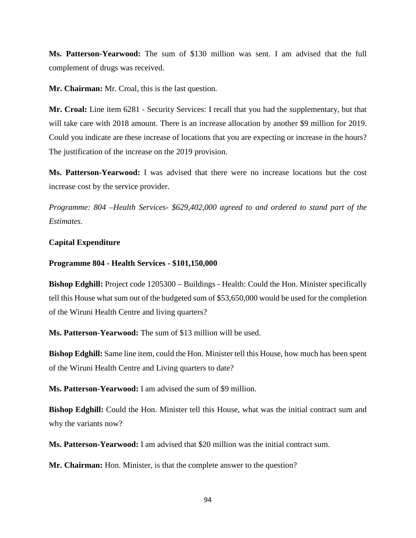**Ms. Patterson-Yearwood:** The sum of \$130 million was sent. I am advised that the full complement of drugs was received.

**Mr. Chairman:** Mr. Croal, this is the last question.

**Mr. Croal:** Line item 6281 - Security Services: I recall that you had the supplementary, but that will take care with 2018 amount. There is an increase allocation by another \$9 million for 2019. Could you indicate are these increase of locations that you are expecting or increase in the hours? The justification of the increase on the 2019 provision.

**Ms. Patterson-Yearwood:** I was advised that there were no increase locations but the cost increase cost by the service provider.

*Programme: 804 –Health Services- \$629,402,000 agreed to and ordered to stand part of the Estimates.*

# **Capital Expenditure**

# **Programme 804 - Health Services - \$101,150,000**

**Bishop Edghill:** Project code 1205300 – Buildings - Health: Could the Hon. Minister specifically tell this House what sum out of the budgeted sum of \$53,650,000 would be used for the completion of the Wiruni Health Centre and living quarters?

**Ms. Patterson-Yearwood:** The sum of \$13 million will be used.

**Bishop Edghill:** Same line item, could the Hon. Minister tell this House, how much has been spent of the Wiruni Health Centre and Living quarters to date?

**Ms. Patterson-Yearwood:** I am advised the sum of \$9 million.

**Bishop Edghill:** Could the Hon. Minister tell this House, what was the initial contract sum and why the variants now?

**Ms. Patterson-Yearwood:** I am advised that \$20 million was the initial contract sum.

**Mr. Chairman:** Hon. Minister, is that the complete answer to the question?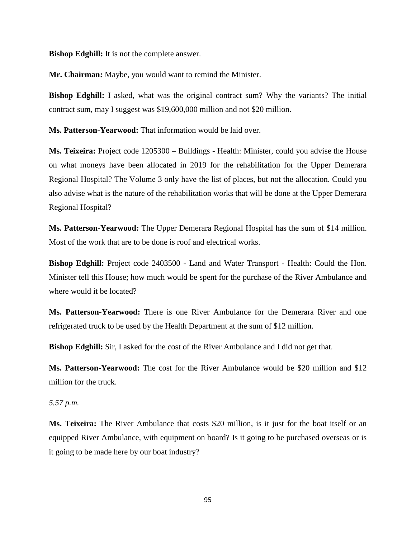**Bishop Edghill:** It is not the complete answer.

**Mr. Chairman:** Maybe, you would want to remind the Minister.

**Bishop Edghill:** I asked, what was the original contract sum? Why the variants? The initial contract sum, may I suggest was \$19,600,000 million and not \$20 million.

**Ms. Patterson-Yearwood:** That information would be laid over.

**Ms. Teixeira:** Project code 1205300 – Buildings - Health: Minister, could you advise the House on what moneys have been allocated in 2019 for the rehabilitation for the Upper Demerara Regional Hospital? The Volume 3 only have the list of places, but not the allocation. Could you also advise what is the nature of the rehabilitation works that will be done at the Upper Demerara Regional Hospital?

**Ms. Patterson-Yearwood:** The Upper Demerara Regional Hospital has the sum of \$14 million. Most of the work that are to be done is roof and electrical works.

**Bishop Edghill:** Project code 2403500 - Land and Water Transport - Health: Could the Hon. Minister tell this House; how much would be spent for the purchase of the River Ambulance and where would it be located?

**Ms. Patterson-Yearwood:** There is one River Ambulance for the Demerara River and one refrigerated truck to be used by the Health Department at the sum of \$12 million.

**Bishop Edghill:** Sir, I asked for the cost of the River Ambulance and I did not get that.

**Ms. Patterson-Yearwood:** The cost for the River Ambulance would be \$20 million and \$12 million for the truck.

*5.57 p.m.* 

**Ms. Teixeira:** The River Ambulance that costs \$20 million, is it just for the boat itself or an equipped River Ambulance, with equipment on board? Is it going to be purchased overseas or is it going to be made here by our boat industry?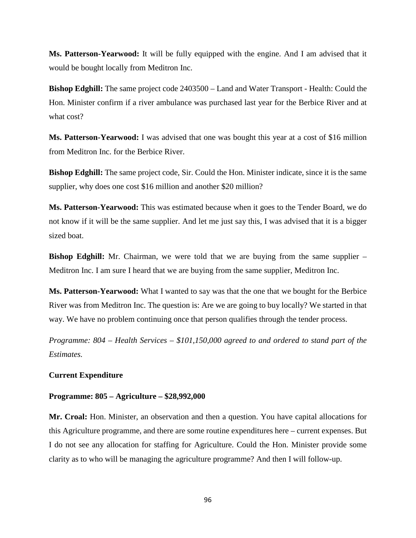**Ms. Patterson-Yearwood:** It will be fully equipped with the engine. And I am advised that it would be bought locally from Meditron Inc.

**Bishop Edghill:** The same project code 2403500 – Land and Water Transport - Health: Could the Hon. Minister confirm if a river ambulance was purchased last year for the Berbice River and at what cost?

**Ms. Patterson-Yearwood:** I was advised that one was bought this year at a cost of \$16 million from Meditron Inc. for the Berbice River.

**Bishop Edghill:** The same project code, Sir. Could the Hon. Minister indicate, since it is the same supplier, why does one cost \$16 million and another \$20 million?

Ms. Patterson-Yearwood: This was estimated because when it goes to the Tender Board, we do not know if it will be the same supplier. And let me just say this, I was advised that it is a bigger sized boat.

**Bishop Edghill:** Mr. Chairman, we were told that we are buying from the same supplier – Meditron Inc. I am sure I heard that we are buying from the same supplier, Meditron Inc.

**Ms. Patterson-Yearwood:** What I wanted to say was that the one that we bought for the Berbice River was from Meditron Inc. The question is: Are we are going to buy locally? We started in that way. We have no problem continuing once that person qualifies through the tender process.

*Programme: 804 – Health Services – \$101,150,000 agreed to and ordered to stand part of the Estimates.* 

### **Current Expenditure**

### **Programme: 805 – Agriculture – \$28,992,000**

**Mr. Croal:** Hon. Minister, an observation and then a question. You have capital allocations for this Agriculture programme, and there are some routine expenditures here – current expenses. But I do not see any allocation for staffing for Agriculture. Could the Hon. Minister provide some clarity as to who will be managing the agriculture programme? And then I will follow-up.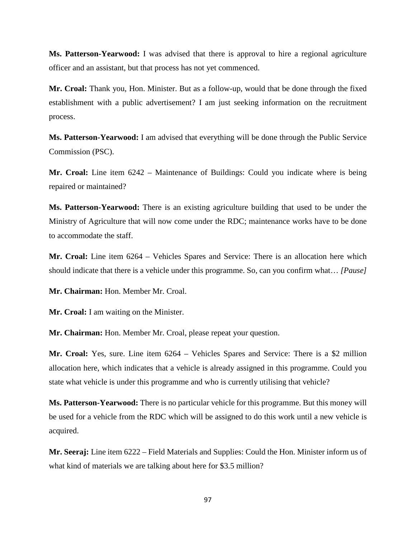**Ms. Patterson-Yearwood:** I was advised that there is approval to hire a regional agriculture officer and an assistant, but that process has not yet commenced.

**Mr. Croal:** Thank you, Hon. Minister. But as a follow-up, would that be done through the fixed establishment with a public advertisement? I am just seeking information on the recruitment process.

**Ms. Patterson-Yearwood:** I am advised that everything will be done through the Public Service Commission (PSC).

**Mr. Croal:** Line item 6242 – Maintenance of Buildings: Could you indicate where is being repaired or maintained?

**Ms. Patterson-Yearwood:** There is an existing agriculture building that used to be under the Ministry of Agriculture that will now come under the RDC; maintenance works have to be done to accommodate the staff.

**Mr. Croal:** Line item 6264 – Vehicles Spares and Service: There is an allocation here which should indicate that there is a vehicle under this programme. So, can you confirm what… *[Pause]*

**Mr. Chairman:** Hon. Member Mr. Croal.

**Mr. Croal:** I am waiting on the Minister.

**Mr. Chairman:** Hon. Member Mr. Croal, please repeat your question.

**Mr. Croal:** Yes, sure. Line item 6264 – Vehicles Spares and Service: There is a \$2 million allocation here, which indicates that a vehicle is already assigned in this programme. Could you state what vehicle is under this programme and who is currently utilising that vehicle?

**Ms. Patterson-Yearwood:** There is no particular vehicle for this programme. But this money will be used for a vehicle from the RDC which will be assigned to do this work until a new vehicle is acquired.

**Mr. Seeraj:** Line item 6222 – Field Materials and Supplies: Could the Hon. Minister inform us of what kind of materials we are talking about here for \$3.5 million?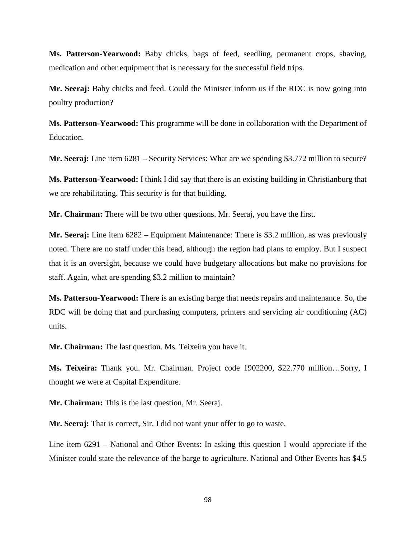**Ms. Patterson-Yearwood:** Baby chicks, bags of feed, seedling, permanent crops, shaving, medication and other equipment that is necessary for the successful field trips.

**Mr. Seeraj:** Baby chicks and feed. Could the Minister inform us if the RDC is now going into poultry production?

**Ms. Patterson-Yearwood:** This programme will be done in collaboration with the Department of Education.

**Mr. Seeraj:** Line item 6281 – Security Services: What are we spending \$3.772 million to secure?

**Ms. Patterson-Yearwood:** I think I did say that there is an existing building in Christianburg that we are rehabilitating. This security is for that building.

**Mr. Chairman:** There will be two other questions. Mr. Seeraj, you have the first.

**Mr. Seeraj:** Line item 6282 – Equipment Maintenance: There is \$3.2 million, as was previously noted. There are no staff under this head, although the region had plans to employ. But I suspect that it is an oversight, because we could have budgetary allocations but make no provisions for staff. Again, what are spending \$3.2 million to maintain?

**Ms. Patterson-Yearwood:** There is an existing barge that needs repairs and maintenance. So, the RDC will be doing that and purchasing computers, printers and servicing air conditioning (AC) units.

**Mr. Chairman:** The last question. Ms. Teixeira you have it.

**Ms. Teixeira:** Thank you. Mr. Chairman. Project code 1902200, \$22.770 million…Sorry, I thought we were at Capital Expenditure.

**Mr. Chairman:** This is the last question, Mr. Seeraj.

**Mr. Seeraj:** That is correct, Sir. I did not want your offer to go to waste.

Line item 6291 – National and Other Events: In asking this question I would appreciate if the Minister could state the relevance of the barge to agriculture. National and Other Events has \$4.5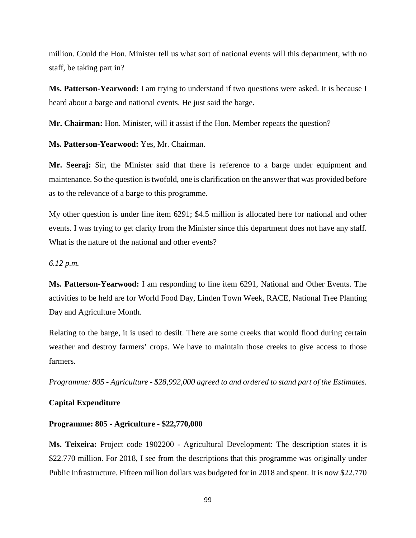million. Could the Hon. Minister tell us what sort of national events will this department, with no staff, be taking part in?

**Ms. Patterson-Yearwood:** I am trying to understand if two questions were asked. It is because I heard about a barge and national events. He just said the barge.

**Mr. Chairman:** Hon. Minister, will it assist if the Hon. Member repeats the question?

**Ms. Patterson-Yearwood:** Yes, Mr. Chairman.

**Mr. Seeraj:** Sir, the Minister said that there is reference to a barge under equipment and maintenance. So the question is twofold, one is clarification on the answer that was provided before as to the relevance of a barge to this programme.

My other question is under line item 6291; \$4.5 million is allocated here for national and other events. I was trying to get clarity from the Minister since this department does not have any staff. What is the nature of the national and other events?

*6.12 p.m.* 

**Ms. Patterson-Yearwood:** I am responding to line item 6291, National and Other Events. The activities to be held are for World Food Day, Linden Town Week, RACE, National Tree Planting Day and Agriculture Month.

Relating to the barge, it is used to desilt. There are some creeks that would flood during certain weather and destroy farmers' crops. We have to maintain those creeks to give access to those farmers.

*Programme: 805 - Agriculture - \$28,992,000 agreed to and ordered to stand part of the Estimates.*

### **Capital Expenditure**

#### **Programme: 805 - Agriculture - \$22,770,000**

**Ms. Teixeira:** Project code 1902200 - Agricultural Development: The description states it is \$22.770 million. For 2018, I see from the descriptions that this programme was originally under Public Infrastructure. Fifteen million dollars was budgeted for in 2018 and spent. It is now \$22.770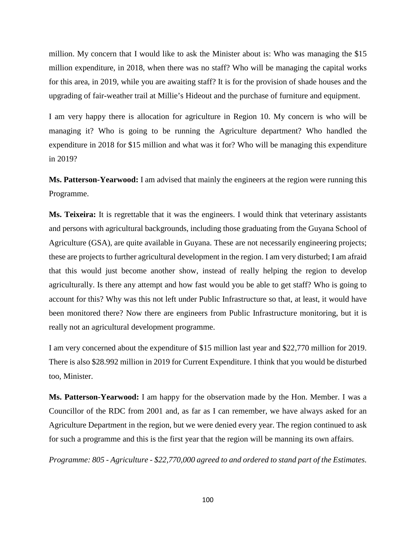million. My concern that I would like to ask the Minister about is: Who was managing the \$15 million expenditure, in 2018, when there was no staff? Who will be managing the capital works for this area, in 2019, while you are awaiting staff? It is for the provision of shade houses and the upgrading of fair-weather trail at Millie's Hideout and the purchase of furniture and equipment.

I am very happy there is allocation for agriculture in Region 10. My concern is who will be managing it? Who is going to be running the Agriculture department? Who handled the expenditure in 2018 for \$15 million and what was it for? Who will be managing this expenditure in 2019?

**Ms. Patterson-Yearwood:** I am advised that mainly the engineers at the region were running this Programme.

**Ms. Teixeira:** It is regrettable that it was the engineers. I would think that veterinary assistants and persons with agricultural backgrounds, including those graduating from the Guyana School of Agriculture (GSA), are quite available in Guyana. These are not necessarily engineering projects; these are projects to further agricultural development in the region. I am very disturbed; I am afraid that this would just become another show, instead of really helping the region to develop agriculturally. Is there any attempt and how fast would you be able to get staff? Who is going to account for this? Why was this not left under Public Infrastructure so that, at least, it would have been monitored there? Now there are engineers from Public Infrastructure monitoring, but it is really not an agricultural development programme.

I am very concerned about the expenditure of \$15 million last year and \$22,770 million for 2019. There is also \$28.992 million in 2019 for Current Expenditure. I think that you would be disturbed too, Minister.

**Ms. Patterson-Yearwood:** I am happy for the observation made by the Hon. Member. I was a Councillor of the RDC from 2001 and, as far as I can remember, we have always asked for an Agriculture Department in the region, but we were denied every year. The region continued to ask for such a programme and this is the first year that the region will be manning its own affairs.

*Programme: 805 - Agriculture - \$22,770,000 agreed to and ordered to stand part of the Estimates.*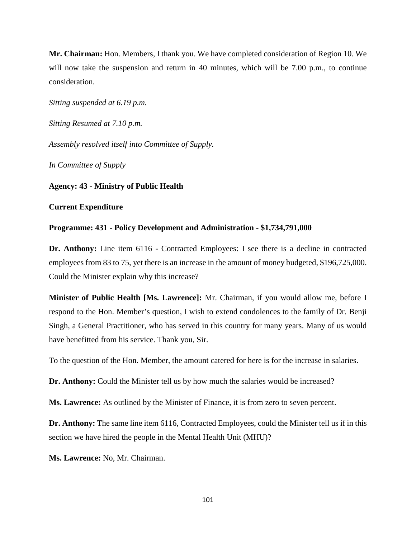**Mr. Chairman:** Hon. Members, I thank you. We have completed consideration of Region 10. We will now take the suspension and return in 40 minutes, which will be 7.00 p.m., to continue consideration.

*Sitting suspended at 6.19 p.m.* 

*Sitting Resumed at 7.10 p.m.* 

*Assembly resolved itself into Committee of Supply.* 

*In Committee of Supply*

**Agency: 43 - Ministry of Public Health**

#### **Current Expenditure**

#### **Programme: 431 - Policy Development and Administration - \$1,734,791,000**

**Dr. Anthony:** Line item 6116 - Contracted Employees: I see there is a decline in contracted employees from 83 to 75, yet there is an increase in the amount of money budgeted, \$196,725,000. Could the Minister explain why this increase?

**Minister of Public Health [Ms. Lawrence]:** Mr. Chairman, if you would allow me, before I respond to the Hon. Member's question, I wish to extend condolences to the family of Dr. Benji Singh, a General Practitioner, who has served in this country for many years. Many of us would have benefitted from his service. Thank you, Sir.

To the question of the Hon. Member, the amount catered for here is for the increase in salaries.

**Dr. Anthony:** Could the Minister tell us by how much the salaries would be increased?

**Ms. Lawrence:** As outlined by the Minister of Finance, it is from zero to seven percent.

**Dr. Anthony:** The same line item 6116, Contracted Employees, could the Minister tell us if in this section we have hired the people in the Mental Health Unit (MHU)?

**Ms. Lawrence:** No, Mr. Chairman.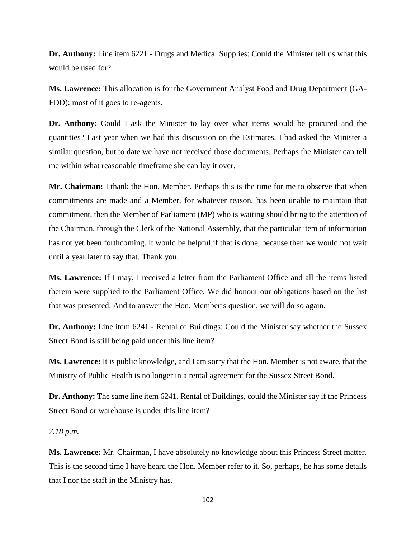**Dr. Anthony:** Line item 6221 - Drugs and Medical Supplies: Could the Minister tell us what this would be used for?

**Ms. Lawrence:** This allocation is for the Government Analyst Food and Drug Department (GA-FDD); most of it goes to re-agents.

**Dr. Anthony:** Could I ask the Minister to lay over what items would be procured and the quantities? Last year when we had this discussion on the Estimates, I had asked the Minister a similar question, but to date we have not received those documents. Perhaps the Minister can tell me within what reasonable timeframe she can lay it over.

**Mr. Chairman:** I thank the Hon. Member. Perhaps this is the time for me to observe that when commitments are made and a Member, for whatever reason, has been unable to maintain that commitment, then the Member of Parliament (MP) who is waiting should bring to the attention of the Chairman, through the Clerk of the National Assembly, that the particular item of information has not yet been forthcoming. It would be helpful if that is done, because then we would not wait until a year later to say that. Thank you.

**Ms. Lawrence:** If I may, I received a letter from the Parliament Office and all the items listed therein were supplied to the Parliament Office. We did honour our obligations based on the list that was presented. And to answer the Hon. Member's question, we will do so again.

**Dr. Anthony:** Line item 6241 - Rental of Buildings: Could the Minister say whether the Sussex Street Bond is still being paid under this line item?

**Ms. Lawrence:** It is public knowledge, and I am sorry that the Hon. Member is not aware, that the Ministry of Public Health is no longer in a rental agreement for the Sussex Street Bond.

**Dr. Anthony:** The same line item 6241, Rental of Buildings, could the Minister say if the Princess Street Bond or warehouse is under this line item?

*7.18 p.m.*

**Ms. Lawrence:** Mr. Chairman, I have absolutely no knowledge about this Princess Street matter. This is the second time I have heard the Hon. Member refer to it. So, perhaps, he has some details that I nor the staff in the Ministry has.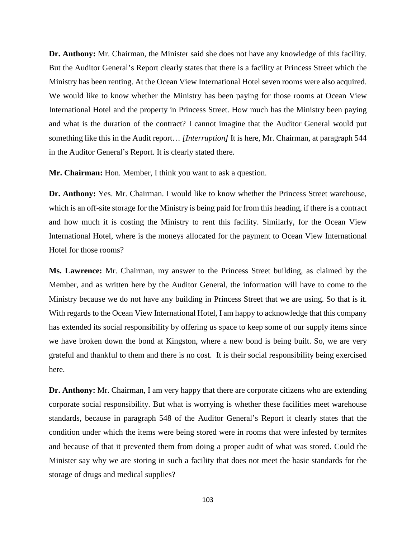**Dr. Anthony:** Mr. Chairman, the Minister said she does not have any knowledge of this facility. But the Auditor General's Report clearly states that there is a facility at Princess Street which the Ministry has been renting. At the Ocean View International Hotel seven rooms were also acquired. We would like to know whether the Ministry has been paying for those rooms at Ocean View International Hotel and the property in Princess Street. How much has the Ministry been paying and what is the duration of the contract? I cannot imagine that the Auditor General would put something like this in the Audit report… *[Interruption]* It is here, Mr. Chairman, at paragraph 544 in the Auditor General's Report. It is clearly stated there.

**Mr. Chairman:** Hon. Member, I think you want to ask a question.

**Dr. Anthony:** Yes. Mr. Chairman. I would like to know whether the Princess Street warehouse, which is an off-site storage for the Ministry is being paid for from this heading, if there is a contract and how much it is costing the Ministry to rent this facility. Similarly, for the Ocean View International Hotel, where is the moneys allocated for the payment to Ocean View International Hotel for those rooms?

**Ms. Lawrence:** Mr. Chairman, my answer to the Princess Street building, as claimed by the Member, and as written here by the Auditor General, the information will have to come to the Ministry because we do not have any building in Princess Street that we are using. So that is it. With regards to the Ocean View International Hotel, I am happy to acknowledge that this company has extended its social responsibility by offering us space to keep some of our supply items since we have broken down the bond at Kingston, where a new bond is being built. So, we are very grateful and thankful to them and there is no cost. It is their social responsibility being exercised here.

**Dr. Anthony:** Mr. Chairman, I am very happy that there are corporate citizens who are extending corporate social responsibility. But what is worrying is whether these facilities meet warehouse standards, because in paragraph 548 of the Auditor General's Report it clearly states that the condition under which the items were being stored were in rooms that were infested by termites and because of that it prevented them from doing a proper audit of what was stored. Could the Minister say why we are storing in such a facility that does not meet the basic standards for the storage of drugs and medical supplies?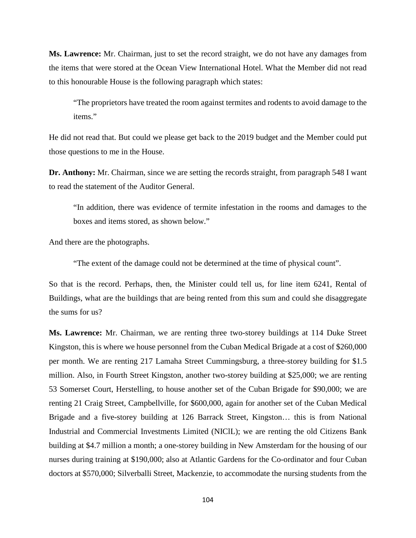**Ms. Lawrence:** Mr. Chairman, just to set the record straight, we do not have any damages from the items that were stored at the Ocean View International Hotel. What the Member did not read to this honourable House is the following paragraph which states:

"The proprietors have treated the room against termites and rodents to avoid damage to the items."

He did not read that. But could we please get back to the 2019 budget and the Member could put those questions to me in the House.

**Dr. Anthony:** Mr. Chairman, since we are setting the records straight, from paragraph 548 I want to read the statement of the Auditor General.

"In addition, there was evidence of termite infestation in the rooms and damages to the boxes and items stored, as shown below."

And there are the photographs.

"The extent of the damage could not be determined at the time of physical count".

So that is the record. Perhaps, then, the Minister could tell us, for line item 6241, Rental of Buildings, what are the buildings that are being rented from this sum and could she disaggregate the sums for us?

**Ms. Lawrence:** Mr. Chairman, we are renting three two-storey buildings at 114 Duke Street Kingston, this is where we house personnel from the Cuban Medical Brigade at a cost of \$260,000 per month. We are renting 217 Lamaha Street Cummingsburg, a three-storey building for \$1.5 million. Also, in Fourth Street Kingston, another two-storey building at \$25,000; we are renting 53 Somerset Court, Herstelling, to house another set of the Cuban Brigade for \$90,000; we are renting 21 Craig Street, Campbellville, for \$600,000, again for another set of the Cuban Medical Brigade and a five-storey building at 126 Barrack Street, Kingston… this is from National Industrial and Commercial Investments Limited (NIClL); we are renting the old Citizens Bank building at \$4.7 million a month; a one-storey building in New Amsterdam for the housing of our nurses during training at \$190,000; also at Atlantic Gardens for the Co-ordinator and four Cuban doctors at \$570,000; Silverballi Street, Mackenzie, to accommodate the nursing students from the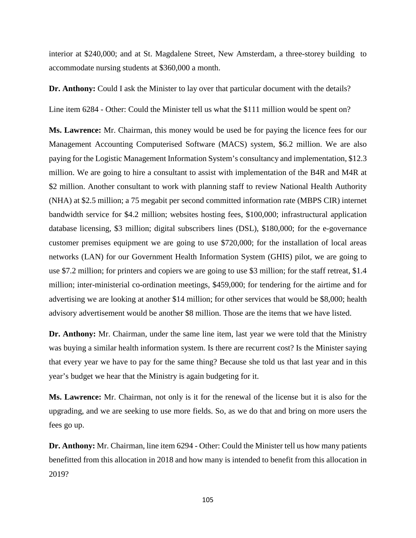interior at \$240,000; and at St. Magdalene Street, New Amsterdam, a three-storey building to accommodate nursing students at \$360,000 a month.

**Dr. Anthony:** Could I ask the Minister to lay over that particular document with the details?

Line item 6284 - Other: Could the Minister tell us what the \$111 million would be spent on?

**Ms. Lawrence:** Mr. Chairman, this money would be used be for paying the licence fees for our Management Accounting Computerised Software (MACS) system, \$6.2 million. We are also paying for the Logistic Management Information System's consultancy and implementation, \$12.3 million. We are going to hire a consultant to assist with implementation of the B4R and M4R at \$2 million. Another consultant to work with planning staff to review National Health Authority (NHA) at \$2.5 million; a 75 megabit per second committed information rate (MBPS CIR) internet bandwidth service for \$4.2 million; websites hosting fees, \$100,000; infrastructural application database licensing, \$3 million; digital subscribers lines (DSL), \$180,000; for the e-governance customer premises equipment we are going to use \$720,000; for the installation of local areas networks (LAN) for our Government Health Information System (GHIS) pilot, we are going to use \$7.2 million; for printers and copiers we are going to use \$3 million; for the staff retreat, \$1.4 million; inter-ministerial co-ordination meetings, \$459,000; for tendering for the airtime and for advertising we are looking at another \$14 million; for other services that would be \$8,000; health advisory advertisement would be another \$8 million. Those are the items that we have listed.

**Dr. Anthony:** Mr. Chairman, under the same line item, last year we were told that the Ministry was buying a similar health information system. Is there are recurrent cost? Is the Minister saying that every year we have to pay for the same thing? Because she told us that last year and in this year's budget we hear that the Ministry is again budgeting for it.

**Ms. Lawrence:** Mr. Chairman, not only is it for the renewal of the license but it is also for the upgrading, and we are seeking to use more fields. So, as we do that and bring on more users the fees go up.

**Dr. Anthony:** Mr. Chairman, line item 6294 - Other: Could the Minister tell us how many patients benefitted from this allocation in 2018 and how many is intended to benefit from this allocation in 2019?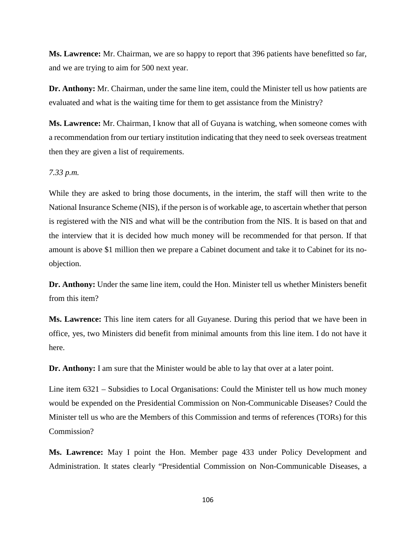**Ms. Lawrence:** Mr. Chairman, we are so happy to report that 396 patients have benefitted so far, and we are trying to aim for 500 next year.

**Dr. Anthony:** Mr. Chairman, under the same line item, could the Minister tell us how patients are evaluated and what is the waiting time for them to get assistance from the Ministry?

**Ms. Lawrence:** Mr. Chairman, I know that all of Guyana is watching, when someone comes with a recommendation from our tertiary institution indicating that they need to seek overseas treatment then they are given a list of requirements.

### *7.33 p.m.*

While they are asked to bring those documents, in the interim, the staff will then write to the National Insurance Scheme (NIS), if the person is of workable age, to ascertain whether that person is registered with the NIS and what will be the contribution from the NIS. It is based on that and the interview that it is decided how much money will be recommended for that person. If that amount is above \$1 million then we prepare a Cabinet document and take it to Cabinet for its noobjection.

**Dr. Anthony:** Under the same line item, could the Hon. Minister tell us whether Ministers benefit from this item?

**Ms. Lawrence:** This line item caters for all Guyanese. During this period that we have been in office, yes, two Ministers did benefit from minimal amounts from this line item. I do not have it here.

**Dr. Anthony:** I am sure that the Minister would be able to lay that over at a later point.

Line item 6321 – Subsidies to Local Organisations: Could the Minister tell us how much money would be expended on the Presidential Commission on Non-Communicable Diseases? Could the Minister tell us who are the Members of this Commission and terms of references (TORs) for this Commission?

**Ms. Lawrence:** May I point the Hon. Member page 433 under Policy Development and Administration. It states clearly "Presidential Commission on Non-Communicable Diseases, a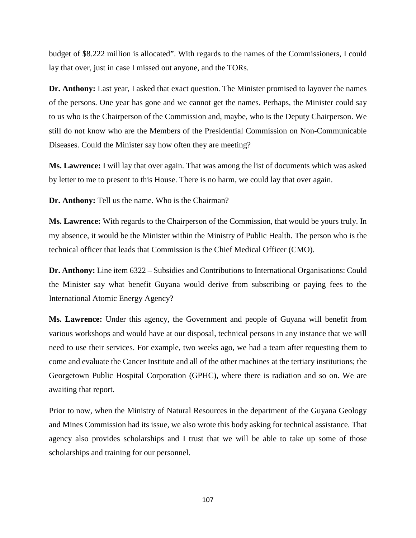budget of \$8.222 million is allocated". With regards to the names of the Commissioners, I could lay that over, just in case I missed out anyone, and the TORs.

**Dr. Anthony:** Last year, I asked that exact question. The Minister promised to layover the names of the persons. One year has gone and we cannot get the names. Perhaps, the Minister could say to us who is the Chairperson of the Commission and, maybe, who is the Deputy Chairperson. We still do not know who are the Members of the Presidential Commission on Non-Communicable Diseases. Could the Minister say how often they are meeting?

**Ms. Lawrence:** I will lay that over again. That was among the list of documents which was asked by letter to me to present to this House. There is no harm, we could lay that over again.

**Dr. Anthony:** Tell us the name. Who is the Chairman?

**Ms. Lawrence:** With regards to the Chairperson of the Commission, that would be yours truly. In my absence, it would be the Minister within the Ministry of Public Health. The person who is the technical officer that leads that Commission is the Chief Medical Officer (CMO).

**Dr. Anthony:** Line item 6322 – Subsidies and Contributions to International Organisations: Could the Minister say what benefit Guyana would derive from subscribing or paying fees to the International Atomic Energy Agency?

**Ms. Lawrence:** Under this agency, the Government and people of Guyana will benefit from various workshops and would have at our disposal, technical persons in any instance that we will need to use their services. For example, two weeks ago, we had a team after requesting them to come and evaluate the Cancer Institute and all of the other machines at the tertiary institutions; the Georgetown Public Hospital Corporation (GPHC), where there is radiation and so on. We are awaiting that report.

Prior to now, when the Ministry of Natural Resources in the department of the Guyana Geology and Mines Commission had its issue, we also wrote this body asking for technical assistance. That agency also provides scholarships and I trust that we will be able to take up some of those scholarships and training for our personnel.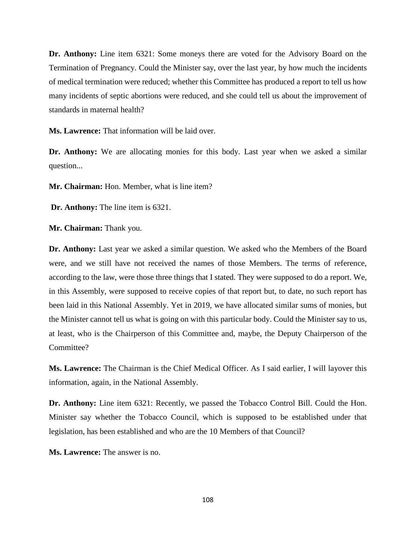**Dr. Anthony:** Line item 6321: Some moneys there are voted for the Advisory Board on the Termination of Pregnancy. Could the Minister say, over the last year, by how much the incidents of medical termination were reduced; whether this Committee has produced a report to tell us how many incidents of septic abortions were reduced, and she could tell us about the improvement of standards in maternal health?

**Ms. Lawrence:** That information will be laid over.

**Dr. Anthony:** We are allocating monies for this body. Last year when we asked a similar question...

**Mr. Chairman:** Hon. Member, what is line item?

**Dr. Anthony:** The line item is 6321.

**Mr. Chairman:** Thank you.

**Dr. Anthony:** Last year we asked a similar question. We asked who the Members of the Board were, and we still have not received the names of those Members. The terms of reference, according to the law, were those three things that I stated. They were supposed to do a report. We, in this Assembly, were supposed to receive copies of that report but, to date, no such report has been laid in this National Assembly. Yet in 2019, we have allocated similar sums of monies, but the Minister cannot tell us what is going on with this particular body. Could the Minister say to us, at least, who is the Chairperson of this Committee and, maybe, the Deputy Chairperson of the Committee?

**Ms. Lawrence:** The Chairman is the Chief Medical Officer. As I said earlier, I will layover this information, again, in the National Assembly.

**Dr. Anthony:** Line item 6321: Recently, we passed the Tobacco Control Bill. Could the Hon. Minister say whether the Tobacco Council, which is supposed to be established under that legislation, has been established and who are the 10 Members of that Council?

**Ms. Lawrence:** The answer is no.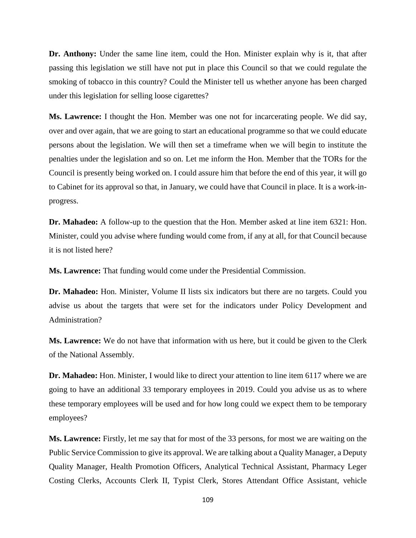**Dr. Anthony:** Under the same line item, could the Hon. Minister explain why is it, that after passing this legislation we still have not put in place this Council so that we could regulate the smoking of tobacco in this country? Could the Minister tell us whether anyone has been charged under this legislation for selling loose cigarettes?

**Ms. Lawrence:** I thought the Hon. Member was one not for incarcerating people. We did say, over and over again, that we are going to start an educational programme so that we could educate persons about the legislation. We will then set a timeframe when we will begin to institute the penalties under the legislation and so on. Let me inform the Hon. Member that the TORs for the Council is presently being worked on. I could assure him that before the end of this year, it will go to Cabinet for its approval so that, in January, we could have that Council in place. It is a work-inprogress.

**Dr. Mahadeo:** A follow-up to the question that the Hon. Member asked at line item 6321: Hon. Minister, could you advise where funding would come from, if any at all, for that Council because it is not listed here?

**Ms. Lawrence:** That funding would come under the Presidential Commission.

**Dr. Mahadeo:** Hon. Minister, Volume II lists six indicators but there are no targets. Could you advise us about the targets that were set for the indicators under Policy Development and Administration?

**Ms. Lawrence:** We do not have that information with us here, but it could be given to the Clerk of the National Assembly.

**Dr. Mahadeo:** Hon. Minister, I would like to direct your attention to line item 6117 where we are going to have an additional 33 temporary employees in 2019. Could you advise us as to where these temporary employees will be used and for how long could we expect them to be temporary employees?

**Ms. Lawrence:** Firstly, let me say that for most of the 33 persons, for most we are waiting on the Public Service Commission to give its approval. We are talking about a Quality Manager, a Deputy Quality Manager, Health Promotion Officers, Analytical Technical Assistant, Pharmacy Leger Costing Clerks, Accounts Clerk II, Typist Clerk, Stores Attendant Office Assistant, vehicle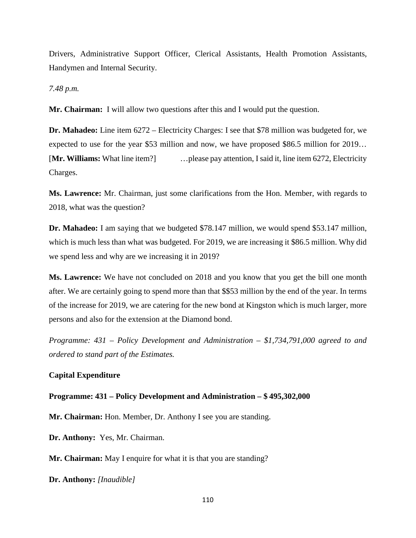Drivers, Administrative Support Officer, Clerical Assistants, Health Promotion Assistants, Handymen and Internal Security.

*7.48 p.m.* 

**Mr. Chairman:** I will allow two questions after this and I would put the question.

**Dr. Mahadeo:** Line item 6272 – Electricity Charges: I see that \$78 million was budgeted for, we expected to use for the year \$53 million and now, we have proposed \$86.5 million for 2019… [**Mr. Williams:** What line item?] …please pay attention, Isaid it, line item 6272, Electricity Charges.

**Ms. Lawrence:** Mr. Chairman, just some clarifications from the Hon. Member, with regards to 2018, what was the question?

**Dr. Mahadeo:** I am saying that we budgeted \$78.147 million, we would spend \$53.147 million, which is much less than what was budgeted. For 2019, we are increasing it \$86.5 million. Why did we spend less and why are we increasing it in 2019?

**Ms. Lawrence:** We have not concluded on 2018 and you know that you get the bill one month after. We are certainly going to spend more than that \$\$53 million by the end of the year. In terms of the increase for 2019, we are catering for the new bond at Kingston which is much larger, more persons and also for the extension at the Diamond bond.

*Programme: 431 – Policy Development and Administration – \$1,734,791,000 agreed to and ordered to stand part of the Estimates.* 

### **Capital Expenditure**

#### **Programme: 431 – Policy Development and Administration – \$ 495,302,000**

**Mr. Chairman:** Hon. Member, Dr. Anthony I see you are standing.

**Dr. Anthony:** Yes, Mr. Chairman.

**Mr. Chairman:** May I enquire for what it is that you are standing?

**Dr. Anthony:** *[Inaudible]*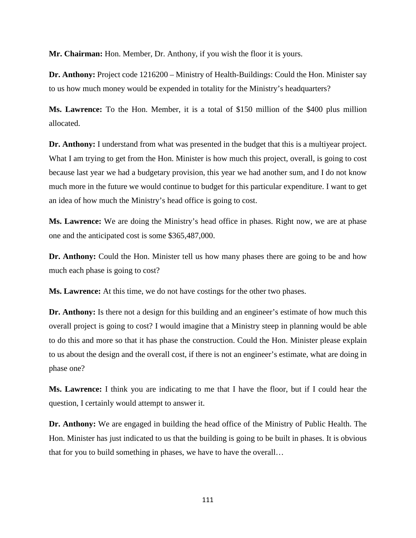**Mr. Chairman:** Hon. Member, Dr. Anthony, if you wish the floor it is yours.

**Dr. Anthony:** Project code 1216200 – Ministry of Health-Buildings: Could the Hon. Minister say to us how much money would be expended in totality for the Ministry's headquarters?

**Ms. Lawrence:** To the Hon. Member, it is a total of \$150 million of the \$400 plus million allocated.

**Dr. Anthony:** I understand from what was presented in the budget that this is a multiyear project. What I am trying to get from the Hon. Minister is how much this project, overall, is going to cost because last year we had a budgetary provision, this year we had another sum, and I do not know much more in the future we would continue to budget for this particular expenditure. I want to get an idea of how much the Ministry's head office is going to cost.

**Ms. Lawrence:** We are doing the Ministry's head office in phases. Right now, we are at phase one and the anticipated cost is some \$365,487,000.

**Dr. Anthony:** Could the Hon. Minister tell us how many phases there are going to be and how much each phase is going to cost?

**Ms. Lawrence:** At this time, we do not have costings for the other two phases.

**Dr. Anthony:** Is there not a design for this building and an engineer's estimate of how much this overall project is going to cost? I would imagine that a Ministry steep in planning would be able to do this and more so that it has phase the construction. Could the Hon. Minister please explain to us about the design and the overall cost, if there is not an engineer's estimate, what are doing in phase one?

**Ms. Lawrence:** I think you are indicating to me that I have the floor, but if I could hear the question, I certainly would attempt to answer it.

**Dr. Anthony:** We are engaged in building the head office of the Ministry of Public Health. The Hon. Minister has just indicated to us that the building is going to be built in phases. It is obvious that for you to build something in phases, we have to have the overall…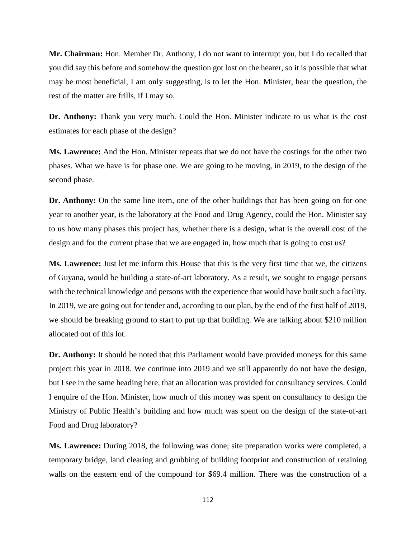**Mr. Chairman:** Hon. Member Dr. Anthony, I do not want to interrupt you, but I do recalled that you did say this before and somehow the question got lost on the hearer, so it is possible that what may be most beneficial, I am only suggesting, is to let the Hon. Minister, hear the question, the rest of the matter are frills, if I may so.

**Dr. Anthony:** Thank you very much. Could the Hon. Minister indicate to us what is the cost estimates for each phase of the design?

**Ms. Lawrence:** And the Hon. Minister repeats that we do not have the costings for the other two phases. What we have is for phase one. We are going to be moving, in 2019, to the design of the second phase.

**Dr. Anthony:** On the same line item, one of the other buildings that has been going on for one year to another year, is the laboratory at the Food and Drug Agency, could the Hon. Minister say to us how many phases this project has, whether there is a design, what is the overall cost of the design and for the current phase that we are engaged in, how much that is going to cost us?

**Ms. Lawrence:** Just let me inform this House that this is the very first time that we, the citizens of Guyana, would be building a state-of-art laboratory. As a result, we sought to engage persons with the technical knowledge and persons with the experience that would have built such a facility. In 2019, we are going out for tender and, according to our plan, by the end of the first half of 2019, we should be breaking ground to start to put up that building. We are talking about \$210 million allocated out of this lot.

**Dr. Anthony:** It should be noted that this Parliament would have provided moneys for this same project this year in 2018. We continue into 2019 and we still apparently do not have the design, but I see in the same heading here, that an allocation was provided for consultancy services. Could I enquire of the Hon. Minister, how much of this money was spent on consultancy to design the Ministry of Public Health's building and how much was spent on the design of the state-of-art Food and Drug laboratory?

**Ms. Lawrence:** During 2018, the following was done; site preparation works were completed, a temporary bridge, land clearing and grubbing of building footprint and construction of retaining walls on the eastern end of the compound for \$69.4 million. There was the construction of a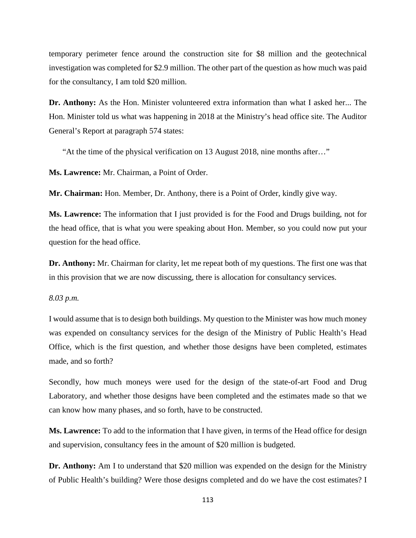temporary perimeter fence around the construction site for \$8 million and the geotechnical investigation was completed for \$2.9 million. The other part of the question as how much was paid for the consultancy, I am told \$20 million.

**Dr. Anthony:** As the Hon. Minister volunteered extra information than what I asked her... The Hon. Minister told us what was happening in 2018 at the Ministry's head office site. The Auditor General's Report at paragraph 574 states:

"At the time of the physical verification on 13 August 2018, nine months after…"

**Ms. Lawrence:** Mr. Chairman, a Point of Order.

**Mr. Chairman:** Hon. Member, Dr. Anthony, there is a Point of Order, kindly give way.

**Ms. Lawrence:** The information that I just provided is for the Food and Drugs building, not for the head office, that is what you were speaking about Hon. Member, so you could now put your question for the head office.

**Dr. Anthony:** Mr. Chairman for clarity, let me repeat both of my questions. The first one was that in this provision that we are now discussing, there is allocation for consultancy services.

#### *8.03 p.m.*

I would assume that is to design both buildings. My question to the Minister was how much money was expended on consultancy services for the design of the Ministry of Public Health's Head Office, which is the first question, and whether those designs have been completed, estimates made, and so forth?

Secondly, how much moneys were used for the design of the state-of-art Food and Drug Laboratory, and whether those designs have been completed and the estimates made so that we can know how many phases, and so forth, have to be constructed.

**Ms. Lawrence:** To add to the information that I have given, in terms of the Head office for design and supervision, consultancy fees in the amount of \$20 million is budgeted.

**Dr. Anthony:** Am I to understand that \$20 million was expended on the design for the Ministry of Public Health's building? Were those designs completed and do we have the cost estimates? I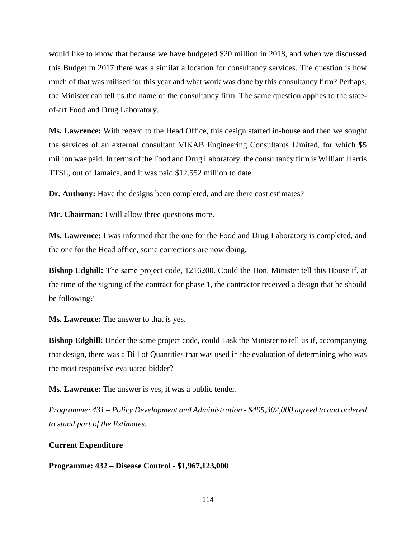would like to know that because we have budgeted \$20 million in 2018, and when we discussed this Budget in 2017 there was a similar allocation for consultancy services. The question is how much of that was utilised for this year and what work was done by this consultancy firm? Perhaps, the Minister can tell us the name of the consultancy firm. The same question applies to the stateof-art Food and Drug Laboratory.

**Ms. Lawrence:** With regard to the Head Office, this design started in-house and then we sought the services of an external consultant VIKAB Engineering Consultants Limited, for which \$5 million was paid. In terms of the Food and Drug Laboratory, the consultancy firm is William Harris TTSL, out of Jamaica, and it was paid \$12.552 million to date.

**Dr. Anthony:** Have the designs been completed, and are there cost estimates?

**Mr. Chairman:** I will allow three questions more.

**Ms. Lawrence:** I was informed that the one for the Food and Drug Laboratory is completed, and the one for the Head office, some corrections are now doing.

**Bishop Edghill:** The same project code, 1216200. Could the Hon. Minister tell this House if, at the time of the signing of the contract for phase 1, the contractor received a design that he should be following?

**Ms. Lawrence:** The answer to that is yes.

**Bishop Edghill:** Under the same project code, could I ask the Minister to tell us if, accompanying that design, there was a Bill of Quantities that was used in the evaluation of determining who was the most responsive evaluated bidder?

**Ms. Lawrence:** The answer is yes, it was a public tender.

*Programme: 431 – Policy Development and Administration - \$495,302,000 agreed to and ordered to stand part of the Estimates.* 

### **Current Expenditure**

**Programme: 432 – Disease Control - \$1,967,123,000**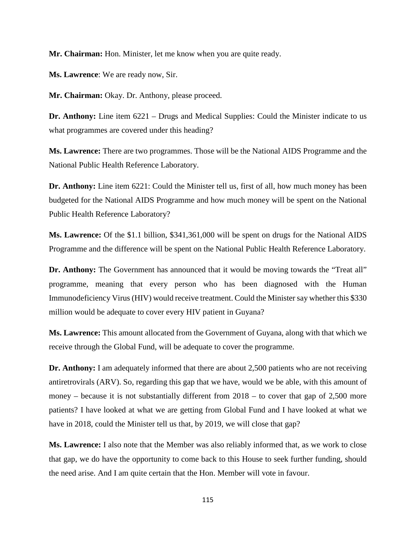**Mr. Chairman:** Hon. Minister, let me know when you are quite ready.

**Ms. Lawrence**: We are ready now, Sir.

**Mr. Chairman:** Okay. Dr. Anthony, please proceed.

**Dr. Anthony:** Line item 6221 – Drugs and Medical Supplies: Could the Minister indicate to us what programmes are covered under this heading?

**Ms. Lawrence:** There are two programmes. Those will be the National AIDS Programme and the National Public Health Reference Laboratory.

**Dr. Anthony:** Line item 6221: Could the Minister tell us, first of all, how much money has been budgeted for the National AIDS Programme and how much money will be spent on the National Public Health Reference Laboratory?

**Ms. Lawrence:** Of the \$1.1 billion, \$341,361,000 will be spent on drugs for the National AIDS Programme and the difference will be spent on the National Public Health Reference Laboratory.

**Dr. Anthony:** The Government has announced that it would be moving towards the "Treat all" programme, meaning that every person who has been diagnosed with the Human Immunodeficiency Virus (HIV) would receive treatment. Could the Minister say whether this \$330 million would be adequate to cover every HIV patient in Guyana?

**Ms. Lawrence:** This amount allocated from the Government of Guyana, along with that which we receive through the Global Fund, will be adequate to cover the programme.

**Dr. Anthony:** I am adequately informed that there are about 2,500 patients who are not receiving antiretrovirals (ARV). So, regarding this gap that we have, would we be able, with this amount of money – because it is not substantially different from 2018 – to cover that gap of 2,500 more patients? I have looked at what we are getting from Global Fund and I have looked at what we have in 2018, could the Minister tell us that, by 2019, we will close that gap?

**Ms. Lawrence:** I also note that the Member was also reliably informed that, as we work to close that gap, we do have the opportunity to come back to this House to seek further funding, should the need arise. And I am quite certain that the Hon. Member will vote in favour.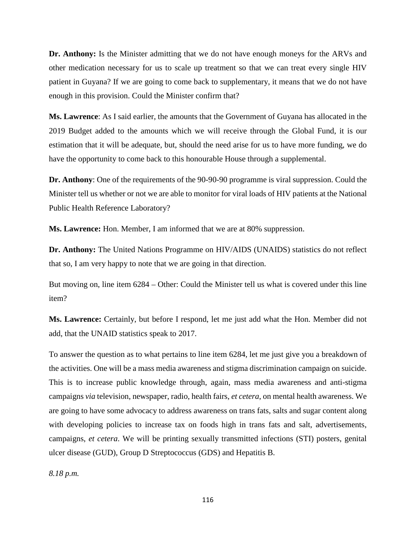**Dr. Anthony:** Is the Minister admitting that we do not have enough moneys for the ARVs and other medication necessary for us to scale up treatment so that we can treat every single HIV patient in Guyana? If we are going to come back to supplementary, it means that we do not have enough in this provision. Could the Minister confirm that?

**Ms. Lawrence**: As I said earlier, the amounts that the Government of Guyana has allocated in the 2019 Budget added to the amounts which we will receive through the Global Fund, it is our estimation that it will be adequate, but, should the need arise for us to have more funding, we do have the opportunity to come back to this honourable House through a supplemental.

**Dr. Anthony**: One of the requirements of the 90-90-90 programme is viral suppression. Could the Minister tell us whether or not we are able to monitor for viral loads of HIV patients at the National Public Health Reference Laboratory?

**Ms. Lawrence:** Hon. Member, I am informed that we are at 80% suppression.

**Dr. Anthony:** The United Nations Programme on HIV/AIDS (UNAIDS) statistics do not reflect that so, I am very happy to note that we are going in that direction.

But moving on, line item 6284 – Other: Could the Minister tell us what is covered under this line item?

**Ms. Lawrence:** Certainly, but before I respond, let me just add what the Hon. Member did not add, that the UNAID statistics speak to 2017.

To answer the question as to what pertains to line item 6284, let me just give you a breakdown of the activities. One will be a mass media awareness and stigma discrimination campaign on suicide. This is to increase public knowledge through, again, mass media awareness and anti-stigma campaigns *via* television, newspaper, radio, health fairs, *et cetera*, on mental health awareness. We are going to have some advocacy to address awareness on trans fats, salts and sugar content along with developing policies to increase tax on foods high in trans fats and salt, advertisements, campaigns, *et cetera*. We will be printing sexually transmitted infections (STI) posters, genital ulcer disease (GUD), Group D Streptococcus (GDS) and Hepatitis B.

*8.18 p.m.*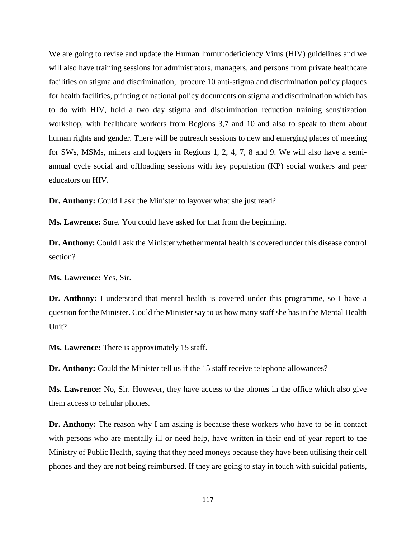We are going to revise and update the Human Immunodeficiency Virus (HIV) guidelines and we will also have training sessions for administrators, managers, and persons from private healthcare facilities on stigma and discrimination, procure 10 anti-stigma and discrimination policy plaques for health facilities, printing of national policy documents on stigma and discrimination which has to do with HIV, hold a two day stigma and discrimination reduction training sensitization workshop, with healthcare workers from Regions 3,7 and 10 and also to speak to them about human rights and gender. There will be outreach sessions to new and emerging places of meeting for SWs, MSMs, miners and loggers in Regions 1, 2, 4, 7, 8 and 9. We will also have a semiannual cycle social and offloading sessions with key population (KP) social workers and peer educators on HIV.

**Dr. Anthony:** Could I ask the Minister to layover what she just read?

**Ms. Lawrence:** Sure. You could have asked for that from the beginning.

**Dr. Anthony:** Could I ask the Minister whether mental health is covered under this disease control section?

**Ms. Lawrence:** Yes, Sir.

**Dr. Anthony:** I understand that mental health is covered under this programme, so I have a question for the Minister. Could the Minister say to us how many staff she has in the Mental Health Unit?

**Ms. Lawrence:** There is approximately 15 staff.

**Dr. Anthony:** Could the Minister tell us if the 15 staff receive telephone allowances?

**Ms. Lawrence:** No, Sir. However, they have access to the phones in the office which also give them access to cellular phones.

**Dr. Anthony:** The reason why I am asking is because these workers who have to be in contact with persons who are mentally ill or need help, have written in their end of year report to the Ministry of Public Health, saying that they need moneys because they have been utilising their cell phones and they are not being reimbursed. If they are going to stay in touch with suicidal patients,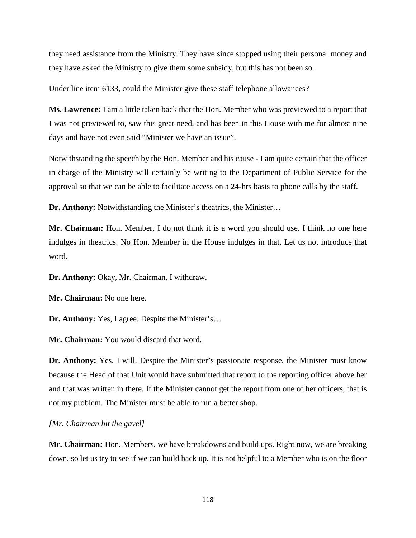they need assistance from the Ministry. They have since stopped using their personal money and they have asked the Ministry to give them some subsidy, but this has not been so.

Under line item 6133, could the Minister give these staff telephone allowances?

**Ms. Lawrence:** I am a little taken back that the Hon. Member who was previewed to a report that I was not previewed to, saw this great need, and has been in this House with me for almost nine days and have not even said "Minister we have an issue".

Notwithstanding the speech by the Hon. Member and his cause - I am quite certain that the officer in charge of the Ministry will certainly be writing to the Department of Public Service for the approval so that we can be able to facilitate access on a 24-hrs basis to phone calls by the staff.

**Dr. Anthony:** Notwithstanding the Minister's theatrics, the Minister…

**Mr. Chairman:** Hon. Member, I do not think it is a word you should use. I think no one here indulges in theatrics. No Hon. Member in the House indulges in that. Let us not introduce that word.

**Dr. Anthony:** Okay, Mr. Chairman, I withdraw.

**Mr. Chairman:** No one here.

**Dr. Anthony:** Yes, I agree. Despite the Minister's…

**Mr. Chairman:** You would discard that word.

**Dr. Anthony:** Yes, I will. Despite the Minister's passionate response, the Minister must know because the Head of that Unit would have submitted that report to the reporting officer above her and that was written in there. If the Minister cannot get the report from one of her officers, that is not my problem. The Minister must be able to run a better shop.

*[Mr. Chairman hit the gavel]*

**Mr. Chairman:** Hon. Members, we have breakdowns and build ups. Right now, we are breaking down, so let us try to see if we can build back up. It is not helpful to a Member who is on the floor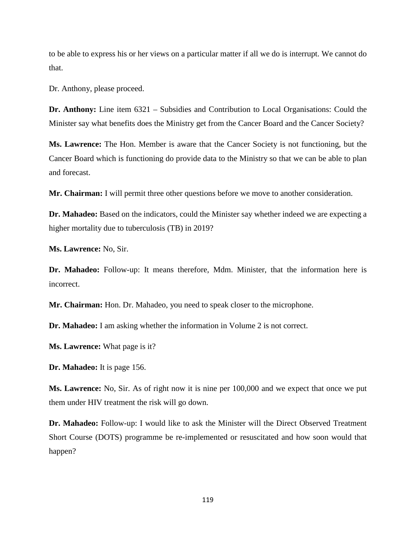to be able to express his or her views on a particular matter if all we do is interrupt. We cannot do that.

Dr. Anthony, please proceed.

**Dr. Anthony:** Line item 6321 – Subsidies and Contribution to Local Organisations: Could the Minister say what benefits does the Ministry get from the Cancer Board and the Cancer Society?

**Ms. Lawrence:** The Hon. Member is aware that the Cancer Society is not functioning, but the Cancer Board which is functioning do provide data to the Ministry so that we can be able to plan and forecast.

**Mr. Chairman:** I will permit three other questions before we move to another consideration.

**Dr. Mahadeo:** Based on the indicators, could the Minister say whether indeed we are expecting a higher mortality due to tuberculosis (TB) in 2019?

**Ms. Lawrence:** No, Sir.

**Dr. Mahadeo:** Follow-up: It means therefore, Mdm. Minister, that the information here is incorrect.

**Mr. Chairman:** Hon. Dr. Mahadeo, you need to speak closer to the microphone.

**Dr. Mahadeo:** I am asking whether the information in Volume 2 is not correct.

**Ms. Lawrence:** What page is it?

**Dr. Mahadeo:** It is page 156.

**Ms. Lawrence:** No, Sir. As of right now it is nine per 100,000 and we expect that once we put them under HIV treatment the risk will go down.

**Dr. Mahadeo:** Follow-up: I would like to ask the Minister will the Direct Observed Treatment Short Course (DOTS) programme be re-implemented or resuscitated and how soon would that happen?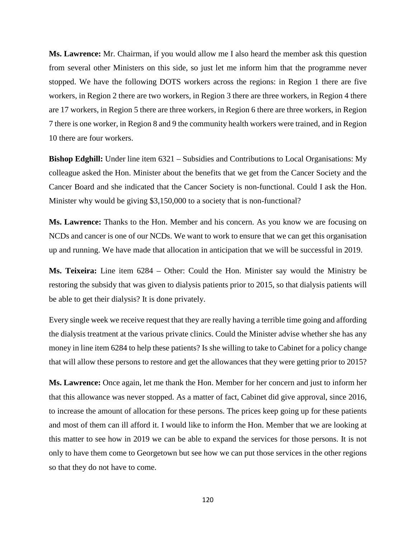**Ms. Lawrence:** Mr. Chairman, if you would allow me I also heard the member ask this question from several other Ministers on this side, so just let me inform him that the programme never stopped. We have the following DOTS workers across the regions: in Region 1 there are five workers, in Region 2 there are two workers, in Region 3 there are three workers, in Region 4 there are 17 workers, in Region 5 there are three workers, in Region 6 there are three workers, in Region 7 there is one worker, in Region 8 and 9 the community health workers were trained, and in Region 10 there are four workers.

**Bishop Edghill:** Under line item 6321 – Subsidies and Contributions to Local Organisations: My colleague asked the Hon. Minister about the benefits that we get from the Cancer Society and the Cancer Board and she indicated that the Cancer Society is non-functional. Could I ask the Hon. Minister why would be giving \$3,150,000 to a society that is non-functional?

**Ms. Lawrence:** Thanks to the Hon. Member and his concern. As you know we are focusing on NCDs and cancer is one of our NCDs. We want to work to ensure that we can get this organisation up and running. We have made that allocation in anticipation that we will be successful in 2019.

**Ms. Teixeira:** Line item 6284 – Other: Could the Hon. Minister say would the Ministry be restoring the subsidy that was given to dialysis patients prior to 2015, so that dialysis patients will be able to get their dialysis? It is done privately.

Every single week we receive request that they are really having a terrible time going and affording the dialysis treatment at the various private clinics. Could the Minister advise whether she has any money in line item 6284 to help these patients? Is she willing to take to Cabinet for a policy change that will allow these persons to restore and get the allowances that they were getting prior to 2015?

**Ms. Lawrence:** Once again, let me thank the Hon. Member for her concern and just to inform her that this allowance was never stopped. As a matter of fact, Cabinet did give approval, since 2016, to increase the amount of allocation for these persons. The prices keep going up for these patients and most of them can ill afford it. I would like to inform the Hon. Member that we are looking at this matter to see how in 2019 we can be able to expand the services for those persons. It is not only to have them come to Georgetown but see how we can put those services in the other regions so that they do not have to come.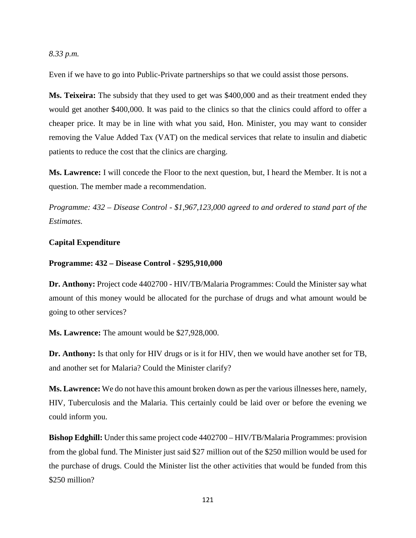### *8.33 p.m.*

Even if we have to go into Public-Private partnerships so that we could assist those persons.

**Ms. Teixeira:** The subsidy that they used to get was \$400,000 and as their treatment ended they would get another \$400,000. It was paid to the clinics so that the clinics could afford to offer a cheaper price. It may be in line with what you said, Hon. Minister, you may want to consider removing the Value Added Tax (VAT) on the medical services that relate to insulin and diabetic patients to reduce the cost that the clinics are charging.

**Ms. Lawrence:** I will concede the Floor to the next question, but, I heard the Member. It is not a question. The member made a recommendation.

*Programme: 432 – Disease Control - \$1,967,123,000 agreed to and ordered to stand part of the Estimates.*

## **Capital Expenditure**

#### **Programme: 432 – Disease Control - \$295,910,000**

**Dr. Anthony:** Project code 4402700 - HIV/TB/Malaria Programmes: Could the Minister say what amount of this money would be allocated for the purchase of drugs and what amount would be going to other services?

**Ms. Lawrence:** The amount would be \$27,928,000.

**Dr. Anthony:** Is that only for HIV drugs or is it for HIV, then we would have another set for TB, and another set for Malaria? Could the Minister clarify?

**Ms. Lawrence:** We do not have this amount broken down as per the various illnesses here, namely, HIV, Tuberculosis and the Malaria. This certainly could be laid over or before the evening we could inform you.

**Bishop Edghill:** Under this same project code 4402700 – HIV/TB/Malaria Programmes: provision from the global fund. The Minister just said \$27 million out of the \$250 million would be used for the purchase of drugs. Could the Minister list the other activities that would be funded from this \$250 million?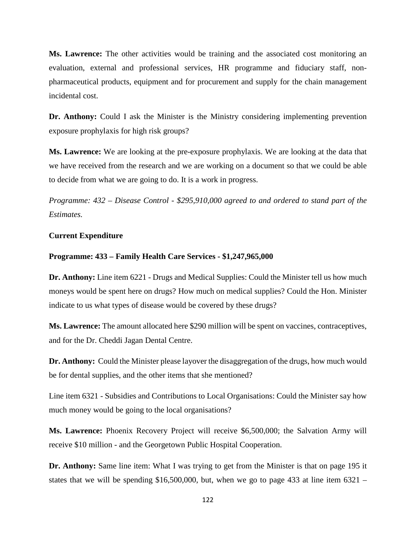**Ms. Lawrence:** The other activities would be training and the associated cost monitoring an evaluation, external and professional services, HR programme and fiduciary staff, nonpharmaceutical products, equipment and for procurement and supply for the chain management incidental cost.

**Dr. Anthony:** Could I ask the Minister is the Ministry considering implementing prevention exposure prophylaxis for high risk groups?

**Ms. Lawrence:** We are looking at the pre-exposure prophylaxis. We are looking at the data that we have received from the research and we are working on a document so that we could be able to decide from what we are going to do. It is a work in progress.

*Programme: 432 – Disease Control - \$295,910,000 agreed to and ordered to stand part of the Estimates.*

### **Current Expenditure**

#### **Programme: 433 – Family Health Care Services - \$1,247,965,000**

Dr. Anthony: Line item 6221 - Drugs and Medical Supplies: Could the Minister tell us how much moneys would be spent here on drugs? How much on medical supplies? Could the Hon. Minister indicate to us what types of disease would be covered by these drugs?

**Ms. Lawrence:** The amount allocated here \$290 million will be spent on vaccines, contraceptives, and for the Dr. Cheddi Jagan Dental Centre.

**Dr. Anthony:** Could the Minister please layover the disaggregation of the drugs, how much would be for dental supplies, and the other items that she mentioned?

Line item 6321 - Subsidies and Contributions to Local Organisations: Could the Minister say how much money would be going to the local organisations?

**Ms. Lawrence:** Phoenix Recovery Project will receive \$6,500,000; the Salvation Army will receive \$10 million - and the Georgetown Public Hospital Cooperation.

**Dr. Anthony:** Same line item: What I was trying to get from the Minister is that on page 195 it states that we will be spending \$16,500,000, but, when we go to page 433 at line item  $6321 -$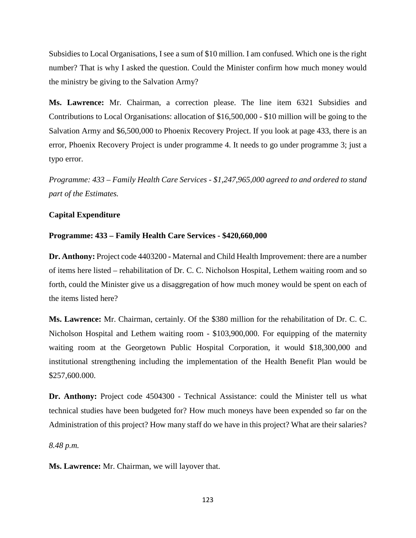Subsidies to Local Organisations, I see a sum of \$10 million. I am confused. Which one is the right number? That is why I asked the question. Could the Minister confirm how much money would the ministry be giving to the Salvation Army?

**Ms. Lawrence:** Mr. Chairman, a correction please. The line item 6321 Subsidies and Contributions to Local Organisations: allocation of \$16,500,000 - \$10 million will be going to the Salvation Army and \$6,500,000 to Phoenix Recovery Project. If you look at page 433, there is an error, Phoenix Recovery Project is under programme 4. It needs to go under programme 3; just a typo error.

*Programme: 433 – Family Health Care Services - \$1,247,965,000 agreed to and ordered to stand part of the Estimates.*

# **Capital Expenditure**

# **Programme: 433 – Family Health Care Services - \$420,660,000**

**Dr. Anthony:** Project code 4403200 **-** Maternal and Child Health Improvement: there are a number of items here listed – rehabilitation of Dr. C. C. Nicholson Hospital, Lethem waiting room and so forth, could the Minister give us a disaggregation of how much money would be spent on each of the items listed here?

**Ms. Lawrence:** Mr. Chairman, certainly. Of the \$380 million for the rehabilitation of Dr. C. C. Nicholson Hospital and Lethem waiting room - \$103,900,000. For equipping of the maternity waiting room at the Georgetown Public Hospital Corporation, it would \$18,300,000 and institutional strengthening including the implementation of the Health Benefit Plan would be \$257,600.000.

**Dr. Anthony:** Project code 4504300 - Technical Assistance: could the Minister tell us what technical studies have been budgeted for? How much moneys have been expended so far on the Administration of this project? How many staff do we have in this project? What are their salaries?

*8.48 p.m.* 

**Ms. Lawrence:** Mr. Chairman, we will layover that.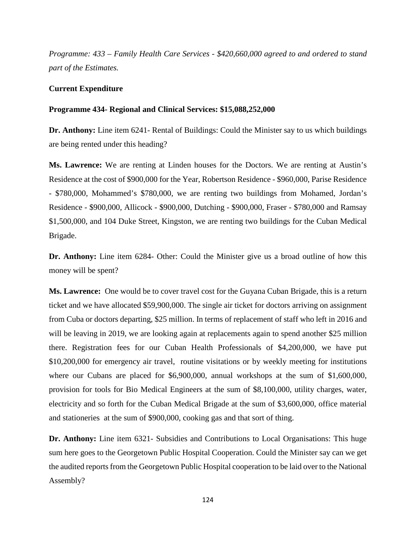*Programme: 433 – Family Health Care Services - \$420,660,000 agreed to and ordered to stand part of the Estimates.*

### **Current Expenditure**

### **Programme 434- Regional and Clinical Services: \$15,088,252,000**

**Dr. Anthony:** Line item 6241- Rental of Buildings: Could the Minister say to us which buildings are being rented under this heading?

**Ms. Lawrence:** We are renting at Linden houses for the Doctors. We are renting at Austin's Residence at the cost of \$900,000 for the Year, Robertson Residence - \$960,000, Parise Residence - \$780,000, Mohammed's \$780,000, we are renting two buildings from Mohamed, Jordan's Residence - \$900,000, Allicock - \$900,000, Dutching - \$900,000, Fraser - \$780,000 and Ramsay \$1,500,000, and 104 Duke Street, Kingston, we are renting two buildings for the Cuban Medical Brigade.

**Dr. Anthony:** Line item 6284- Other: Could the Minister give us a broad outline of how this money will be spent?

**Ms. Lawrence:** One would be to cover travel cost for the Guyana Cuban Brigade, this is a return ticket and we have allocated \$59,900,000. The single air ticket for doctors arriving on assignment from Cuba or doctors departing, \$25 million. In terms of replacement of staff who left in 2016 and will be leaving in 2019, we are looking again at replacements again to spend another \$25 million there. Registration fees for our Cuban Health Professionals of \$4,200,000, we have put \$10,200,000 for emergency air travel, routine visitations or by weekly meeting for institutions where our Cubans are placed for \$6,900,000, annual workshops at the sum of \$1,600,000, provision for tools for Bio Medical Engineers at the sum of \$8,100,000, utility charges, water, electricity and so forth for the Cuban Medical Brigade at the sum of \$3,600,000, office material and stationeries at the sum of \$900,000, cooking gas and that sort of thing.

**Dr. Anthony:** Line item 6321- Subsidies and Contributions to Local Organisations: This huge sum here goes to the Georgetown Public Hospital Cooperation. Could the Minister say can we get the audited reports from the Georgetown Public Hospital cooperation to be laid over to the National Assembly?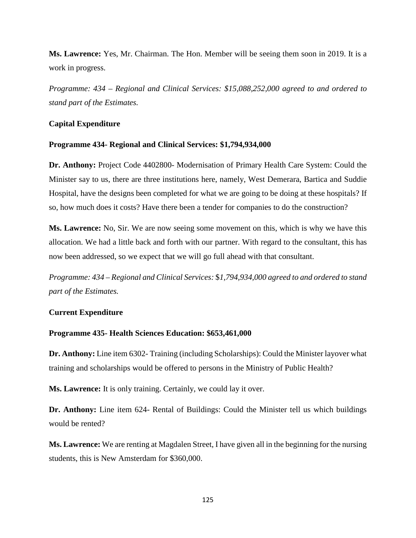**Ms. Lawrence:** Yes, Mr. Chairman. The Hon. Member will be seeing them soon in 2019. It is a work in progress.

*Programme: 434 – Regional and Clinical Services: \$15,088,252,000 agreed to and ordered to stand part of the Estimates.*

### **Capital Expenditure**

### **Programme 434- Regional and Clinical Services: \$1,794,934,000**

**Dr. Anthony:** Project Code 4402800- Modernisation of Primary Health Care System: Could the Minister say to us, there are three institutions here, namely, West Demerara, Bartica and Suddie Hospital, have the designs been completed for what we are going to be doing at these hospitals? If so, how much does it costs? Have there been a tender for companies to do the construction?

**Ms. Lawrence:** No, Sir. We are now seeing some movement on this, which is why we have this allocation. We had a little back and forth with our partner. With regard to the consultant, this has now been addressed, so we expect that we will go full ahead with that consultant.

*Programme: 434 – Regional and Clinical Services:* \$*1,794,934,000 agreed to and ordered to stand part of the Estimates.*

# **Current Expenditure**

### **Programme 435- Health Sciences Education: \$653,461,000**

**Dr. Anthony:** Line item 6302- Training (including Scholarships): Could the Minister layover what training and scholarships would be offered to persons in the Ministry of Public Health?

**Ms. Lawrence:** It is only training. Certainly, we could lay it over.

**Dr. Anthony:** Line item 624- Rental of Buildings: Could the Minister tell us which buildings would be rented?

**Ms. Lawrence:** We are renting at Magdalen Street, I have given all in the beginning for the nursing students, this is New Amsterdam for \$360,000.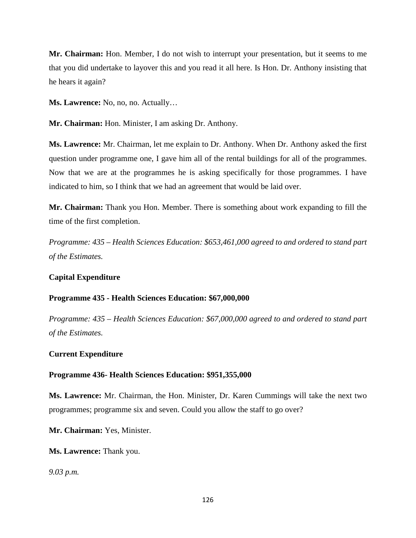**Mr. Chairman:** Hon. Member, I do not wish to interrupt your presentation, but it seems to me that you did undertake to layover this and you read it all here. Is Hon. Dr. Anthony insisting that he hears it again?

**Ms. Lawrence:** No, no, no. Actually…

**Mr. Chairman:** Hon. Minister, I am asking Dr. Anthony.

**Ms. Lawrence:** Mr. Chairman, let me explain to Dr. Anthony. When Dr. Anthony asked the first question under programme one, I gave him all of the rental buildings for all of the programmes. Now that we are at the programmes he is asking specifically for those programmes. I have indicated to him, so I think that we had an agreement that would be laid over.

**Mr. Chairman:** Thank you Hon. Member. There is something about work expanding to fill the time of the first completion.

*Programme: 435 – Health Sciences Education: \$653,461,000 agreed to and ordered to stand part of the Estimates.*

# **Capital Expenditure**

### **Programme 435 - Health Sciences Education: \$67,000,000**

*Programme: 435 – Health Sciences Education: \$67,000,000 agreed to and ordered to stand part of the Estimates.*

### **Current Expenditure**

### **Programme 436- Health Sciences Education: \$951,355,000**

**Ms. Lawrence:** Mr. Chairman, the Hon. Minister, Dr. Karen Cummings will take the next two programmes; programme six and seven. Could you allow the staff to go over?

**Mr. Chairman:** Yes, Minister.

**Ms. Lawrence:** Thank you.

*9.03 p.m.*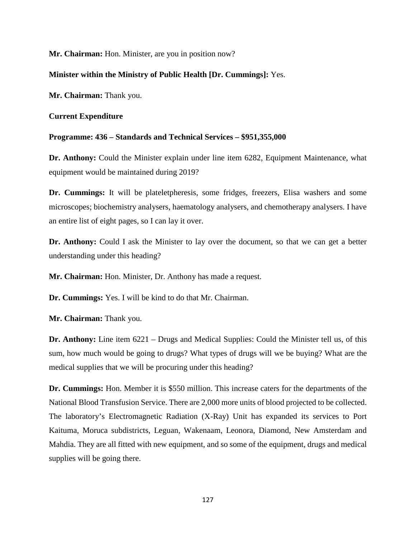**Mr. Chairman:** Hon. Minister, are you in position now?

# **Minister within the Ministry of Public Health [Dr. Cummings]:** Yes.

**Mr. Chairman:** Thank you.

# **Current Expenditure**

# **Programme: 436 – Standards and Technical Services – \$951,355,000**

**Dr. Anthony:** Could the Minister explain under line item 6282, Equipment Maintenance, what equipment would be maintained during 2019?

**Dr. Cummings:** It will be plateletpheresis, some fridges, freezers, Elisa washers and some microscopes; biochemistry analysers, haematology analysers, and chemotherapy analysers. I have an entire list of eight pages, so I can lay it over.

**Dr. Anthony:** Could I ask the Minister to lay over the document, so that we can get a better understanding under this heading?

**Mr. Chairman:** Hon. Minister, Dr. Anthony has made a request.

**Dr. Cummings:** Yes. I will be kind to do that Mr. Chairman.

**Mr. Chairman:** Thank you.

**Dr. Anthony:** Line item 6221 – Drugs and Medical Supplies: Could the Minister tell us, of this sum, how much would be going to drugs? What types of drugs will we be buying? What are the medical supplies that we will be procuring under this heading?

**Dr. Cummings:** Hon. Member it is \$550 million. This increase caters for the departments of the National Blood Transfusion Service. There are 2,000 more units of blood projected to be collected. The laboratory's Electromagnetic Radiation (X-Ray) Unit has expanded its services to Port Kaituma, Moruca subdistricts, Leguan, Wakenaam, Leonora, Diamond, New Amsterdam and Mahdia. They are all fitted with new equipment, and so some of the equipment, drugs and medical supplies will be going there.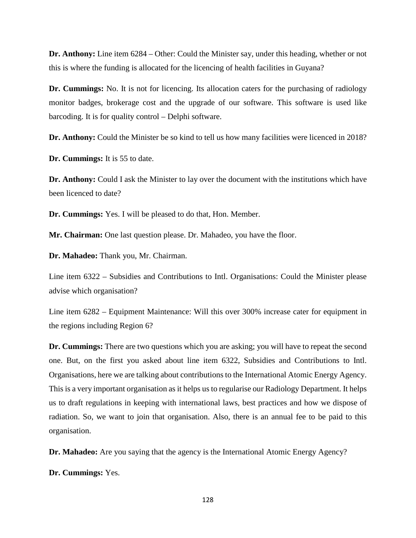**Dr. Anthony:** Line item 6284 – Other: Could the Minister say, under this heading, whether or not this is where the funding is allocated for the licencing of health facilities in Guyana?

**Dr. Cummings:** No. It is not for licencing. Its allocation caters for the purchasing of radiology monitor badges, brokerage cost and the upgrade of our software. This software is used like barcoding. It is for quality control – Delphi software.

**Dr. Anthony:** Could the Minister be so kind to tell us how many facilities were licenced in 2018?

**Dr. Cummings:** It is 55 to date.

**Dr. Anthony:** Could I ask the Minister to lay over the document with the institutions which have been licenced to date?

**Dr. Cummings:** Yes. I will be pleased to do that, Hon. Member.

**Mr. Chairman:** One last question please. Dr. Mahadeo, you have the floor.

**Dr. Mahadeo:** Thank you, Mr. Chairman.

Line item 6322 – Subsidies and Contributions to Intl. Organisations: Could the Minister please advise which organisation?

Line item 6282 – Equipment Maintenance: Will this over 300% increase cater for equipment in the regions including Region 6?

**Dr. Cummings:** There are two questions which you are asking; you will have to repeat the second one. But, on the first you asked about line item 6322, Subsidies and Contributions to Intl. Organisations, here we are talking about contributions to the International Atomic Energy Agency. This is a very important organisation as it helps us to regularise our Radiology Department. It helps us to draft regulations in keeping with international laws, best practices and how we dispose of radiation. So, we want to join that organisation. Also, there is an annual fee to be paid to this organisation.

**Dr. Mahadeo:** Are you saying that the agency is the International Atomic Energy Agency?

**Dr. Cummings:** Yes.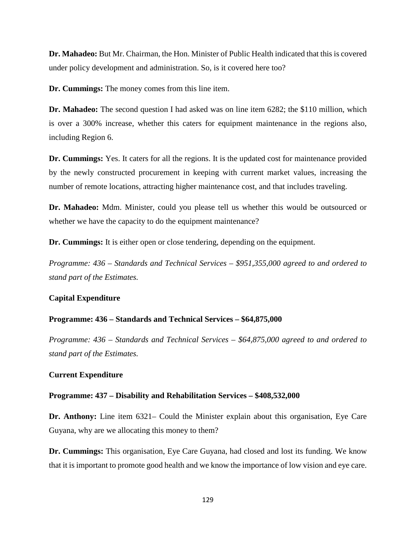**Dr. Mahadeo:** But Mr. Chairman, the Hon. Minister of Public Health indicated that this is covered under policy development and administration. So, is it covered here too?

**Dr. Cummings:** The money comes from this line item.

**Dr. Mahadeo:** The second question I had asked was on line item 6282; the \$110 million, which is over a 300% increase, whether this caters for equipment maintenance in the regions also, including Region 6.

**Dr. Cummings:** Yes. It caters for all the regions. It is the updated cost for maintenance provided by the newly constructed procurement in keeping with current market values, increasing the number of remote locations, attracting higher maintenance cost, and that includes traveling.

**Dr. Mahadeo:** Mdm. Minister, could you please tell us whether this would be outsourced or whether we have the capacity to do the equipment maintenance?

**Dr. Cummings:** It is either open or close tendering, depending on the equipment.

*Programme: 436 – Standards and Technical Services – \$951,355,000 agreed to and ordered to stand part of the Estimates.* 

### **Capital Expenditure**

### **Programme: 436 – Standards and Technical Services – \$64,875,000**

*Programme: 436 – Standards and Technical Services – \$64,875,000 agreed to and ordered to stand part of the Estimates.* 

### **Current Expenditure**

#### **Programme: 437 – Disability and Rehabilitation Services – \$408,532,000**

**Dr. Anthony:** Line item 6321– Could the Minister explain about this organisation, Eye Care Guyana, why are we allocating this money to them?

**Dr. Cummings:** This organisation, Eye Care Guyana, had closed and lost its funding. We know that it is important to promote good health and we know the importance of low vision and eye care.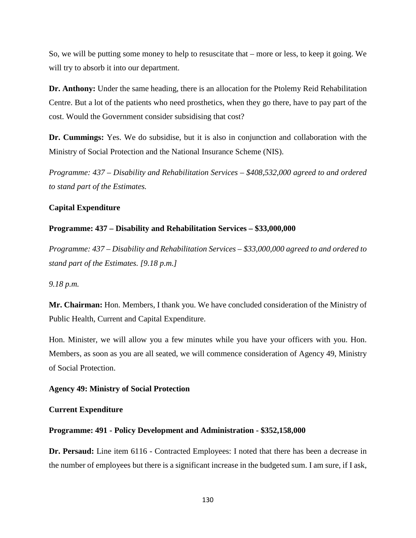So, we will be putting some money to help to resuscitate that – more or less, to keep it going. We will try to absorb it into our department.

**Dr. Anthony:** Under the same heading, there is an allocation for the Ptolemy Reid Rehabilitation Centre. But a lot of the patients who need prosthetics, when they go there, have to pay part of the cost. Would the Government consider subsidising that cost?

**Dr. Cummings:** Yes. We do subsidise, but it is also in conjunction and collaboration with the Ministry of Social Protection and the National Insurance Scheme (NIS).

*Programme: 437 – Disability and Rehabilitation Services – \$408,532,000 agreed to and ordered to stand part of the Estimates.* 

### **Capital Expenditure**

#### **Programme: 437 – Disability and Rehabilitation Services – \$33,000,000**

*Programme: 437 – Disability and Rehabilitation Services – \$33,000,000 agreed to and ordered to stand part of the Estimates. [9.18 p.m.]*

*9.18 p.m.* 

**Mr. Chairman:** Hon. Members, I thank you. We have concluded consideration of the Ministry of Public Health, Current and Capital Expenditure.

Hon. Minister, we will allow you a few minutes while you have your officers with you. Hon. Members, as soon as you are all seated, we will commence consideration of Agency 49, Ministry of Social Protection.

#### **Agency 49: Ministry of Social Protection**

#### **Current Expenditure**

#### **Programme: 491 - Policy Development and Administration - \$352,158,000**

**Dr. Persaud:** Line item 6116 - Contracted Employees: I noted that there has been a decrease in the number of employees but there is a significant increase in the budgeted sum. I am sure, if I ask,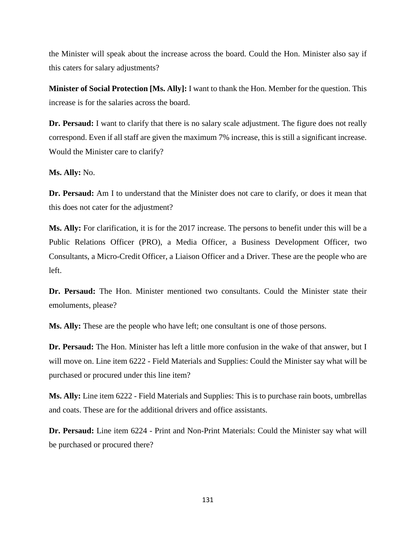the Minister will speak about the increase across the board. Could the Hon. Minister also say if this caters for salary adjustments?

**Minister of Social Protection [Ms. Ally]:** I want to thank the Hon. Member for the question. This increase is for the salaries across the board.

**Dr. Persaud:** I want to clarify that there is no salary scale adjustment. The figure does not really correspond. Even if all staff are given the maximum 7% increase, this is still a significant increase. Would the Minister care to clarify?

**Ms. Ally:** No.

**Dr. Persaud:** Am I to understand that the Minister does not care to clarify, or does it mean that this does not cater for the adjustment?

**Ms. Ally:** For clarification, it is for the 2017 increase. The persons to benefit under this will be a Public Relations Officer (PRO), a Media Officer, a Business Development Officer, two Consultants, a Micro-Credit Officer, a Liaison Officer and a Driver. These are the people who are left.

**Dr. Persaud:** The Hon. Minister mentioned two consultants. Could the Minister state their emoluments, please?

**Ms. Ally:** These are the people who have left; one consultant is one of those persons.

**Dr. Persaud:** The Hon. Minister has left a little more confusion in the wake of that answer, but I will move on. Line item 6222 - Field Materials and Supplies: Could the Minister say what will be purchased or procured under this line item?

**Ms. Ally:** Line item 6222 - Field Materials and Supplies: This is to purchase rain boots, umbrellas and coats. These are for the additional drivers and office assistants.

**Dr. Persaud:** Line item 6224 - Print and Non-Print Materials: Could the Minister say what will be purchased or procured there?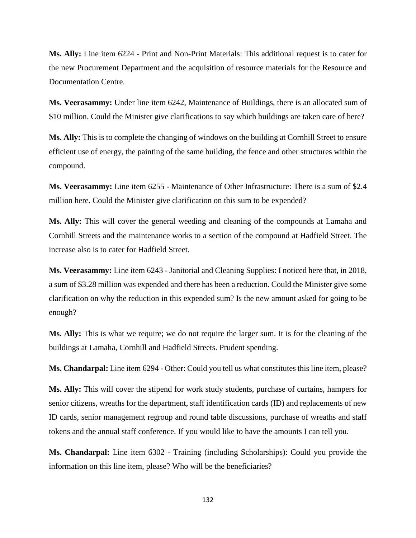**Ms. Ally:** Line item 6224 - Print and Non-Print Materials: This additional request is to cater for the new Procurement Department and the acquisition of resource materials for the Resource and Documentation Centre.

**Ms. Veerasammy:** Under line item 6242, Maintenance of Buildings, there is an allocated sum of \$10 million. Could the Minister give clarifications to say which buildings are taken care of here?

**Ms. Ally:** This is to complete the changing of windows on the building at Cornhill Street to ensure efficient use of energy, the painting of the same building, the fence and other structures within the compound.

**Ms. Veerasammy:** Line item 6255 - Maintenance of Other Infrastructure: There is a sum of \$2.4 million here. Could the Minister give clarification on this sum to be expended?

**Ms. Ally:** This will cover the general weeding and cleaning of the compounds at Lamaha and Cornhill Streets and the maintenance works to a section of the compound at Hadfield Street. The increase also is to cater for Hadfield Street.

**Ms. Veerasammy:** Line item 6243 - Janitorial and Cleaning Supplies: I noticed here that, in 2018, a sum of \$3.28 million was expended and there has been a reduction. Could the Minister give some clarification on why the reduction in this expended sum? Is the new amount asked for going to be enough?

**Ms. Ally:** This is what we require; we do not require the larger sum. It is for the cleaning of the buildings at Lamaha, Cornhill and Hadfield Streets. Prudent spending.

**Ms. Chandarpal:** Line item 6294 - Other: Could you tell us what constitutes this line item, please?

**Ms. Ally:** This will cover the stipend for work study students, purchase of curtains, hampers for senior citizens, wreaths for the department, staff identification cards (ID) and replacements of new ID cards, senior management regroup and round table discussions, purchase of wreaths and staff tokens and the annual staff conference. If you would like to have the amounts I can tell you.

**Ms. Chandarpal:** Line item 6302 - Training (including Scholarships): Could you provide the information on this line item, please? Who will be the beneficiaries?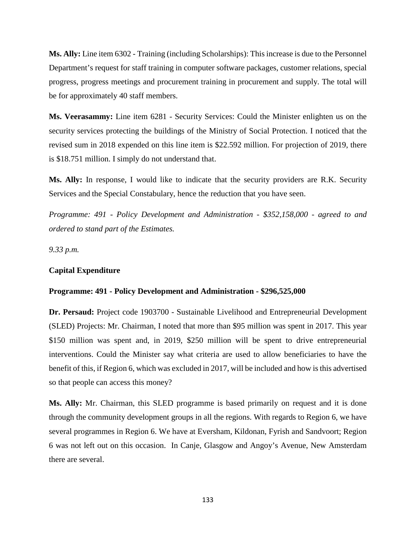**Ms. Ally:** Line item 6302 - Training (including Scholarships): This increase is due to the Personnel Department's request for staff training in computer software packages, customer relations, special progress, progress meetings and procurement training in procurement and supply. The total will be for approximately 40 staff members.

**Ms. Veerasammy:** Line item 6281 - Security Services: Could the Minister enlighten us on the security services protecting the buildings of the Ministry of Social Protection. I noticed that the revised sum in 2018 expended on this line item is \$22.592 million. For projection of 2019, there is \$18.751 million. I simply do not understand that.

**Ms. Ally:** In response, I would like to indicate that the security providers are R.K. Security Services and the Special Constabulary, hence the reduction that you have seen.

*Programme: 491 - Policy Development and Administration - \$352,158,000 - agreed to and ordered to stand part of the Estimates.*

*9.33 p.m.*

#### **Capital Expenditure**

### **Programme: 491 - Policy Development and Administration - \$296,525,000**

**Dr. Persaud:** Project code 1903700 - Sustainable Livelihood and Entrepreneurial Development (SLED) Projects: Mr. Chairman, I noted that more than \$95 million was spent in 2017. This year \$150 million was spent and, in 2019, \$250 million will be spent to drive entrepreneurial interventions. Could the Minister say what criteria are used to allow beneficiaries to have the benefit of this, if Region 6, which was excluded in 2017, will be included and how is this advertised so that people can access this money?

**Ms. Ally:** Mr. Chairman, this SLED programme is based primarily on request and it is done through the community development groups in all the regions. With regards to Region 6, we have several programmes in Region 6. We have at Eversham, Kildonan, Fyrish and Sandvoort; Region 6 was not left out on this occasion. In Canje, Glasgow and Angoy's Avenue, New Amsterdam there are several.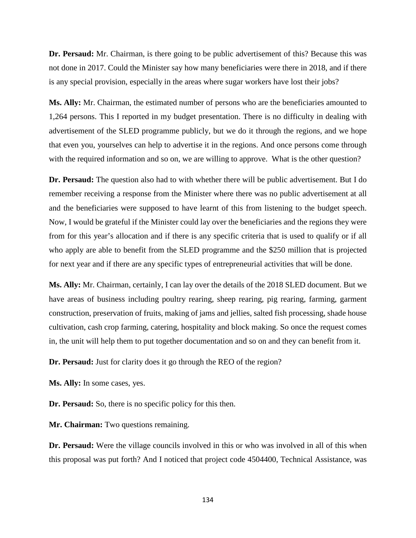**Dr. Persaud:** Mr. Chairman, is there going to be public advertisement of this? Because this was not done in 2017. Could the Minister say how many beneficiaries were there in 2018, and if there is any special provision, especially in the areas where sugar workers have lost their jobs?

**Ms. Ally:** Mr. Chairman, the estimated number of persons who are the beneficiaries amounted to 1,264 persons. This I reported in my budget presentation. There is no difficulty in dealing with advertisement of the SLED programme publicly, but we do it through the regions, and we hope that even you, yourselves can help to advertise it in the regions. And once persons come through with the required information and so on, we are willing to approve. What is the other question?

**Dr. Persaud:** The question also had to with whether there will be public advertisement. But I do remember receiving a response from the Minister where there was no public advertisement at all and the beneficiaries were supposed to have learnt of this from listening to the budget speech. Now, I would be grateful if the Minister could lay over the beneficiaries and the regions they were from for this year's allocation and if there is any specific criteria that is used to qualify or if all who apply are able to benefit from the SLED programme and the \$250 million that is projected for next year and if there are any specific types of entrepreneurial activities that will be done.

**Ms. Ally:** Mr. Chairman, certainly, I can lay over the details of the 2018 SLED document. But we have areas of business including poultry rearing, sheep rearing, pig rearing, farming, garment construction, preservation of fruits, making of jams and jellies, salted fish processing, shade house cultivation, cash crop farming, catering, hospitality and block making. So once the request comes in, the unit will help them to put together documentation and so on and they can benefit from it.

**Dr. Persaud:** Just for clarity does it go through the REO of the region?

**Ms. Ally:** In some cases, yes.

**Dr. Persaud:** So, there is no specific policy for this then.

**Mr. Chairman:** Two questions remaining.

**Dr. Persaud:** Were the village councils involved in this or who was involved in all of this when this proposal was put forth? And I noticed that project code 4504400, Technical Assistance, was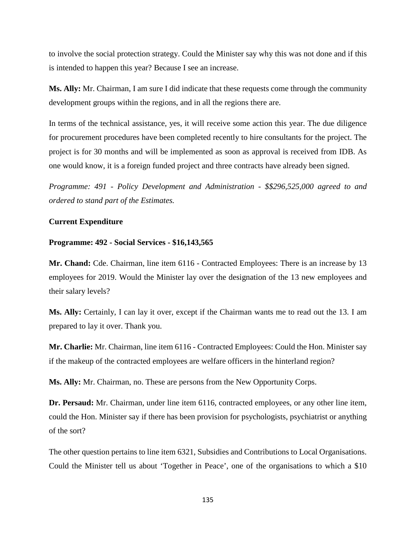to involve the social protection strategy. Could the Minister say why this was not done and if this is intended to happen this year? Because I see an increase.

**Ms. Ally:** Mr. Chairman, I am sure I did indicate that these requests come through the community development groups within the regions, and in all the regions there are.

In terms of the technical assistance, yes, it will receive some action this year. The due diligence for procurement procedures have been completed recently to hire consultants for the project. The project is for 30 months and will be implemented as soon as approval is received from IDB. As one would know, it is a foreign funded project and three contracts have already been signed.

*Programme: 491 - Policy Development and Administration - \$\$296,525,000 agreed to and ordered to stand part of the Estimates.* 

#### **Current Expenditure**

#### **Programme: 492 - Social Services - \$16,143,565**

**Mr. Chand:** Cde. Chairman, line item 6116 - Contracted Employees: There is an increase by 13 employees for 2019. Would the Minister lay over the designation of the 13 new employees and their salary levels?

**Ms. Ally:** Certainly, I can lay it over, except if the Chairman wants me to read out the 13. I am prepared to lay it over. Thank you.

**Mr. Charlie:** Mr. Chairman, line item 6116 - Contracted Employees: Could the Hon. Minister say if the makeup of the contracted employees are welfare officers in the hinterland region?

**Ms. Ally:** Mr. Chairman, no. These are persons from the New Opportunity Corps.

**Dr. Persaud:** Mr. Chairman, under line item 6116, contracted employees, or any other line item, could the Hon. Minister say if there has been provision for psychologists, psychiatrist or anything of the sort?

The other question pertains to line item 6321, Subsidies and Contributions to Local Organisations. Could the Minister tell us about 'Together in Peace', one of the organisations to which a \$10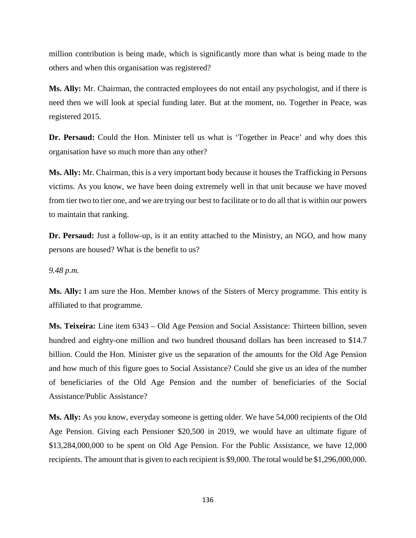million contribution is being made, which is significantly more than what is being made to the others and when this organisation was registered?

**Ms. Ally:** Mr. Chairman, the contracted employees do not entail any psychologist, and if there is need then we will look at special funding later. But at the moment, no. Together in Peace, was registered 2015.

**Dr. Persaud:** Could the Hon. Minister tell us what is 'Together in Peace' and why does this organisation have so much more than any other?

**Ms. Ally:** Mr. Chairman, this is a very important body because it houses the Trafficking in Persons victims. As you know, we have been doing extremely well in that unit because we have moved from tier two to tier one, and we are trying our best to facilitate or to do all that is within our powers to maintain that ranking.

**Dr. Persaud:** Just a follow-up, is it an entity attached to the Ministry, an NGO, and how many persons are housed? What is the benefit to us?

### *9.48 p.m.*

**Ms. Ally:** I am sure the Hon. Member knows of the Sisters of Mercy programme. This entity is affiliated to that programme.

**Ms. Teixeira:** Line item 6343 – Old Age Pension and Social Assistance: Thirteen billion, seven hundred and eighty-one million and two hundred thousand dollars has been increased to \$14.7 billion. Could the Hon. Minister give us the separation of the amounts for the Old Age Pension and how much of this figure goes to Social Assistance? Could she give us an idea of the number of beneficiaries of the Old Age Pension and the number of beneficiaries of the Social Assistance/Public Assistance?

**Ms. Ally:** As you know, everyday someone is getting older. We have 54,000 recipients of the Old Age Pension. Giving each Pensioner \$20,500 in 2019, we would have an ultimate figure of \$13,284,000,000 to be spent on Old Age Pension. For the Public Assistance, we have 12,000 recipients. The amount that is given to each recipient is \$9,000. The total would be \$1,296,000,000.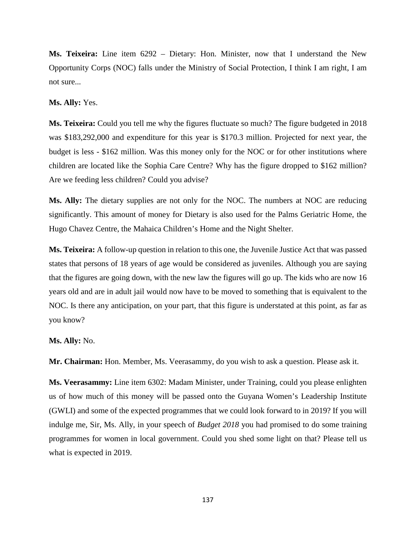**Ms. Teixeira:** Line item 6292 – Dietary: Hon. Minister, now that I understand the New Opportunity Corps (NOC) falls under the Ministry of Social Protection, I think I am right, I am not sure...

**Ms. Ally:** Yes.

**Ms. Teixeira:** Could you tell me why the figures fluctuate so much? The figure budgeted in 2018 was \$183,292,000 and expenditure for this year is \$170.3 million. Projected for next year, the budget is less - \$162 million. Was this money only for the NOC or for other institutions where children are located like the Sophia Care Centre? Why has the figure dropped to \$162 million? Are we feeding less children? Could you advise?

**Ms. Ally:** The dietary supplies are not only for the NOC. The numbers at NOC are reducing significantly. This amount of money for Dietary is also used for the Palms Geriatric Home, the Hugo Chavez Centre, the Mahaica Children's Home and the Night Shelter.

**Ms. Teixeira:** A follow-up question in relation to this one, the Juvenile Justice Act that was passed states that persons of 18 years of age would be considered as juveniles. Although you are saying that the figures are going down, with the new law the figures will go up. The kids who are now 16 years old and are in adult jail would now have to be moved to something that is equivalent to the NOC. Is there any anticipation, on your part, that this figure is understated at this point, as far as you know?

**Ms. Ally:** No.

**Mr. Chairman:** Hon. Member, Ms. Veerasammy, do you wish to ask a question. Please ask it.

**Ms. Veerasammy:** Line item 6302: Madam Minister, under Training, could you please enlighten us of how much of this money will be passed onto the Guyana Women's Leadership Institute (GWLI) and some of the expected programmes that we could look forward to in 2019? If you will indulge me, Sir, Ms. Ally, in your speech of *Budget 2018* you had promised to do some training programmes for women in local government. Could you shed some light on that? Please tell us what is expected in 2019.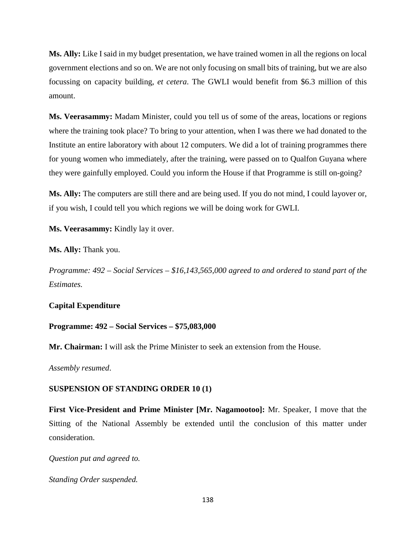**Ms. Ally:** Like I said in my budget presentation, we have trained women in all the regions on local government elections and so on. We are not only focusing on small bits of training, but we are also focussing on capacity building, *et cetera*. The GWLI would benefit from \$6.3 million of this amount.

**Ms. Veerasammy:** Madam Minister, could you tell us of some of the areas, locations or regions where the training took place? To bring to your attention, when I was there we had donated to the Institute an entire laboratory with about 12 computers. We did a lot of training programmes there for young women who immediately, after the training, were passed on to Qualfon Guyana where they were gainfully employed. Could you inform the House if that Programme is still on-going?

**Ms. Ally:** The computers are still there and are being used. If you do not mind, I could layover or, if you wish, I could tell you which regions we will be doing work for GWLI.

**Ms. Veerasammy:** Kindly lay it over.

**Ms. Ally:** Thank you.

*Programme: 492 – Social Services – \$16,143,565,000 agreed to and ordered to stand part of the Estimates.*

# **Capital Expenditure**

# **Programme: 492 – Social Services – \$75,083,000**

**Mr. Chairman:** I will ask the Prime Minister to seek an extension from the House.

*Assembly resumed*.

### **SUSPENSION OF STANDING ORDER 10 (1)**

**First Vice-President and Prime Minister [Mr. Nagamootoo]:** Mr. Speaker, I move that the Sitting of the National Assembly be extended until the conclusion of this matter under consideration.

*Question put and agreed to.*

*Standing Order suspended.*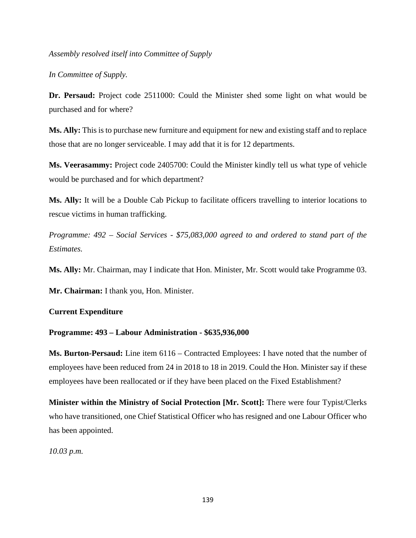*Assembly resolved itself into Committee of Supply*

*In Committee of Supply.*

**Dr. Persaud:** Project code 2511000: Could the Minister shed some light on what would be purchased and for where?

**Ms. Ally:** This is to purchase new furniture and equipment for new and existing staff and to replace those that are no longer serviceable. I may add that it is for 12 departments.

**Ms. Veerasammy:** Project code 2405700: Could the Minister kindly tell us what type of vehicle would be purchased and for which department?

**Ms. Ally:** It will be a Double Cab Pickup to facilitate officers travelling to interior locations to rescue victims in human trafficking.

*Programme: 492 – Social Services - \$75,083,000 agreed to and ordered to stand part of the Estimates.*

**Ms. Ally:** Mr. Chairman, may I indicate that Hon. Minister, Mr. Scott would take Programme 03.

**Mr. Chairman:** I thank you, Hon. Minister.

### **Current Expenditure**

### **Programme: 493 – Labour Administration - \$635,936,000**

**Ms. Burton-Persaud:** Line item 6116 – Contracted Employees: I have noted that the number of employees have been reduced from 24 in 2018 to 18 in 2019. Could the Hon. Minister say if these employees have been reallocated or if they have been placed on the Fixed Establishment?

**Minister within the Ministry of Social Protection [Mr. Scott]:** There were four Typist/Clerks who have transitioned, one Chief Statistical Officer who has resigned and one Labour Officer who has been appointed.

*10.03 p.m.*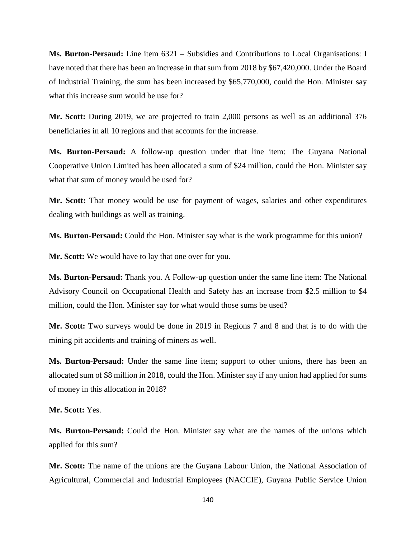**Ms. Burton-Persaud:** Line item 6321 – Subsidies and Contributions to Local Organisations: I have noted that there has been an increase in that sum from 2018 by \$67,420,000. Under the Board of Industrial Training, the sum has been increased by \$65,770,000, could the Hon. Minister say what this increase sum would be use for?

**Mr. Scott:** During 2019, we are projected to train 2,000 persons as well as an additional 376 beneficiaries in all 10 regions and that accounts for the increase.

**Ms. Burton-Persaud:** A follow-up question under that line item: The Guyana National Cooperative Union Limited has been allocated a sum of \$24 million, could the Hon. Minister say what that sum of money would be used for?

**Mr. Scott:** That money would be use for payment of wages, salaries and other expenditures dealing with buildings as well as training.

**Ms. Burton-Persaud:** Could the Hon. Minister say what is the work programme for this union?

**Mr. Scott:** We would have to lay that one over for you.

**Ms. Burton-Persaud:** Thank you. A Follow-up question under the same line item: The National Advisory Council on Occupational Health and Safety has an increase from \$2.5 million to \$4 million, could the Hon. Minister say for what would those sums be used?

**Mr. Scott:** Two surveys would be done in 2019 in Regions 7 and 8 and that is to do with the mining pit accidents and training of miners as well.

**Ms. Burton-Persaud:** Under the same line item; support to other unions, there has been an allocated sum of \$8 million in 2018, could the Hon. Minister say if any union had applied for sums of money in this allocation in 2018?

**Mr. Scott:** Yes.

**Ms. Burton-Persaud:** Could the Hon. Minister say what are the names of the unions which applied for this sum?

**Mr. Scott:** The name of the unions are the Guyana Labour Union, the National Association of Agricultural, Commercial and Industrial Employees (NACCIE), Guyana Public Service Union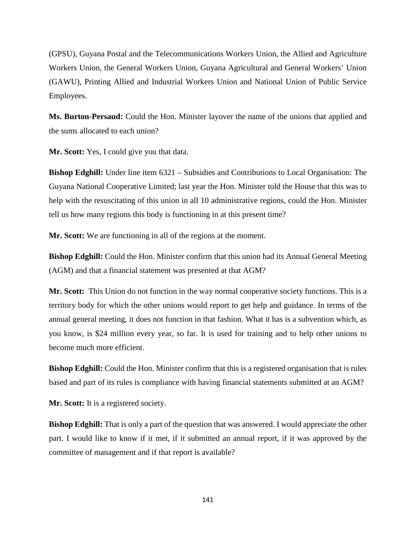(GPSU), Guyana Postal and the Telecommunications Workers Union, the Allied and Agriculture Workers Union, the General Workers Union, Guyana Agricultural and General Workers' Union (GAWU), Printing Allied and Industrial Workers Union and National Union of Public Service Employees.

**Ms. Burton-Persaud:** Could the Hon. Minister layover the name of the unions that applied and the sums allocated to each union?

**Mr. Scott:** Yes, I could give you that data.

**Bishop Edghill:** Under line item 6321 – Subsidies and Contributions to Local Organisation: The Guyana National Cooperative Limited; last year the Hon. Minister told the House that this was to help with the resuscitating of this union in all 10 administrative regions, could the Hon. Minister tell us how many regions this body is functioning in at this present time?

**Mr. Scott:** We are functioning in all of the regions at the moment.

**Bishop Edghill:** Could the Hon. Minister confirm that this union had its Annual General Meeting (AGM) and that a financial statement was presented at that AGM?

**Mr. Scott:** This Union do not function in the way normal cooperative society functions. This is a territory body for which the other unions would report to get help and guidance. In terms of the annual general meeting, it does not function in that fashion. What it has is a subvention which, as you know, is \$24 million every year, so far. It is used for training and to help other unions to become much more efficient.

**Bishop Edghill:** Could the Hon. Minister confirm that this is a registered organisation that is rules based and part of its rules is compliance with having financial statements submitted at an AGM?

**Mr. Scott:** It is a registered society.

**Bishop Edghill:** That is only a part of the question that was answered. I would appreciate the other part. I would like to know if it met, if it submitted an annual report, if it was approved by the committee of management and if that report is available?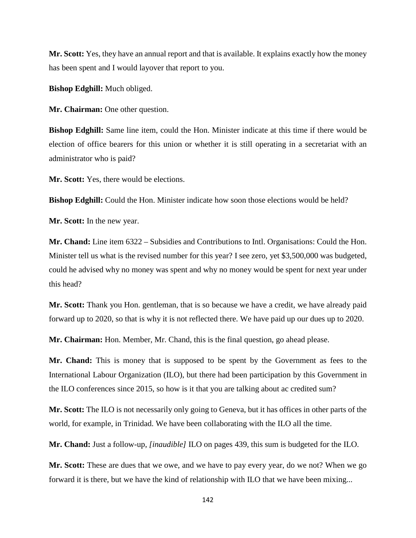**Mr. Scott:** Yes, they have an annual report and that is available. It explains exactly how the money has been spent and I would layover that report to you.

**Bishop Edghill:** Much obliged.

**Mr. Chairman:** One other question.

**Bishop Edghill:** Same line item, could the Hon. Minister indicate at this time if there would be election of office bearers for this union or whether it is still operating in a secretariat with an administrator who is paid?

**Mr. Scott:** Yes, there would be elections.

**Bishop Edghill:** Could the Hon. Minister indicate how soon those elections would be held?

**Mr. Scott:** In the new year.

**Mr. Chand:** Line item 6322 – Subsidies and Contributions to Intl. Organisations: Could the Hon. Minister tell us what is the revised number for this year? I see zero, yet \$3,500,000 was budgeted, could he advised why no money was spent and why no money would be spent for next year under this head?

**Mr. Scott:** Thank you Hon. gentleman, that is so because we have a credit, we have already paid forward up to 2020, so that is why it is not reflected there. We have paid up our dues up to 2020.

**Mr. Chairman:** Hon. Member, Mr. Chand, this is the final question, go ahead please.

**Mr. Chand:** This is money that is supposed to be spent by the Government as fees to the International Labour Organization (ILO), but there had been participation by this Government in the ILO conferences since 2015, so how is it that you are talking about ac credited sum?

**Mr. Scott:** The ILO is not necessarily only going to Geneva, but it has offices in other parts of the world, for example, in Trinidad. We have been collaborating with the ILO all the time.

**Mr. Chand:** Just a follow-up, *[inaudible]* ILO on pages 439, this sum is budgeted for the ILO.

**Mr. Scott:** These are dues that we owe, and we have to pay every year, do we not? When we go forward it is there, but we have the kind of relationship with ILO that we have been mixing...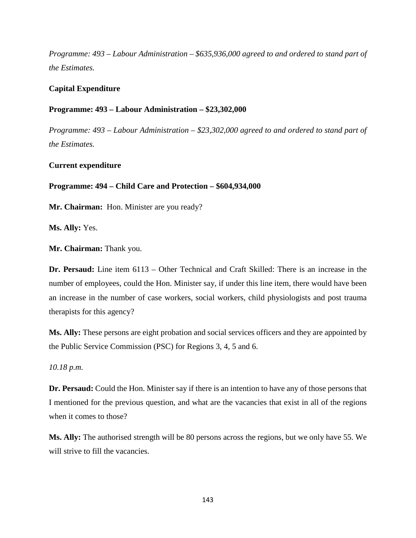*Programme: 493 – Labour Administration – \$635,936,000 agreed to and ordered to stand part of the Estimates.*

# **Capital Expenditure**

## **Programme: 493 – Labour Administration – \$23,302,000**

*Programme: 493 – Labour Administration – \$23,302,000 agreed to and ordered to stand part of the Estimates.*

**Current expenditure** 

### **Programme: 494 – Child Care and Protection – \$604,934,000**

**Mr. Chairman:** Hon. Minister are you ready?

**Ms. Ally:** Yes.

**Mr. Chairman:** Thank you.

**Dr. Persaud:** Line item 6113 – Other Technical and Craft Skilled: There is an increase in the number of employees, could the Hon. Minister say, if under this line item, there would have been an increase in the number of case workers, social workers, child physiologists and post trauma therapists for this agency?

**Ms. Ally:** These persons are eight probation and social services officers and they are appointed by the Public Service Commission (PSC) for Regions 3, 4, 5 and 6.

*10.18 p.m.*

**Dr. Persaud:** Could the Hon. Minister say if there is an intention to have any of those persons that I mentioned for the previous question, and what are the vacancies that exist in all of the regions when it comes to those?

**Ms. Ally:** The authorised strength will be 80 persons across the regions, but we only have 55. We will strive to fill the vacancies.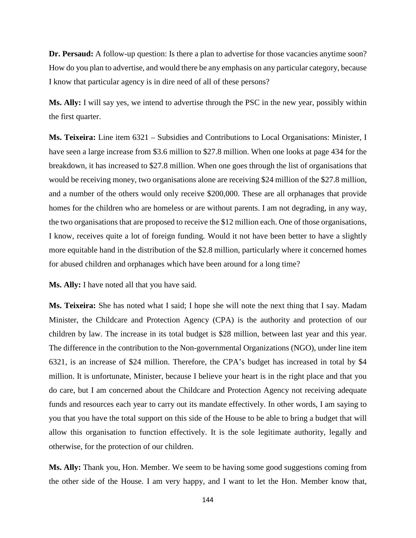**Dr. Persaud:** A follow-up question: Is there a plan to advertise for those vacancies anytime soon? How do you plan to advertise, and would there be any emphasis on any particular category, because I know that particular agency is in dire need of all of these persons?

**Ms. Ally:** I will say yes, we intend to advertise through the PSC in the new year, possibly within the first quarter.

**Ms. Teixeira:** Line item 6321 – Subsidies and Contributions to Local Organisations: Minister, I have seen a large increase from \$3.6 million to \$27.8 million. When one looks at page 434 for the breakdown, it has increased to \$27.8 million. When one goes through the list of organisations that would be receiving money, two organisations alone are receiving \$24 million of the \$27.8 million, and a number of the others would only receive \$200,000. These are all orphanages that provide homes for the children who are homeless or are without parents. I am not degrading, in any way, the two organisations that are proposed to receive the \$12 million each. One of those organisations, I know, receives quite a lot of foreign funding. Would it not have been better to have a slightly more equitable hand in the distribution of the \$2.8 million, particularly where it concerned homes for abused children and orphanages which have been around for a long time?

**Ms. Ally:** I have noted all that you have said.

**Ms. Teixeira:** She has noted what I said; I hope she will note the next thing that I say. Madam Minister, the Childcare and Protection Agency (CPA) is the authority and protection of our children by law. The increase in its total budget is \$28 million, between last year and this year. The difference in the contribution to the Non-governmental Organizations (NGO), under line item 6321, is an increase of \$24 million. Therefore, the CPA's budget has increased in total by \$4 million. It is unfortunate, Minister, because I believe your heart is in the right place and that you do care, but I am concerned about the Childcare and Protection Agency not receiving adequate funds and resources each year to carry out its mandate effectively. In other words, I am saying to you that you have the total support on this side of the House to be able to bring a budget that will allow this organisation to function effectively. It is the sole legitimate authority, legally and otherwise, for the protection of our children.

**Ms. Ally:** Thank you, Hon. Member. We seem to be having some good suggestions coming from the other side of the House. I am very happy, and I want to let the Hon. Member know that,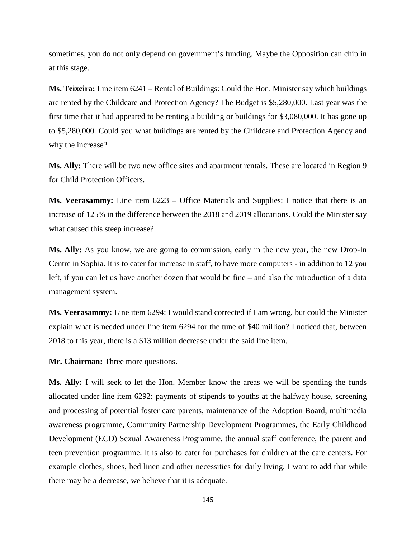sometimes, you do not only depend on government's funding. Maybe the Opposition can chip in at this stage.

**Ms. Teixeira:** Line item 6241 – Rental of Buildings: Could the Hon. Minister say which buildings are rented by the Childcare and Protection Agency? The Budget is \$5,280,000. Last year was the first time that it had appeared to be renting a building or buildings for \$3,080,000. It has gone up to \$5,280,000. Could you what buildings are rented by the Childcare and Protection Agency and why the increase?

**Ms. Ally:** There will be two new office sites and apartment rentals. These are located in Region 9 for Child Protection Officers.

**Ms. Veerasammy:** Line item 6223 – Office Materials and Supplies: I notice that there is an increase of 125% in the difference between the 2018 and 2019 allocations. Could the Minister say what caused this steep increase?

**Ms. Ally:** As you know, we are going to commission, early in the new year, the new Drop-In Centre in Sophia. It is to cater for increase in staff, to have more computers - in addition to 12 you left, if you can let us have another dozen that would be fine – and also the introduction of a data management system.

**Ms. Veerasammy:** Line item 6294: I would stand corrected if I am wrong, but could the Minister explain what is needed under line item 6294 for the tune of \$40 million? I noticed that, between 2018 to this year, there is a \$13 million decrease under the said line item.

**Mr. Chairman:** Three more questions.

**Ms. Ally:** I will seek to let the Hon. Member know the areas we will be spending the funds allocated under line item 6292: payments of stipends to youths at the halfway house, screening and processing of potential foster care parents, maintenance of the Adoption Board, multimedia awareness programme, Community Partnership Development Programmes, the Early Childhood Development (ECD) Sexual Awareness Programme, the annual staff conference, the parent and teen prevention programme. It is also to cater for purchases for children at the care centers. For example clothes, shoes, bed linen and other necessities for daily living. I want to add that while there may be a decrease, we believe that it is adequate.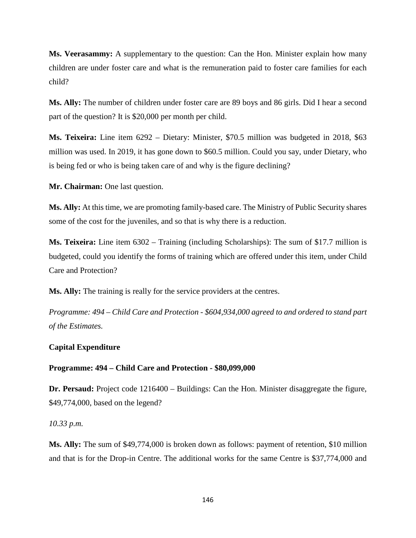**Ms. Veerasammy:** A supplementary to the question: Can the Hon. Minister explain how many children are under foster care and what is the remuneration paid to foster care families for each child?

**Ms. Ally:** The number of children under foster care are 89 boys and 86 girls. Did I hear a second part of the question? It is \$20,000 per month per child.

**Ms. Teixeira:** Line item 6292 – Dietary: Minister, \$70.5 million was budgeted in 2018, \$63 million was used. In 2019, it has gone down to \$60.5 million. Could you say, under Dietary, who is being fed or who is being taken care of and why is the figure declining?

**Mr. Chairman:** One last question.

**Ms. Ally:** At this time, we are promoting family-based care. The Ministry of Public Security shares some of the cost for the juveniles, and so that is why there is a reduction.

**Ms. Teixeira:** Line item 6302 – Training (including Scholarships): The sum of \$17.7 million is budgeted, could you identify the forms of training which are offered under this item, under Child Care and Protection?

**Ms. Ally:** The training is really for the service providers at the centres.

*Programme: 494 – Child Care and Protection - \$604,934,000 agreed to and ordered to stand part of the Estimates.* 

## **Capital Expenditure**

## **Programme: 494 – Child Care and Protection - \$80,099,000**

**Dr. Persaud:** Project code 1216400 – Buildings: Can the Hon. Minister disaggregate the figure, \$49,774,000, based on the legend?

*10.33 p.m.*

**Ms. Ally:** The sum of \$49,774,000 is broken down as follows: payment of retention, \$10 million and that is for the Drop-in Centre. The additional works for the same Centre is \$37,774,000 and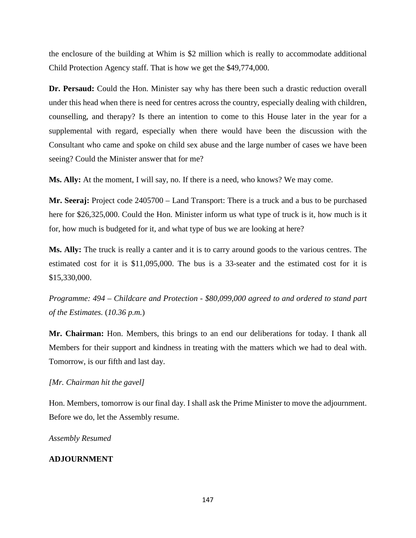the enclosure of the building at Whim is \$2 million which is really to accommodate additional Child Protection Agency staff. That is how we get the \$49,774,000.

**Dr. Persaud:** Could the Hon. Minister say why has there been such a drastic reduction overall under this head when there is need for centres across the country, especially dealing with children, counselling, and therapy? Is there an intention to come to this House later in the year for a supplemental with regard, especially when there would have been the discussion with the Consultant who came and spoke on child sex abuse and the large number of cases we have been seeing? Could the Minister answer that for me?

**Ms. Ally:** At the moment, I will say, no. If there is a need, who knows? We may come.

**Mr. Seeraj:** Project code 2405700 – Land Transport: There is a truck and a bus to be purchased here for \$26,325,000. Could the Hon. Minister inform us what type of truck is it, how much is it for, how much is budgeted for it, and what type of bus we are looking at here?

**Ms. Ally:** The truck is really a canter and it is to carry around goods to the various centres. The estimated cost for it is \$11,095,000. The bus is a 33-seater and the estimated cost for it is \$15,330,000.

*Programme: 494 – Childcare and Protection - \$80,099,000 agreed to and ordered to stand part of the Estimates.* (*10.36 p.m.*)

**Mr. Chairman:** Hon. Members, this brings to an end our deliberations for today. I thank all Members for their support and kindness in treating with the matters which we had to deal with. Tomorrow, is our fifth and last day.

## *[Mr. Chairman hit the gavel]*

Hon. Members, tomorrow is our final day. I shall ask the Prime Minister to move the adjournment. Before we do, let the Assembly resume.

*Assembly Resumed*

## **ADJOURNMENT**